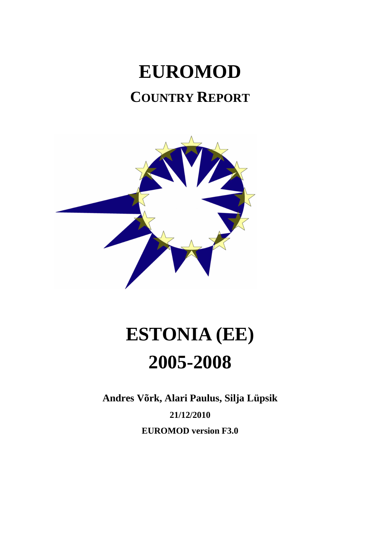## **EUROMOD COUNTRY REPORT**



# **ESTONIA (EE) 2005-2008**

**Andres Võrk, Alari Paulus, Silja Lüpsik 21/12/2010 EUROMOD version F3.0**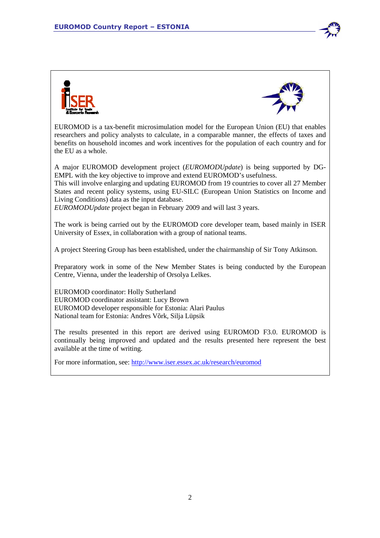



EUROMOD is a tax-benefit microsimulation model for the European Union (EU) that enables researchers and policy analysts to calculate, in a comparable manner, the effects of taxes and benefits on household incomes and work incentives for the population of each country and for the EU as a whole.

A major EUROMOD development project (*EUROMODUpdate*) is being supported by DG-EMPL with the key objective to improve and extend EUROMOD's usefulness.

This will involve enlarging and updating EUROMOD from 19 countries to cover all 27 Member States and recent policy systems, using EU-SILC (European Union Statistics on Income and Living Conditions) data as the input database.

*EUROMODUpdate* project began in February 2009 and will last 3 years.

The work is being carried out by the EUROMOD core developer team, based mainly in ISER University of Essex, in collaboration with a group of national teams.

A project Steering Group has been established, under the chairmanship of Sir Tony Atkinson.

Preparatory work in some of the New Member States is being conducted by the European Centre, Vienna, under the leadership of Orsolya Lelkes.

EUROMOD coordinator: Holly Sutherland EUROMOD coordinator assistant: Lucy Brown EUROMOD developer responsible for Estonia: Alari Paulus National team for Estonia: Andres Võrk, Silja Lüpsik

The results presented in this report are derived using EUROMOD F3.0. EUROMOD is continually being improved and updated and the results presented here represent the best available at the time of writing.

For more information, see: http://www.iser.essex.ac.uk/research/euromod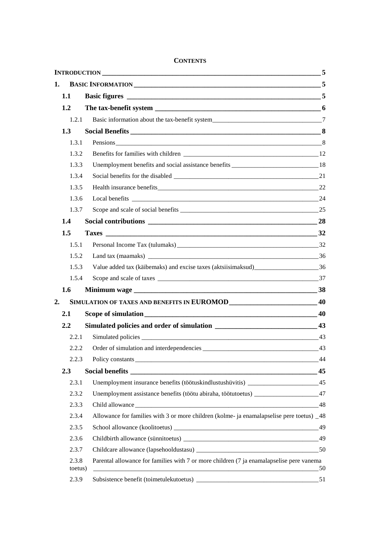**CONTENTS**

|    |                  |                                                                                           | 5  |
|----|------------------|-------------------------------------------------------------------------------------------|----|
| 1. |                  |                                                                                           | 5  |
|    | 1.1              |                                                                                           |    |
|    | 1.2              |                                                                                           |    |
|    | 1.2.1            |                                                                                           |    |
|    | 1.3              |                                                                                           |    |
|    | 1.3.1            |                                                                                           |    |
|    | 1.3.2            |                                                                                           |    |
|    | 1.3.3            |                                                                                           |    |
|    | 1.3.4            |                                                                                           |    |
|    | 1.3.5            |                                                                                           |    |
|    | 1.3.6            |                                                                                           |    |
|    | 1.3.7            |                                                                                           |    |
|    | 1.4              |                                                                                           |    |
|    | 1.5              |                                                                                           |    |
|    | 1.5.1            |                                                                                           |    |
|    | 1.5.2            |                                                                                           |    |
|    | 1.5.3            |                                                                                           |    |
|    | 1.5.4            |                                                                                           |    |
|    | 1.6              |                                                                                           |    |
| 2. |                  |                                                                                           |    |
|    | 2.1              |                                                                                           |    |
|    | 2.2              |                                                                                           |    |
|    | 2.2.1            |                                                                                           |    |
|    | 2.2.2            |                                                                                           |    |
|    | 2.2.3            |                                                                                           | 44 |
|    | 2.3              |                                                                                           | 45 |
|    | 2.3.1            | Unemployment insurance benefits (töötuskindlustushüvitis) _______________________45       |    |
|    | 2.3.2            | Unemployment assistance benefits (töötu abiraha, töötutoetus) ___________________47       |    |
|    | 2.3.3            |                                                                                           | 48 |
|    | 2.3.4            | Allowance for families with 3 or more children (kolme- ja enamalapselise pere toetus) _48 |    |
|    | 2.3.5            |                                                                                           |    |
|    | 2.3.6            |                                                                                           |    |
|    | 2.3.7            |                                                                                           |    |
|    | 2.3.8<br>toetus) | Parental allowance for families with 7 or more children (7 ja enamalapselise pere vanema  | 50 |
|    | 2.3.9            |                                                                                           | 51 |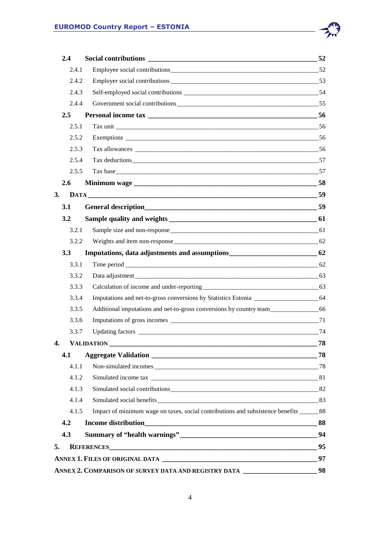|    | 2.4           | <b>Social contributions</b>                                                                | - 52 |
|----|---------------|--------------------------------------------------------------------------------------------|------|
|    | 2.4.1         |                                                                                            |      |
|    | 2.4.2         |                                                                                            |      |
|    | 2.4.3         |                                                                                            |      |
|    | 2.4.4         |                                                                                            |      |
|    | $2.5^{\circ}$ |                                                                                            |      |
|    | 2.5.1         |                                                                                            |      |
|    | 2.5.2         |                                                                                            |      |
|    | 2.5.3         |                                                                                            |      |
|    | 2.5.4         |                                                                                            |      |
|    | 2.5.5         |                                                                                            |      |
|    | 2.6           |                                                                                            |      |
| 3. |               |                                                                                            |      |
|    | 3.1           |                                                                                            |      |
|    | 3.2           |                                                                                            |      |
|    | 3.2.1         |                                                                                            |      |
|    | 3.2.2         |                                                                                            |      |
|    | 3.3           | Imputations, data adjustments and assumptions ___________________________________ 62       |      |
|    | 3.3.1         |                                                                                            |      |
|    | 3.3.2         |                                                                                            |      |
|    | 3.3.3         |                                                                                            |      |
|    | 3.3.4         |                                                                                            |      |
|    | 3.3.5         | Additional imputations and net-to-gross conversions by country team_________________66     |      |
|    | 3.3.6         |                                                                                            |      |
|    | 3.3.7         |                                                                                            | 74   |
| 4. |               |                                                                                            | 78   |
|    | 4.1           |                                                                                            |      |
|    | 4.1.1         |                                                                                            |      |
|    | 4.1.2         |                                                                                            |      |
|    | 4.1.3         |                                                                                            |      |
|    | 4.1.4         |                                                                                            |      |
|    | 4.1.5         | Impact of minimum wage on taxes, social contributions and subsistence benefits ________ 88 |      |
|    | 4.2           |                                                                                            |      |
|    | 4.3           |                                                                                            |      |
| 5. |               | REFERENCES 95                                                                              |      |
|    |               |                                                                                            |      |
|    |               | ANNEX 2. COMPARISON OF SURVEY DATA AND REGISTRY DATA _________________________98           |      |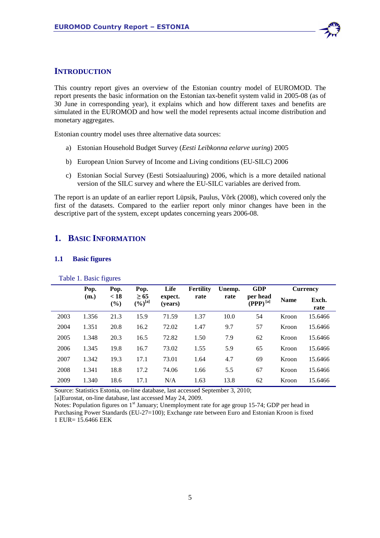

## **INTRODUCTION**

This country report gives an overview of the Estonian country model of EUROMOD. The report presents the basic information on the Estonian tax-benefit system valid in 2005-08 (as of 30 June in corresponding year), it explains which and how different taxes and benefits are simulated in the EUROMOD and how well the model represents actual income distribution and monetary aggregates.

Estonian country model uses three alternative data sources:

- a) Estonian Household Budget Survey (*Eesti Leibkonna eelarve uuring*) 2005
- b) European Union Survey of Income and Living conditions (EU-SILC) 2006
- c) Estonian Social Survey (Eesti Sotsiaaluuring) 2006, which is a more detailed national version of the SILC survey and where the EU-SILC variables are derived from.

The report is an update of an earlier report Lüpsik, Paulus, Võrk (2008), which covered only the first of the datasets. Compared to the earlier report only minor changes have been in the descriptive part of the system, except updates concerning years 2006-08.

## **1. BASIC INFORMATION**

#### **1.1 Basic figures**

|      | Pop.  | Pop.           | Pop.                      | Life               | <b>Fertility</b> | Unemp. | <b>GDP</b>                |             | <b>Currency</b> |
|------|-------|----------------|---------------------------|--------------------|------------------|--------|---------------------------|-------------|-----------------|
|      | (m.)  | < 18<br>$(\%)$ | $\geq 65$<br>$(\%)^{[a]}$ | expect.<br>(vears) | rate             | rate   | per head<br>$(PPP)^{[a]}$ | <b>Name</b> | Exch.<br>rate   |
| 2003 | 1.356 | 21.3           | 15.9                      | 71.59              | 1.37             | 10.0   | 54                        | Kroon       | 15.6466         |
| 2004 | 1.351 | 20.8           | 16.2                      | 72.02              | 1.47             | 9.7    | 57                        | Kroon       | 15.6466         |
| 2005 | 1.348 | 20.3           | 16.5                      | 72.82              | 1.50             | 7.9    | 62                        | Kroon       | 15.6466         |
| 2006 | 1.345 | 19.8           | 16.7                      | 73.02              | 1.55             | 5.9    | 65                        | Kroon       | 15.6466         |
| 2007 | 1.342 | 19.3           | 17.1                      | 73.01              | 1.64             | 4.7    | 69                        | Kroon       | 15.6466         |
| 2008 | 1.341 | 18.8           | 17.2                      | 74.06              | 1.66             | 5.5    | 67                        | Kroon       | 15.6466         |
| 2009 | 1.340 | 18.6           | 17.1                      | N/A                | 1.63             | 13.8   | 62                        | Kroon       | 15.6466         |

Table 1. Basic figures

Source: Statistics Estonia, on-line database, last accessed September 3, 2010;

[a]Eurostat, on-line database, last accessed May 24, 2009.

Notes: Population figures on 1<sup>st</sup> January; Unemployment rate for age group 15-74; GDP per head in Purchasing Power Standards (EU-27=100); Exchange rate between Euro and Estonian Kroon is fixed 1 EUR= 15.6466 EEK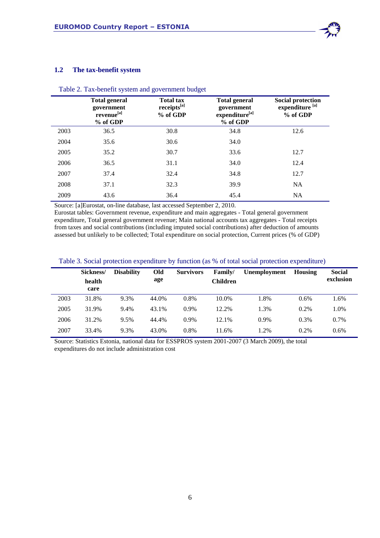

### **1.2 The tax-benefit system**

|      | <b>Total general</b><br>government<br>revenue <sup>[a]</sup><br>% of GDP | <b>Total tax</b><br>receipts[a]<br>% of GDP | <b>Total general</b><br>government<br>expenditure <sup>[a]</sup><br>% of GDP | <b>Social protection</b><br>expenditure <sup>[a]</sup><br>% of GDP |
|------|--------------------------------------------------------------------------|---------------------------------------------|------------------------------------------------------------------------------|--------------------------------------------------------------------|
| 2003 | 36.5                                                                     | 30.8                                        | 34.8                                                                         | 12.6                                                               |
| 2004 | 35.6                                                                     | 30.6                                        | 34.0                                                                         |                                                                    |
| 2005 | 35.2                                                                     | 30.7                                        | 33.6                                                                         | 12.7                                                               |
| 2006 | 36.5                                                                     | 31.1                                        | 34.0                                                                         | 12.4                                                               |
| 2007 | 37.4                                                                     | 32.4                                        | 34.8                                                                         | 12.7                                                               |
| 2008 | 37.1                                                                     | 32.3                                        | 39.9                                                                         | NA                                                                 |
| 2009 | 43.6                                                                     | 36.4                                        | 45.4                                                                         | NA                                                                 |

## Table 2. Tax-benefit system and government budget

Source: [a]Eurostat, on-line database, last accessed September 2, 2010.

Eurostat tables: Government revenue, expenditure and main aggregates - Total general government expenditure, Total general government revenue; Main national accounts tax aggregates - Total receipts from taxes and social contributions (including imputed social contributions) after deduction of amounts assessed but unlikely to be collected; Total expenditure on social protection, Current prices (% of GDP)

|      | Sickness/ | <b>Disability</b> | Old   | <b>Survivors</b> | Family/         | Unemployment | Housing | <b>Social</b> |
|------|-----------|-------------------|-------|------------------|-----------------|--------------|---------|---------------|
|      | health    |                   | age   |                  | <b>Children</b> |              |         | exclusion     |
|      | care      |                   |       |                  |                 |              |         |               |
| 2003 | 31.8%     | 9.3%              | 44.0% | 0.8%             | 10.0%           | 1.8%         | 0.6%    | 1.6%          |
| 2005 | 31.9%     | 9.4%              | 43.1% | $0.9\%$          | 12.2%           | 1.3%         | 0.2%    | 1.0%          |
| 2006 | 31.2%     | 9.5%              | 44.4% | $0.9\%$          | 12.1%           | $0.9\%$      | 0.3%    | 0.7%          |
| 2007 | 33.4%     | 9.3%              | 43.0% | 0.8%             | 11.6%           | 1.2%         | 0.2%    | 0.6%          |

## Table 3. Social protection expenditure by function (as % of total social protection expenditure)

Source: Statistics Estonia, national data for ESSPROS system 2001-2007 (3 March 2009), the total expenditures do not include administration cost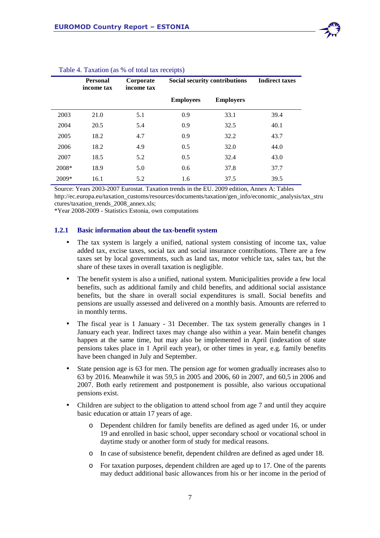|       | <b>Personal</b><br>income tax | Corporate<br>income tax |                  | Social security contributions |      |
|-------|-------------------------------|-------------------------|------------------|-------------------------------|------|
|       |                               |                         | <b>Employees</b> | <b>Employers</b>              |      |
| 2003  | 21.0                          | 5.1                     | 0.9              | 33.1                          | 39.4 |
| 2004  | 20.5                          | 5.4                     | 0.9              | 32.5                          | 40.1 |
| 2005  | 18.2                          | 4.7                     | 0.9              | 32.2                          | 43.7 |
| 2006  | 18.2                          | 4.9                     | 0.5              | 32.0                          | 44.0 |
| 2007  | 18.5                          | 5.2                     | 0.5              | 32.4                          | 43.0 |
| 2008* | 18.9                          | 5.0                     | 0.6              | 37.8                          | 37.7 |
| 2009* | 16.1                          | 5.2                     | 1.6              | 37.5                          | 39.5 |

#### Table 4. Taxation (as % of total tax receipts)

Source: Years 2003-2007 Eurostat. Taxation trends in the EU. 2009 edition, Annex A: Tables

http://ec.europa.eu/taxation\_customs/resources/documents/taxation/gen\_info/economic\_analysis/tax\_stru ctures/taxation\_trends\_2008\_annex.xls;

\*Year 2008-2009 - Statistics Estonia, own computations

#### **1.2.1 Basic information about the tax-benefit system**

- The tax system is largely a unified, national system consisting of income tax, value added tax, excise taxes, social tax and social insurance contributions. There are a few taxes set by local governments, such as land tax*,* motor vehicle tax*,* sales tax, but the share of these taxes in overall taxation is negligible.
- The benefit system is also a unified, national system. Municipalities provide a few local benefits, such as additional family and child benefits, and additional social assistance benefits*,* but the share in overall social expenditures is small. Social benefits and pensions are usually assessed and delivered on a monthly basis. Amounts are referred to in monthly terms.
- The fiscal year is 1 January 31 December. The tax system generally changes in 1 January each year. Indirect taxes may change also within a year. Main benefit changes happen at the same time, but may also be implemented in April (indexation of state pensions takes place in 1 April each year), or other times in year, e.g. family benefits have been changed in July and September.
- State pension age is 63 for men. The pension age for women gradually increases also to 63 by 2016. Meanwhile it was 59,5 in 2005 and 2006, 60 in 2007, and 60,5 in 2006 and 2007. Both early retirement and postponement is possible, also various occupational pensions exist.
- Children are subject to the obligation to attend school from age 7 and until they acquire basic education or attain 17 years of age.
	- o Dependent children for family benefits are defined as aged under 16, or under 19 and enrolled in basic school, upper secondary school or vocational school in daytime study or another form of study for medical reasons.
	- o In case of subsistence benefit, dependent children are defined as aged under 18.
	- o For taxation purposes, dependent children are aged up to 17. One of the parents may deduct additional basic allowances from his or her income in the period of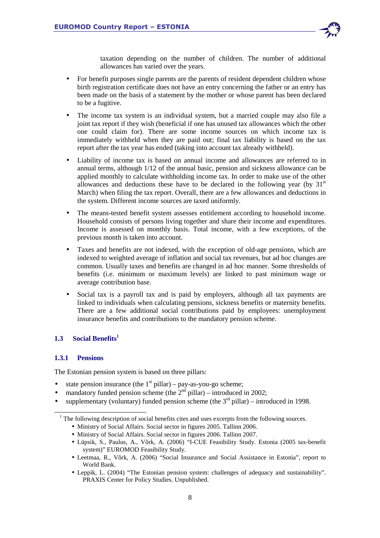

taxation depending on the number of children. The number of additional allowances has varied over the years.

- For benefit purposes single parents are the parents of resident dependent children whose birth registration certificate does not have an entry concerning the father or an entry has been made on the basis of a statement by the mother or whose parent has been declared to be a fugitive.
- The income tax system is an individual system, but a married couple may also file a joint tax report if they wish (beneficial if one has unused tax allowances which the other one could claim for). There are some income sources on which income tax is immediately withheld when they are paid out; final tax liability is based on the tax report after the tax year has ended (taking into account tax already withheld).
- Liability of income tax is based on annual income and allowances are referred to in annual terms, although 1/12 of the annual basic, pension and sickness allowance can be applied monthly to calculate withholding income tax. In order to make use of the other allowances and deductions these have to be declared in the following year (by  $31<sup>st</sup>$ March) when filing the tax report. Overall, there are a few allowances and deductions in the system. Different income sources are taxed uniformly.
- The means-tested benefit system assesses entitlement according to household income. Household consists of persons living together and share their income and expenditures. Income is assessed on monthly basis. Total income, with a few exceptions, of the previous month is taken into account.
- Taxes and benefits are not indexed, with the exception of old-age pensions, which are indexed to weighted average of inflation and social tax revenues, but ad hoc changes are common. Usually taxes and benefits are changed in ad hoc manner. Some thresholds of benefits (i.e. minimum or maximum levels) are linked to past minimum wage or average contribution base.
- Social tax is a payroll tax and is paid by employers, although all tax payments are linked to individuals when calculating pensions, sickness benefits or maternity benefits. There are a few additional social contributions paid by employees: unemployment insurance benefits and contributions to the mandatory pension scheme.

## **1.3 Social Benefits<sup>1</sup>**

## **1.3.1 Pensions**

l

The Estonian pension system is based on three pillars:

- state pension insurance (the  $1<sup>st</sup>$  pillar) pay-as-you-go scheme;
- mandatory funded pension scheme (the  $2<sup>nd</sup>$  pillar) introduced in 2002;
- supplementary (voluntary) funded pension scheme (the  $3<sup>rd</sup>$  pillar) introduced in 1998.

- Ministry of Social Affairs. Social sector in figures 2005. Tallinn 2006.
- Ministry of Social Affairs. Social sector in figures 2006. Tallinn 2007.
- Lüpsik, S., Paulus, A., Võrk, A. (2006) "I-CUE Feasibility Study. Estonia (2005 tax-benefit system)" EUROMOD Feasibility Study.
- Leetmaa, R., Võrk, A. (2006) "Social Insurance and Social Assistance in Estonia", report to World Bank.
- Leppik, L. (2004) "The Estonian pension system: challenges of adequacy and sustainability". PRAXIS Center for Policy Studies. Unpublished.

<sup>&</sup>lt;sup>1</sup> The following description of social benefits cites and uses excerpts from the following sources.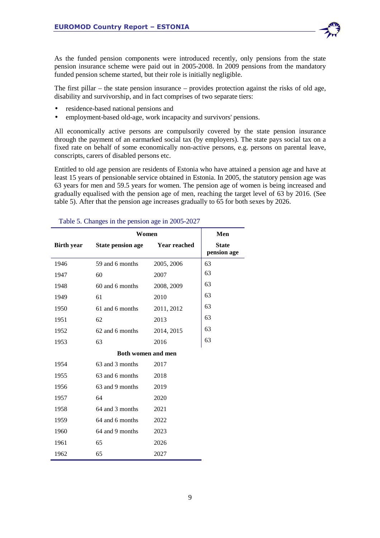As the funded pension components were introduced recently, only pensions from the state pension insurance scheme were paid out in 2005-2008. In 2009 pensions from the mandatory funded pension scheme started, but their role is initially negligible.

The first pillar – the state pension insurance – provides protection against the risks of old age, disability and survivorship, and in fact comprises of two separate tiers:

- residence-based national pensions and
- employment-based old-age, work incapacity and survivors' pensions.

All economically active persons are compulsorily covered by the state pension insurance through the payment of an earmarked social tax (by employers). The state pays social tax on a fixed rate on behalf of some economically non-active persons, e.g. persons on parental leave, conscripts, carers of disabled persons etc.

Entitled to old age pension are residents of Estonia who have attained a pension age and have at least 15 years of pensionable service obtained in Estonia. In 2005, the statutory pension age was 63 years for men and 59.5 years for women. The pension age of women is being increased and gradually equalised with the pension age of men, reaching the target level of 63 by 2016. (See table 5). After that the pension age increases gradually to 65 for both sexes by 2026.

|                   | Women                     | Men                 |                             |
|-------------------|---------------------------|---------------------|-----------------------------|
| <b>Birth year</b> | <b>State pension age</b>  | <b>Year reached</b> | <b>State</b><br>pension age |
| 1946              | 59 and 6 months           | 2005, 2006          | 63                          |
| 1947              | 60                        | 2007                | 63                          |
| 1948              | 60 and 6 months           | 2008, 2009          | 63                          |
| 1949              | 61                        | 2010                | 63                          |
| 1950              | 61 and 6 months           | 2011, 2012          | 63                          |
| 1951              | 62                        | 2013                | 63                          |
| 1952              | 62 and 6 months           | 2014, 2015          | 63                          |
| 1953              | 63                        | 2016                | 63                          |
|                   | <b>Both women and men</b> |                     |                             |
| 1954              | 63 and 3 months           | 2017                |                             |
| 1955              | 63 and 6 months           | 2018                |                             |
| 1956              | 63 and 9 months           | 2019                |                             |
| 1957              | 64                        | 2020                |                             |
| 1958              | 64 and 3 months           | 2021                |                             |
| 1959              | 64 and 6 months           | 2022                |                             |
| 1960              | 64 and 9 months           | 2023                |                             |
| 1961              | 65                        | 2026                |                             |
| 1962              | 65                        | 2027                |                             |

#### Table 5. Changes in the pension age in 2005-2027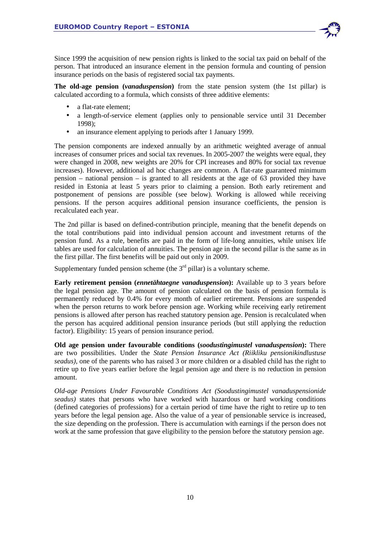Since 1999 the acquisition of new pension rights is linked to the social tax paid on behalf of the person. That introduced an insurance element in the pension formula and counting of pension insurance periods on the basis of registered social tax payments.

**The old-age pension (***vanaduspension***)** from the state pension system (the 1st pillar) is calculated according to a formula, which consists of three additive elements:

- a flat-rate element;
- a length-of-service element (applies only to pensionable service until 31 December 1998);
- an insurance element applying to periods after 1 January 1999.

The pension components are indexed annually by an arithmetic weighted average of annual increases of consumer prices and social tax revenues. In 2005-2007 the weights were equal, they were changed in 2008, new weights are 20% for CPI increases and 80% for social tax revenue increases). However, additional ad hoc changes are common. A flat-rate guaranteed minimum pension – national pension – is granted to all residents at the age of 63 provided they have resided in Estonia at least 5 years prior to claiming a pension. Both early retirement and postponement of pensions are possible (see below). Working is allowed while receiving pensions. If the person acquires additional pension insurance coefficients, the pension is recalculated each year.

The 2nd pillar is based on defined-contribution principle, meaning that the benefit depends on the total contributions paid into individual pension account and investment returns of the pension fund. As a rule, benefits are paid in the form of life-long annuities, while unisex life tables are used for calculation of annuities. The pension age in the second pillar is the same as in the first pillar. The first benefits will be paid out only in 2009.

Supplementary funded pension scheme (the  $3<sup>rd</sup>$  pillar) is a voluntary scheme.

**Early retirement pension (***ennetähtaegne vanaduspension***):** Available up to 3 years before the legal pension age. The amount of pension calculated on the basis of pension formula is permanently reduced by 0.4% for every month of earlier retirement. Pensions are suspended when the person returns to work before pension age. Working while receiving early retirement pensions is allowed after person has reached statutory pension age. Pension is recalculated when the person has acquired additional pension insurance periods (but still applying the reduction factor). Eligibility: 15 years of pension insurance period.

**Old age pension under favourable conditions (***soodustingimustel vanaduspension***):** There are two possibilities. Under the *State Pension Insurance Act (Riikliku pensionikindlustuse seadus)*, one of the parents who has raised 3 or more children or a disabled child has the right to retire up to five years earlier before the legal pension age and there is no reduction in pension amount.

*Old-age Pensions Under Favourable Conditions Act (Soodustingimustel vanaduspensionide seadus)* states that persons who have worked with hazardous or hard working conditions (defined categories of professions) for a certain period of time have the right to retire up to ten years before the legal pension age. Also the value of a year of pensionable service is increased, the size depending on the profession. There is accumulation with earnings if the person does not work at the same profession that gave eligibility to the pension before the statutory pension age.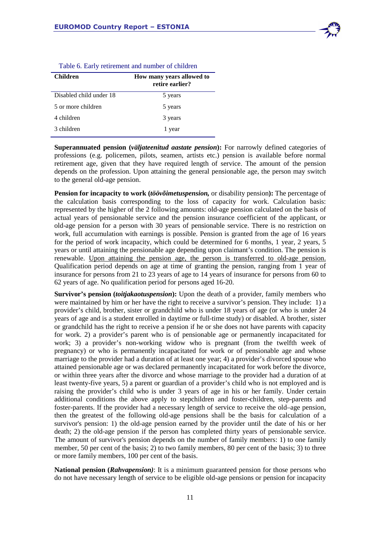

| Tuble 6. Early Tementent and humber of emitted |                                              |  |  |  |
|------------------------------------------------|----------------------------------------------|--|--|--|
| <b>Children</b>                                | How many years allowed to<br>retire earlier? |  |  |  |
| Disabled child under 18                        | 5 years                                      |  |  |  |
| 5 or more children                             | 5 years                                      |  |  |  |
| 4 children                                     | 3 years                                      |  |  |  |
| 3 children                                     | 1 year                                       |  |  |  |

|  | Table 6. Early retirement and number of children |  |  |
|--|--------------------------------------------------|--|--|
|  |                                                  |  |  |

**Superannuated pension (***väljateenitud aastate pension***):** For narrowly defined categories of professions (e.g. policemen, pilots, seamen, artists etc.) pension is available before normal retirement age, given that they have required length of service. The amount of the pension depends on the profession. Upon attaining the general pensionable age, the person may switch to the general old-age pension.

**Pension for incapacity to work (***töövõimetuspension,* or disability pension**):** The percentage of the calculation basis corresponding to the loss of capacity for work. Calculation basis: represented by the higher of the 2 following amounts: old-age pension calculated on the basis of actual years of pensionable service and the pension insurance coefficient of the applicant, or old-age pension for a person with 30 years of pensionable service. There is no restriction on work, full accumulation with earnings is possible. Pension is granted from the age of 16 years for the period of work incapacity, which could be determined for 6 months, 1 year, 2 years, 5 years or until attaining the pensionable age depending upon claimant's condition. The pension is renewable. Upon attaining the pension age, the person is transferred to old-age pension. Qualification period depends on age at time of granting the pension, ranging from 1 year of insurance for persons from 21 to 23 years of age to 14 years of insurance for persons from 60 to 62 years of age. No qualification period for persons aged 16-20.

**Survivor's pension (***toitjakaotuspension***):** Upon the death of a provider, family members who were maintained by him or her have the right to receive a survivor's pension. They include: 1) a provider's child, brother, sister or grandchild who is under 18 years of age (or who is under 24 years of age and is a student enrolled in daytime or full-time study) or disabled. A brother, sister or grandchild has the right to receive a pension if he or she does not have parents with capacity for work. 2) a provider's parent who is of pensionable age or permanently incapacitated for work; 3) a provider's non-working widow who is pregnant (from the twelfth week of pregnancy) or who is permanently incapacitated for work or of pensionable age and whose marriage to the provider had a duration of at least one year; 4) a provider's divorced spouse who attained pensionable age or was declared permanently incapacitated for work before the divorce, or within three years after the divorce and whose marriage to the provider had a duration of at least twenty-five years, 5) a parent or guardian of a provider's child who is not employed and is raising the provider's child who is under 3 years of age in his or her family. Under certain additional conditions the above apply to stepchildren and foster-children, step-parents and foster-parents. If the provider had a necessary length of service to receive the old–age pension, then the greatest of the following old-age pensions shall be the basis for calculation of a survivor's pension: 1) the old-age pension earned by the provider until the date of his or her death; 2) the old-age pension if the person has completed thirty years of pensionable service. The amount of survivor's pension depends on the number of family members: 1) to one family member, 50 per cent of the basis; 2) to two family members, 80 per cent of the basis; 3) to three or more family members, 100 per cent of the basis.

**National pension (***Rahvapension)*: It is a minimum guaranteed pension for those persons who do not have necessary length of service to be eligible old-age pensions or pension for incapacity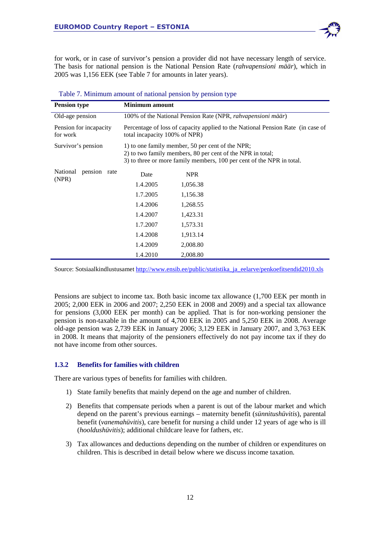for work, or in case of survivor's pension a provider did not have necessary length of service. The basis for national pension is the National Pension Rate (*rahvapensioni määr*), which in 2005 was 1,156 EEK (see Table 7 for amounts in later years).

| <b>Pension type</b>                | <b>Minimum</b> amount                                                                                                                                                                   |            |  |  |  |  |
|------------------------------------|-----------------------------------------------------------------------------------------------------------------------------------------------------------------------------------------|------------|--|--|--|--|
| Old-age pension                    | 100% of the National Pension Rate (NPR, rahvapensioni määr)                                                                                                                             |            |  |  |  |  |
| Pension for incapacity<br>for work | Percentage of loss of capacity applied to the National Pension Rate (in case of<br>total incapacity 100% of NPR)                                                                        |            |  |  |  |  |
| Survivor's pension                 | 1) to one family member, 50 per cent of the NPR;<br>2) to two family members, 80 per cent of the NPR in total;<br>3) to three or more family members, 100 per cent of the NPR in total. |            |  |  |  |  |
| National<br>pension rate           | Date                                                                                                                                                                                    | <b>NPR</b> |  |  |  |  |
| (NPR)                              | 1.4.2005                                                                                                                                                                                | 1,056.38   |  |  |  |  |
|                                    | 1.7.2005                                                                                                                                                                                | 1,156.38   |  |  |  |  |
|                                    | 1.4.2006                                                                                                                                                                                | 1,268.55   |  |  |  |  |
|                                    | 1.4.2007                                                                                                                                                                                | 1,423.31   |  |  |  |  |
|                                    | 1.7.2007                                                                                                                                                                                | 1,573.31   |  |  |  |  |
|                                    | 1.4.2008                                                                                                                                                                                | 1,913.14   |  |  |  |  |
|                                    | 1.4.2009                                                                                                                                                                                | 2,008.80   |  |  |  |  |
|                                    | 1.4.2010                                                                                                                                                                                | 2,008.80   |  |  |  |  |

| Table 7. Minimum amount of national pension by pension type |  |
|-------------------------------------------------------------|--|
|                                                             |  |

Source: Sotsiaalkindlustusamet http://www.ensib.ee/public/statistika\_ja\_eelarve/penkoefitsendid2010.xls

Pensions are subject to income tax. Both basic income tax allowance (1,700 EEK per month in 2005; 2,000 EEK in 2006 and 2007; 2,250 EEK in 2008 and 2009) and a special tax allowance for pensions (3,000 EEK per month) can be applied. That is for non-working pensioner the pension is non-taxable in the amount of 4,700 EEK in 2005 and 5,250 EEK in 2008. Average old-age pension was 2,739 EEK in January 2006; 3,129 EEK in January 2007, and 3,763 EEK in 2008. It means that majority of the pensioners effectively do not pay income tax if they do not have income from other sources.

## **1.3.2 Benefits for families with children**

There are various types of benefits for families with children.

- 1) State family benefits that mainly depend on the age and number of children.
- 2) Benefits that compensate periods when a parent is out of the labour market and which depend on the parent's previous earnings – maternity benefit (*sünnitushüvitis*), parental benefit (*vanemahüvitis*), care benefit for nursing a child under 12 years of age who is ill (*hooldushüvitis*); additional childcare leave for fathers, etc.
- 3) Tax allowances and deductions depending on the number of children or expenditures on children. This is described in detail below where we discuss income taxation.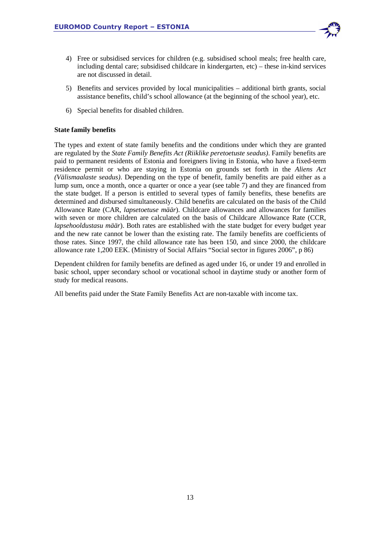

- 4) Free or subsidised services for children (e.g. subsidised school meals; free health care, including dental care; subsidised childcare in kindergarten, etc) – these in-kind services are not discussed in detail.
- 5) Benefits and services provided by local municipalities additional birth grants, social assistance benefits, child's school allowance (at the beginning of the school year), etc.
- 6) Special benefits for disabled children.

## **State family benefits**

The types and extent of state family benefits and the conditions under which they are granted are regulated by the *State Family Benefits Act (Riiklike peretoetuste seadus)*. Family benefits are paid to permanent residents of Estonia and foreigners living in Estonia, who have a fixed-term residence permit or who are staying in Estonia on grounds set forth in the *Aliens Act (Välismaalaste seadus)*. Depending on the type of benefit, family benefits are paid either as a lump sum, once a month, once a quarter or once a year (see table 7) and they are financed from the state budget. If a person is entitled to several types of family benefits, these benefits are determined and disbursed simultaneously. Child benefits are calculated on the basis of the Child Allowance Rate (CAR, *lapsetoetuse määr*). Childcare allowances and allowances for families with seven or more children are calculated on the basis of Childcare Allowance Rate (CCR, *lapsehooldustasu määr*). Both rates are established with the state budget for every budget year and the new rate cannot be lower than the existing rate. The family benefits are coefficients of those rates. Since 1997, the child allowance rate has been 150, and since 2000, the childcare allowance rate 1,200 EEK. (Ministry of Social Affairs "Social sector in figures 2006", p 86)

Dependent children for family benefits are defined as aged under 16, or under 19 and enrolled in basic school, upper secondary school or vocational school in daytime study or another form of study for medical reasons.

All benefits paid under the State Family Benefits Act are non-taxable with income tax.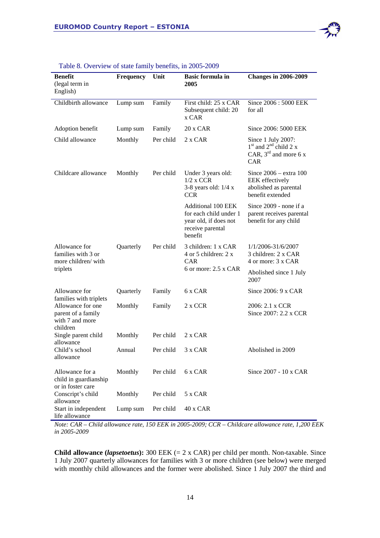| <b>Benefit</b><br>(legal term in<br>English)                                                     | <b>Frequency</b> | Unit      | <b>Basic formula in</b><br>2005                                                                             | <b>Changes in 2006-2009</b>                                                                             |
|--------------------------------------------------------------------------------------------------|------------------|-----------|-------------------------------------------------------------------------------------------------------------|---------------------------------------------------------------------------------------------------------|
| Childbirth allowance                                                                             | Lump sum         | Family    | First child: 25 x CAR<br>Subsequent child: 20<br>x CAR                                                      | Since 2006 : 5000 EEK<br>for all                                                                        |
| Adoption benefit                                                                                 | Lump sum         | Family    | 20 x CAR                                                                                                    | Since 2006: 5000 EEK                                                                                    |
| Child allowance                                                                                  | Monthly          | Per child | 2 x CAR                                                                                                     | Since 1 July 2007:<br>$1st$ and $2nd$ child 2 x<br>CAR, $3^{\text{rd}}$ and more 6 x<br>CAR             |
| Childcare allowance                                                                              | Monthly          | Per child | Under 3 years old:<br>$1/2$ x CCR<br>3-8 years old: $1/4 x$<br><b>CCR</b>                                   | Since $2006 - \text{extra } 100$<br><b>EEK</b> effectively<br>abolished as parental<br>benefit extended |
|                                                                                                  |                  |           | <b>Additional 100 EEK</b><br>for each child under 1<br>year old, if does not<br>receive parental<br>benefit | Since 2009 - none if a<br>parent receives parental<br>benefit for any child                             |
| Allowance for<br>families with 3 or<br>more children/with                                        | Quarterly        | Per child | 3 children: 1 x CAR<br>4 or 5 children: 2 x<br><b>CAR</b>                                                   | 1/1/2006-31/6/2007<br>3 children: 2 x CAR<br>4 or more: 3 x CAR                                         |
| triplets                                                                                         |                  |           | 6 or more: $2.5 \times CAR$                                                                                 | Abolished since 1 July<br>2007                                                                          |
| Allowance for                                                                                    | Quarterly        | Family    | 6 x CAR                                                                                                     | Since $2006:9 \times CAR$                                                                               |
| families with triplets<br>Allowance for one<br>parent of a family<br>with 7 and more<br>children | Monthly          | Family    | 2 x CCR                                                                                                     | 2006: 2.1 x CCR<br>Since 2007: 2.2 x CCR                                                                |
| Single parent child                                                                              | Monthly          | Per child | $2 \times CAR$                                                                                              |                                                                                                         |
| allowance<br>Child's school<br>allowance                                                         | Annual           | Per child | 3 x CAR                                                                                                     | Abolished in 2009                                                                                       |
| Allowance for a<br>child in guardianship<br>or in foster care                                    | Monthly          | Per child | 6 x CAR                                                                                                     | Since 2007 - 10 x CAR                                                                                   |
| Conscript's child<br>allowance                                                                   | Monthly          | Per child | 5 x CAR                                                                                                     |                                                                                                         |
| Start in independent<br>life allowance                                                           | Lump sum         | Per child | 40 x CAR                                                                                                    |                                                                                                         |

#### Table 8. Overview of state family benefits, in 2005-2009

*Note: CAR – Child allowance rate, 150 EEK in 2005-2009; CCR – Childcare allowance rate, 1,200 EEK in 2005-2009* 

**Child allowance (***lapsetoetus***):** 300 EEK (= 2 x CAR) per child per month. Non-taxable. Since 1 July 2007 quarterly allowances for families with 3 or more children (see below) were merged with monthly child allowances and the former were abolished. Since 1 July 2007 the third and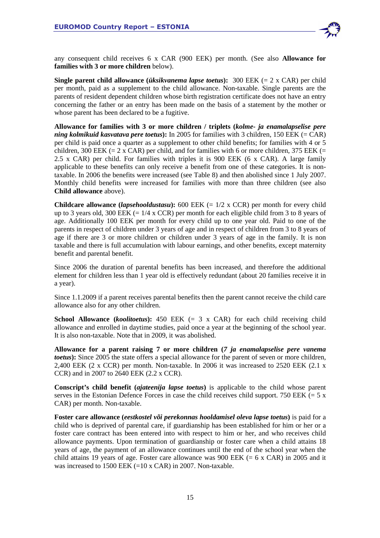

any consequent child receives 6 x CAR (900 EEK) per month. (See also **Allowance for families with 3 or more children** below).

**Single parent child allowance** *(üksikvanema lapse toetus)***:** 300 EEK  $(= 2 \times \text{CAR})$  per child per month, paid as a supplement to the child allowance. Non-taxable. Single parents are the parents of resident dependent children whose birth registration certificate does not have an entry concerning the father or an entry has been made on the basis of a statement by the mother or whose parent has been declared to be a fugitive.

**Allowance for families with 3 or more children / triplets (***kolme- ja enamalapselise pere ning kolmikuid kasvatava pere toetus***):** In 2005 for families with 3 children, 150 EEK (= CAR) per child is paid once a quarter as a supplement to other child benefits; for families with 4 or 5 children, 300 EEK (= 2 x CAR) per child, and for families with 6 or more children, 375 EEK (= 2.5 x CAR) per child. For families with triples it is 900 EEK (6 x CAR). A large family applicable to these benefits can only receive a benefit from one of these categories. It is nontaxable. In 2006 the benefits were increased (see Table 8) and then abolished since 1 July 2007. Monthly child benefits were increased for families with more than three children (see also **Child allowance** above).

**Childcare allowance (***lapsehooldustasu***):** 600 EEK (= 1/2 x CCR) per month for every child up to 3 years old, 300 EEK  $(= 1/4 \times CCR)$  per month for each eligible child from 3 to 8 years of age. Additionally 100 EEK per month for every child up to one year old. Paid to one of the parents in respect of children under 3 years of age and in respect of children from 3 to 8 years of age if there are 3 or more children or children under 3 years of age in the family. It is non taxable and there is full accumulation with labour earnings, and other benefits, except maternity benefit and parental benefit.

Since 2006 the duration of parental benefits has been increased, and therefore the additional element for children less than 1 year old is effectively redundant (about 20 families receive it in a year).

Since 1.1.2009 if a parent receives parental benefits then the parent cannot receive the child care allowance also for any other children.

**School Allowance (***koolitoetus*): 450 EEK  $(= 3 \times \text{CAR})$  for each child receiving child allowance and enrolled in daytime studies, paid once a year at the beginning of the school year. It is also non-taxable. Note that in 2009, it was abolished.

**Allowance for a parent raising 7 or more children (***7 ja enamalapselise pere vanema toetus***):** Since 2005 the state offers a special allowance for the parent of seven or more children, 2,400 EEK (2 x CCR) per month. Non-taxable. In 2006 it was increased to 2520 EEK (2.1 x CCR) and in 2007 to 2640 EEK (2.2 x CCR).

**Conscript's child benefit (***ajateenija lapse toetus***)** is applicable to the child whose parent serves in the Estonian Defence Forces in case the child receives child support. 750 EEK  $(= 5 \times$ CAR) per month. Non-taxable.

**Foster care allowance (***eestkostel või perekonnas hooldamisel oleva lapse toetus***)** is paid for a child who is deprived of parental care, if guardianship has been established for him or her or a foster care contract has been entered into with respect to him or her, and who receives child allowance payments. Upon termination of guardianship or foster care when a child attains 18 years of age, the payment of an allowance continues until the end of the school year when the child attains 19 years of age. Foster care allowance was 900 EEK  $(= 6 \times \text{CAR})$  in 2005 and it was increased to 1500 EEK  $(=10 \times \text{CAR})$  in 2007. Non-taxable.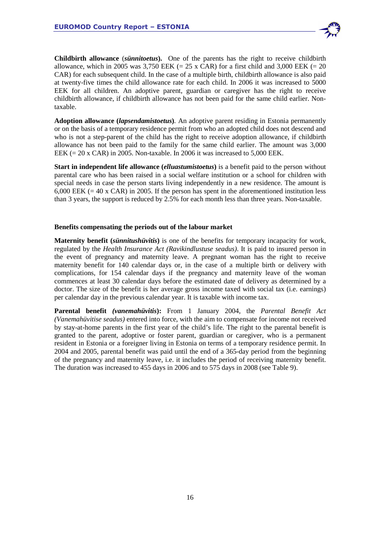

**Childbirth allowance** (*sünnitoetus***).** One of the parents has the right to receive childbirth allowance, which in 2005 was 3,750 EEK (= 25 x CAR) for a first child and 3,000 EEK (= 20 CAR) for each subsequent child. In the case of a multiple birth, childbirth allowance is also paid at twenty-five times the child allowance rate for each child. In 2006 it was increased to 5000 EEK for all children. An adoptive parent, guardian or caregiver has the right to receive childbirth allowance, if childbirth allowance has not been paid for the same child earlier. Nontaxable.

**Adoption allowance (***lapsendamistoetus***)***.* An adoptive parent residing in Estonia permanently or on the basis of a temporary residence permit from who an adopted child does not descend and who is not a step-parent of the child has the right to receive adoption allowance, if childbirth allowance has not been paid to the family for the same child earlier. The amount was 3,000 EEK  $(= 20 \times \text{CAR})$  in 2005. Non-taxable. In 2006 it was increased to 5,000 EEK.

**Start in independent life allowance (***elluastumistoetus***)** is a benefit paid to the person without parental care who has been raised in a social welfare institution or a school for children with special needs in case the person starts living independently in a new residence. The amount is 6,000 EEK  $(= 40 \times \text{CAR})$  in 2005. If the person has spent in the aforementioned institution less than 3 years, the support is reduced by 2.5% for each month less than three years. Non-taxable.

#### **Benefits compensating the periods out of the labour market**

**Maternity benefit (***sünnitushüvitis***)** is one of the benefits for temporary incapacity for work, regulated by the *Health Insurance Act (Ravikindlustuse seadus)*. It is paid to insured person in the event of pregnancy and maternity leave. A pregnant woman has the right to receive maternity benefit for 140 calendar days or, in the case of a multiple birth or delivery with complications, for 154 calendar days if the pregnancy and maternity leave of the woman commences at least 30 calendar days before the estimated date of delivery as determined by a doctor. The size of the benefit is her average gross income taxed with social tax (i.e. earnings) per calendar day in the previous calendar year. It is taxable with income tax.

**Parental benefit** *(vanemahüvitis***):** From 1 January 2004, the *Parental Benefit Act (Vanemahüvitise seadus)* entered into force, with the aim to compensate for income not received by stay-at-home parents in the first year of the child's life. The right to the parental benefit is granted to the parent, adoptive or foster parent, guardian or caregiver, who is a permanent resident in Estonia or a foreigner living in Estonia on terms of a temporary residence permit. In 2004 and 2005, parental benefit was paid until the end of a 365-day period from the beginning of the pregnancy and maternity leave, i.e. it includes the period of receiving maternity benefit. The duration was increased to 455 days in 2006 and to 575 days in 2008 (see Table 9).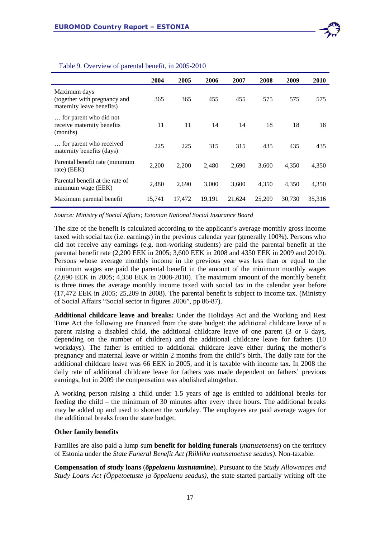

|                                                                           | 2004   | 2005   | 2006   | 2007   | 2008   | 2009   | 2010   |
|---------------------------------------------------------------------------|--------|--------|--------|--------|--------|--------|--------|
| Maximum days<br>(together with pregnancy and<br>maternity leave benefits) | 365    | 365    | 455    | 455    | 575    | 575    | 575    |
| for parent who did not<br>receive maternity benefits<br>(months)          | 11     | 11     | 14     | 14     | 18     | 18     | 18     |
| for parent who received<br>maternity benefits (days)                      | 225    | 225    | 315    | 315    | 435    | 435    | 435    |
| Parental benefit rate (minimum<br>rate) (EEK)                             | 2,200  | 2,200  | 2,480  | 2,690  | 3,600  | 4,350  | 4,350  |
| Parental benefit at the rate of<br>minimum wage (EEK)                     | 2.480  | 2,690  | 3.000  | 3.600  | 4,350  | 4,350  | 4,350  |
| Maximum parental benefit                                                  | 15,741 | 17,472 | 19.191 | 21,624 | 25,209 | 30,730 | 35,316 |

#### Table 9. Overview of parental benefit, in 2005-2010

*Source: Ministry of Social Affairs; Estonian National Social Insurance Board* 

The size of the benefit is calculated according to the applicant's average monthly gross income taxed with social tax (i.e. earnings) in the previous calendar year (generally 100%). Persons who did not receive any earnings (e.g. non-working students) are paid the parental benefit at the parental benefit rate (2,200 EEK in 2005; 3,600 EEK in 2008 and 4350 EEK in 2009 and 2010). Persons whose average monthly income in the previous year was less than or equal to the minimum wages are paid the parental benefit in the amount of the minimum monthly wages (2,690 EEK in 2005; 4,350 EEK in 2008-2010). The maximum amount of the monthly benefit is three times the average monthly income taxed with social tax in the calendar year before (17,472 EEK in 2005; 25,209 in 2008). The parental benefit is subject to income tax. (Ministry of Social Affairs "Social sector in figures 2006", pp 86-87).

**Additional childcare leave and breaks:** Under the Holidays Act and the Working and Rest Time Act the following are financed from the state budget: the additional childcare leave of a parent raising a disabled child, the additional childcare leave of one parent (3 or 6 days, depending on the number of children) and the additional childcare leave for fathers (10 workdays). The father is entitled to additional childcare leave either during the mother's pregnancy and maternal leave or within 2 months from the child's birth. The daily rate for the additional childcare leave was 66 EEK in 2005, and it is taxable with income tax. In 2008 the daily rate of additional childcare leave for fathers was made dependent on fathers' previous earnings, but in 2009 the compensation was abolished altogether.

A working person raising a child under 1.5 years of age is entitled to additional breaks for feeding the child – the minimum of 30 minutes after every three hours. The additional breaks may be added up and used to shorten the workday. The employees are paid average wages for the additional breaks from the state budget.

#### **Other family benefits**

Families are also paid a lump sum **benefit for holding funerals** (*matusetoetus*) on the territory of Estonia under the *State Funeral Benefit Act (Riikliku matusetoetuse seadus)*. Non-taxable.

**Compensation of study loans** (*õppelaenu kustutamine*). Pursuant to the *Study Allowances and Study Loans Act (Õppetoetuste ja õppelaenu seadus)*, the state started partially writing off the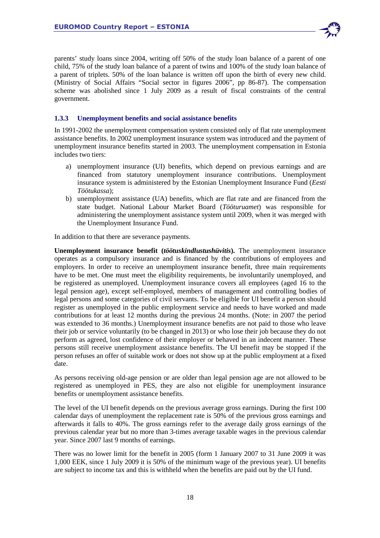

## **1.3.3 Unemployment benefits and social assistance benefits**

In 1991-2002 the unemployment compensation system consisted only of flat rate unemployment assistance benefits. In 2002 unemployment insurance system was introduced and the payment of unemployment insurance benefits started in 2003. The unemployment compensation in Estonia includes two tiers:

- a) unemployment insurance (UI) benefits, which depend on previous earnings and are financed from statutory unemployment insurance contributions. Unemployment insurance system is administered by the Estonian Unemployment Insurance Fund (*Eesti Töötukassa*);
- b) unemployment assistance (UA) benefits, which are flat rate and are financed from the state budget. National Labour Market Board (*Tööturuamet*) was responsible for administering the unemployment assistance system until 2009, when it was merged with the Unemployment Insurance Fund.

In addition to that there are severance payments.

**Unemployment insurance benefit (***töötuskindlustushüvitis***).** The unemployment insurance operates as a compulsory insurance and is financed by the contributions of employees and employers. In order to receive an unemployment insurance benefit, three main requirements have to be met. One must meet the eligibility requirements, be involuntarily unemployed, and be registered as unemployed. Unemployment insurance covers all employees (aged 16 to the legal pension age), except self-employed, members of management and controlling bodies of legal persons and some categories of civil servants. To be eligible for UI benefit a person should register as unemployed in the public employment service and needs to have worked and made contributions for at least 12 months during the previous 24 months. (Note: in 2007 the period was extended to 36 months.) Unemployment insurance benefits are not paid to those who leave their job or service voluntarily (to be changed in 2013) or who lose their job because they do not perform as agreed, lost confidence of their employer or behaved in an indecent manner. These persons still receive unemployment assistance benefits. The UI benefit may be stopped if the person refuses an offer of suitable work or does not show up at the public employment at a fixed date.

As persons receiving old-age pension or are older than legal pension age are not allowed to be registered as unemployed in PES, they are also not eligible for unemployment insurance benefits or unemployment assistance benefits.

The level of the UI benefit depends on the previous average gross earnings. During the first 100 calendar days of unemployment the replacement rate is 50% of the previous gross earnings and afterwards it falls to 40%. The gross earnings refer to the average daily gross earnings of the previous calendar year but no more than 3-times average taxable wages in the previous calendar year. Since 2007 last 9 months of earnings.

There was no lower limit for the benefit in 2005 (form 1 January 2007 to 31 June 2009 it was 1,000 EEK, since 1 July 2009 it is 50% of the minimum wage of the previous year). UI benefits are subject to income tax and this is withheld when the benefits are paid out by the UI fund.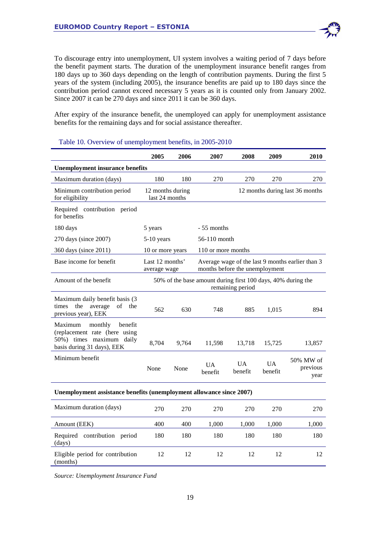To discourage entry into unemployment, UI system involves a waiting period of 7 days before the benefit payment starts. The duration of the unemployment insurance benefit ranges from 180 days up to 360 days depending on the length of contribution payments. During the first 5 years of the system (including 2005), the insurance benefits are paid up to 180 days since the contribution period cannot exceed necessary 5 years as it is counted only from January 2002. Since 2007 it can be 270 days and since 2011 it can be 360 days.

After expiry of the insurance benefit, the unemployed can apply for unemployment assistance benefits for the remaining days and for social assistance thereafter.

|                                                                                                                          | 2005                               | 2006                                                                             | 2007                 | 2008                           | 2009                 | 2010                                             |  |  |
|--------------------------------------------------------------------------------------------------------------------------|------------------------------------|----------------------------------------------------------------------------------|----------------------|--------------------------------|----------------------|--------------------------------------------------|--|--|
| <b>Unemployment insurance benefits</b>                                                                                   |                                    |                                                                                  |                      |                                |                      |                                                  |  |  |
| Maximum duration (days)                                                                                                  | 180                                | 180                                                                              | 270                  | 270                            | 270                  | 270                                              |  |  |
| Minimum contribution period<br>for eligibility                                                                           | 12 months during<br>last 24 months |                                                                                  |                      |                                |                      | 12 months during last 36 months                  |  |  |
| Required contribution period<br>for benefits                                                                             |                                    |                                                                                  |                      |                                |                      |                                                  |  |  |
| 180 days                                                                                                                 | 5 years                            |                                                                                  | - 55 months          |                                |                      |                                                  |  |  |
| 270 days (since 2007)                                                                                                    | 5-10 years                         |                                                                                  | 56-110 month         |                                |                      |                                                  |  |  |
| 360 days (since 2011)                                                                                                    | 10 or more years                   |                                                                                  | 110 or more months   |                                |                      |                                                  |  |  |
| Base income for benefit                                                                                                  | Last 12 months'<br>average wage    |                                                                                  |                      | months before the unemployment |                      | Average wage of the last 9 months earlier than 3 |  |  |
| Amount of the benefit                                                                                                    |                                    | 50% of the base amount during first 100 days, 40% during the<br>remaining period |                      |                                |                      |                                                  |  |  |
| Maximum daily benefit basis (3<br>times<br>the<br>average<br>of the<br>previous year), EEK                               | 562                                | 630                                                                              | 748                  | 885                            | 1,015                | 894                                              |  |  |
| Maximum<br>monthly<br>benefit<br>(replacement rate (here using<br>50%) times maximum daily<br>basis during 31 days), EEK | 8,704                              | 9,764                                                                            | 11,598               | 13,718                         | 15,725               | 13,857                                           |  |  |
| Minimum benefit                                                                                                          | None                               | None                                                                             | <b>UA</b><br>benefit | <b>UA</b><br>benefit           | <b>UA</b><br>benefit | 50% MW of<br>previous<br>year                    |  |  |
| Unemployment assistance benefits (unemployment allowance since 2007)                                                     |                                    |                                                                                  |                      |                                |                      |                                                  |  |  |
| Maximum duration (days)                                                                                                  | 270                                | 270                                                                              | 270                  | 270                            | 270                  | 270                                              |  |  |
| Amount (EEK)                                                                                                             | 400                                | 400                                                                              | 1,000                | 1,000                          | 1,000                | 1,000                                            |  |  |
| Required contribution period<br>(days)                                                                                   | 180                                | 180                                                                              | 180                  | 180                            | 180                  | 180                                              |  |  |
| Eligible period for contribution<br>(months)                                                                             | 12                                 | 12                                                                               | 12                   | 12                             | 12                   | 12                                               |  |  |

#### Table 10. Overview of unemployment benefits, in 2005-2010

*Source: Unemployment Insurance Fund* 

19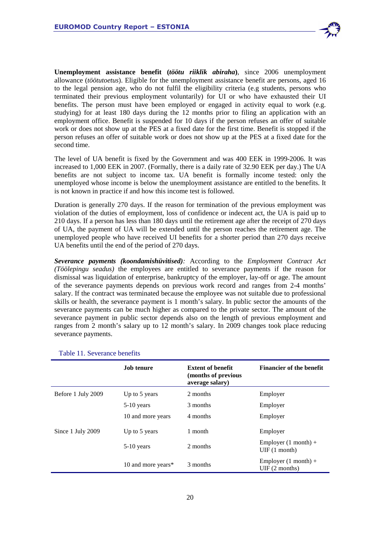

**Unemployment assistance benefit (***töötu riiklik abiraha***)***,* since 2006 unemployment allowance (*töötutoetus*). Eligible for the unemployment assistance benefit are persons, aged 16 to the legal pension age, who do not fulfil the eligibility criteria (e.g students, persons who terminated their previous employment voluntarily) for UI or who have exhausted their UI benefits. The person must have been employed or engaged in activity equal to work (e.g. studying) for at least 180 days during the 12 months prior to filing an application with an employment office. Benefit is suspended for 10 days if the person refuses an offer of suitable work or does not show up at the PES at a fixed date for the first time. Benefit is stopped if the person refuses an offer of suitable work or does not show up at the PES at a fixed date for the second time.

The level of UA benefit is fixed by the Government and was 400 EEK in 1999-2006. It was increased to 1,000 EEK in 2007. (Formally, there is a daily rate of 32.90 EEK per day.) The UA benefits are not subject to income tax. UA benefit is formally income tested: only the unemployed whose income is below the unemployment assistance are entitled to the benefits. It is not known in practice if and how this income test is followed.

Duration is generally 270 days. If the reason for termination of the previous employment was violation of the duties of employment, loss of confidence or indecent act, the UA is paid up to 210 days. If a person has less than 180 days until the retirement age after the receipt of 270 days of UA, the payment of UA will be extended until the person reaches the retirement age. The unemployed people who have received UI benefits for a shorter period than 270 days receive UA benefits until the end of the period of 270 days.

*Severance payments (koondamishüvitised):* According to the *Employment Contract Act (Töölepingu seadus)* the employees are entitled to severance payments if the reason for dismissal was liquidation of enterprise, bankruptcy of the employer, lay-off or age. The amount of the severance payments depends on previous work record and ranges from 2-4 months' salary. If the contract was terminated because the employee was not suitable due to professional skills or health, the severance payment is 1 month's salary. In public sector the amounts of the severance payments can be much higher as compared to the private sector. The amount of the severance payment in public sector depends also on the length of previous employment and ranges from 2 month's salary up to 12 month's salary. In 2009 changes took place reducing severance payments.

|                    | Job tenure         | <b>Extent of benefit</b><br>(months of previous<br>average salary) | <b>Financier of the benefit</b>                 |
|--------------------|--------------------|--------------------------------------------------------------------|-------------------------------------------------|
| Before 1 July 2009 | Up to 5 years      | 2 months                                                           | Employer                                        |
|                    | $5-10$ years       | 3 months                                                           | Employer                                        |
|                    | 10 and more years  | 4 months                                                           | Employer                                        |
| Since 1 July 2009  | Up to 5 years      | 1 month                                                            | Employer                                        |
|                    | $5-10$ years       | 2 months                                                           | Employer $(1 \text{ month}) +$<br>UIF(1 month)  |
|                    | 10 and more years* | 3 months                                                           | Employer $(1 \text{ month}) +$<br>UIF(2 months) |

Table 11. Severance benefits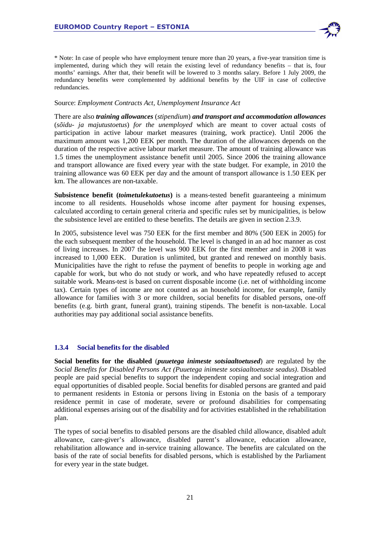

\* Note: In case of people who have employment tenure more than 20 years, a five-year transition time is implemented, during which they will retain the existing level of redundancy benefits – that is, four months' earnings. After that, their benefit will be lowered to 3 months salary. Before 1 July 2009, the redundancy benefits were complemented by additional benefits by the UIF in case of collective redundancies.

#### Source: *Employment Contracts Act, Unemployment Insurance Act*

There are also *training allowances* (*stipendium*) *and transport and accommodation allowances*  (*sõidu- ja majutustoetus*) *for the unemployed* which are meant to cover actual costs of participation in active labour market measures (training, work practice). Until 2006 the maximum amount was 1,200 EEK per month. The duration of the allowances depends on the duration of the respective active labour market measure. The amount of training allowance was 1.5 times the unemployment assistance benefit until 2005. Since 2006 the training allowance and transport allowance are fixed every year with the state budget. For example, in 2010 the training allowance was 60 EEK per day and the amount of transport allowance is 1.50 EEK per km. The allowances are non-taxable.

**Subsistence benefit (***toimetulekutoetus***)** is a means-tested benefit guaranteeing a minimum income to all residents. Households whose income after payment for housing expenses, calculated according to certain general criteria and specific rules set by municipalities, is below the subsistence level are entitled to these benefits. The details are given in section 2.3.9.

In 2005, subsistence level was 750 EEK for the first member and 80% (500 EEK in 2005) for the each subsequent member of the household. The level is changed in an ad hoc manner as cost of living increases. In 2007 the level was 900 EEK for the first member and in 2008 it was increased to 1,000 EEK. Duration is unlimited, but granted and renewed on monthly basis. Municipalities have the right to refuse the payment of benefits to people in working age and capable for work, but who do not study or work, and who have repeatedly refused to accept suitable work. Means-test is based on current disposable income (i.e. net of withholding income tax). Certain types of income are not counted as an household income, for example, family allowance for families with 3 or more children, social benefits for disabled persons, one-off benefits (e.g. birth grant, funeral grant), training stipends. The benefit is non-taxable. Local authorities may pay additional social assistance benefits.

## **1.3.4 Social benefits for the disabled**

**Social benefits for the disabled** (*puuetega inimeste sotsiaaltoetused*) are regulated by the *Social Benefits for Disabled Persons Act (Puuetega inimeste sotsiaaltoetuste seadus)*. Disabled people are paid special benefits to support the independent coping and social integration and equal opportunities of disabled people. Social benefits for disabled persons are granted and paid to permanent residents in Estonia or persons living in Estonia on the basis of a temporary residence permit in case of moderate, severe or profound disabilities for compensating additional expenses arising out of the disability and for activities established in the rehabilitation plan.

The types of social benefits to disabled persons are the disabled child allowance, disabled adult allowance, care-giver's allowance, disabled parent's allowance, education allowance, rehabilitation allowance and in-service training allowance. The benefits are calculated on the basis of the rate of social benefits for disabled persons, which is established by the Parliament for every year in the state budget.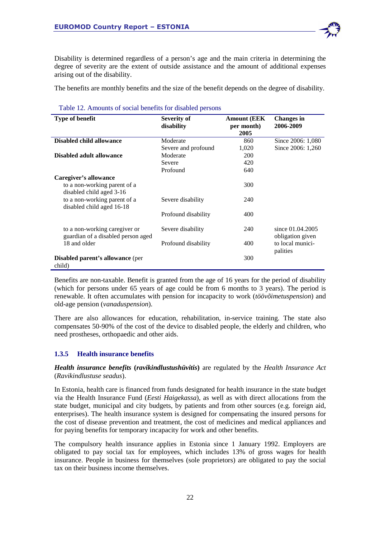

Disability is determined regardless of a person's age and the main criteria in determining the degree of severity are the extent of outside assistance and the amount of additional expenses arising out of the disability.

The benefits are monthly benefits and the size of the benefit depends on the degree of disability.

| <b>Type of benefit</b>                  | Severity of         | <b>Amount (EEK)</b> | <b>Changes in</b> |
|-----------------------------------------|---------------------|---------------------|-------------------|
|                                         | disability          | per month)          | 2006-2009         |
|                                         |                     | 2005                |                   |
| Disabled child allowance                | Moderate            | 860                 | Since 2006: 1,080 |
|                                         | Severe and profound | 1,020               | Since 2006: 1,260 |
| Disabled adult allowance                | Moderate            | 200                 |                   |
|                                         | Severe              | 420                 |                   |
|                                         | Profound            | 640                 |                   |
| Caregiver's allowance                   |                     |                     |                   |
| to a non-working parent of a            |                     | 300                 |                   |
| disabled child aged 3-16                |                     |                     |                   |
| to a non-working parent of a            | Severe disability   | 240                 |                   |
| disabled child aged 16-18               |                     |                     |                   |
|                                         | Profound disability | 400                 |                   |
|                                         |                     |                     |                   |
| to a non-working caregiver or           | Severe disability   | 240                 | since 01.04.2005  |
| guardian of a disabled person aged      |                     |                     | obligation given  |
| 18 and older                            | Profound disability | 400                 | to local munici-  |
|                                         |                     |                     | palities          |
| <b>Disabled parent's allowance</b> (per |                     | 300                 |                   |
| child)                                  |                     |                     |                   |

Table 12. Amounts of social benefits for disabled persons

Benefits are non-taxable. Benefit is granted from the age of 16 years for the period of disability (which for persons under 65 years of age could be from 6 months to 3 years). The period is renewable. It often accumulates with pension for incapacity to work (*töövõimetuspension*) and old-age pension (*vanaduspension*).

There are also allowances for education, rehabilitation, in-service training. The state also compensates 50-90% of the cost of the device to disabled people, the elderly and children, who need prostheses, orthopaedic and other aids.

## **1.3.5 Health insurance benefits**

*Health insurance benefits* **(***ravikindlustushüvitis***)** are regulated by the *Health Insurance Act*  (*Ravikindlustuse seadus*).

In Estonia, health care is financed from funds designated for health insurance in the state budget via the Health Insurance Fund (*Eesti Haigekassa*), as well as with direct allocations from the state budget, municipal and city budgets, by patients and from other sources (e.g. foreign aid, enterprises). The health insurance system is designed for compensating the insured persons for the cost of disease prevention and treatment, the cost of medicines and medical appliances and for paying benefits for temporary incapacity for work and other benefits.

The compulsory health insurance applies in Estonia since 1 January 1992. Employers are obligated to pay social tax for employees, which includes 13% of gross wages for health insurance. People in business for themselves (sole proprietors) are obligated to pay the social tax on their business income themselves.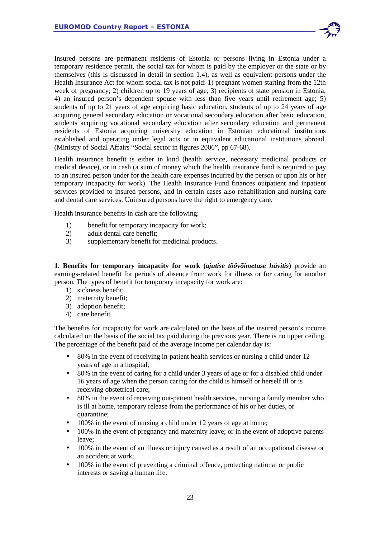

Insured persons are permanent residents of Estonia or persons living in Estonia under a temporary residence permit, the social tax for whom is paid by the employer or the state or by themselves (this is discussed in detail in section 1.4), as well as equivalent persons under the Health Insurance Act for whom social tax is not paid: 1) pregnant women starting from the 12th week of pregnancy; 2) children up to 19 years of age; 3) recipients of state pension in Estonia; 4) an insured person's dependent spouse with less than five years until retirement age; 5) students of up to 21 years of age acquiring basic education, students of up to 24 years of age acquiring general secondary education or vocational secondary education after basic education, students acquiring vocational secondary education after secondary education and permanent residents of Estonia acquiring university education in Estonian educational institutions established and operating under legal acts or in equivalent educational institutions abroad. (Ministry of Social Affairs "Social sector in figures 2006", pp 67-68).

Health insurance benefit is either in kind (health service, necessary medicinal products or medical device), or in cash (a sum of money which the health insurance fund is required to pay to an insured person under for the health care expenses incurred by the person or upon his or her temporary incapacity for work). The Health Insurance Fund finances outpatient and inpatient services provided to insured persons, and in certain cases also rehabilitation and nursing care and dental care services. Uninsured persons have the right to emergency care.

Health insurance benefits in cash are the following:

- 1) benefit for temporary incapacity for work;
- 2) adult dental care benefit;
- 3) supplementary benefit for medicinal products.

**1. Benefits for temporary incapacity for work (***ajutise töövõimetuse hüvitis***)** provide an earnings-related benefit for periods of absence from work for illness or for caring for another person. The types of benefit for temporary incapacity for work are:

- 1) sickness benefit;
- 2) maternity benefit;
- 3) adoption benefit;
- 4) care benefit.

The benefits for incapacity for work are calculated on the basis of the insured person's income calculated on the basis of the social tax paid during the previous year. There is no upper ceiling. The percentage of the benefit paid of the average income per calendar day is:

- 80% in the event of receiving in-patient health services or nursing a child under 12 years of age in a hospital;
- 80% in the event of caring for a child under 3 years of age or for a disabled child under 16 years of age when the person caring for the child is himself or herself ill or is receiving obstetrical care;
- 80% in the event of receiving out-patient health services, nursing a family member who is ill at home, temporary release from the performance of his or her duties, or quarantine;
- 100% in the event of nursing a child under 12 years of age at home;
- 100% in the event of pregnancy and maternity leave; or in the event of adoptive parents leave;
- 100% in the event of an illness or injury caused as a result of an occupational disease or an accident at work;
- 100% in the event of preventing a criminal offence, protecting national or public interests or saving a human life.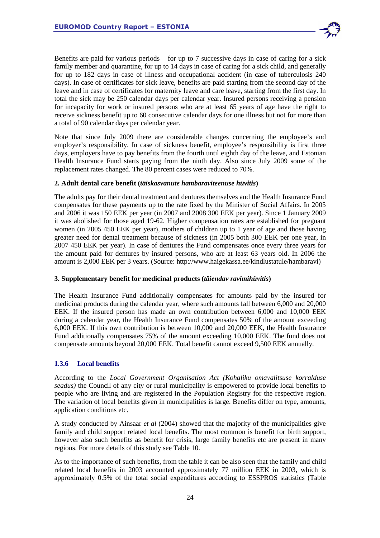

Benefits are paid for various periods – for up to 7 successive days in case of caring for a sick family member and quarantine, for up to 14 days in case of caring for a sick child, and generally for up to 182 days in case of illness and occupational accident (in case of tuberculosis 240 days). In case of certificates for sick leave, benefits are paid starting from the second day of the leave and in case of certificates for maternity leave and care leave, starting from the first day. In total the sick may be 250 calendar days per calendar year. Insured persons receiving a pension for incapacity for work or insured persons who are at least 65 years of age have the right to receive sickness benefit up to 60 consecutive calendar days for one illness but not for more than a total of 90 calendar days per calendar year.

Note that since July 2009 there are considerable changes concerning the employee's and employer's responsibility. In case of sickness benefit, employee's responsibility is first three days, employers have to pay benefits from the fourth until eighth day of the leave, and Estonian Health Insurance Fund starts paying from the ninth day. Also since July 2009 some of the replacement rates changed. The 80 percent cases were reduced to 70%.

## **2. Adult dental care benefit (***täiskasvanute hambaraviteenuse hüvitis***)**

The adults pay for their dental treatment and dentures themselves and the Health Insurance Fund compensates for these payments up to the rate fixed by the Minister of Social Affairs. In 2005 and 2006 it was 150 EEK per year (in 2007 and 2008 300 EEK per year). Since 1 January 2009 it was abolished for those aged 19-62. Higher compensation rates are established for pregnant women (in 2005 450 EEK per year), mothers of children up to 1 year of age and those having greater need for dental treatment because of sickness (in 2005 both 300 EEK per one year, in 2007 450 EEK per year). In case of dentures the Fund compensates once every three years for the amount paid for dentures by insured persons, who are at least 63 years old. In 2006 the amount is 2,000 EEK per 3 years. (Source: http://www.haigekassa.ee/kindlustatule/hambaravi)

## **3. Supplementary benefit for medicinal products (***täiendav ravimihüvitis***)**

The Health Insurance Fund additionally compensates for amounts paid by the insured for medicinal products during the calendar year, where such amounts fall between 6,000 and 20,000 EEK. If the insured person has made an own contribution between 6,000 and 10,000 EEK during a calendar year, the Health Insurance Fund compensates 50% of the amount exceeding 6,000 EEK. If this own contribution is between 10,000 and 20,000 EEK, the Health Insurance Fund additionally compensates 75% of the amount exceeding 10,000 EEK. The fund does not compensate amounts beyond 20,000 EEK. Total benefit cannot exceed 9,500 EEK annually.

## **1.3.6 Local benefits**

According to the *Local Government Organisation Act (Kohaliku omavalitsuse korralduse seadus)* the Council of any city or rural municipality is empowered to provide local benefits to people who are living and are registered in the Population Registry for the respective region. The variation of local benefits given in municipalities is large. Benefits differ on type, amounts, application conditions etc.

A study conducted by Ainsaar *et al* (2004) showed that the majority of the municipalities give family and child support related local benefits. The most common is benefit for birth support, however also such benefits as benefit for crisis, large family benefits etc are present in many regions. For more details of this study see Table 10.

As to the importance of such benefits, from the table it can be also seen that the family and child related local benefits in 2003 accounted approximately 77 million EEK in 2003, which is approximately 0.5% of the total social expenditures according to ESSPROS statistics (Table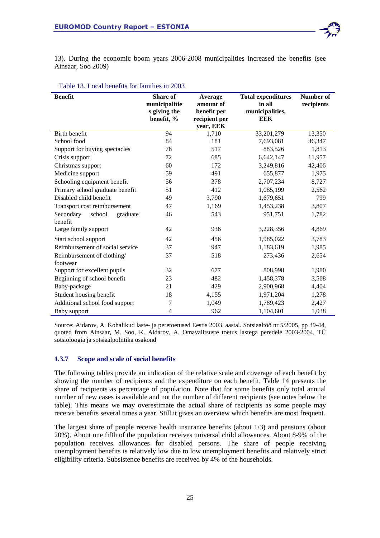

13). During the economic boom years 2006-2008 municipalities increased the benefits (see Ainsaar, Soo 2009)

| <b>Benefit</b>                             | Share of<br>municipalitie<br>s giving the<br>benefit, % | Average<br>amount of<br>benefit per<br>recipient per<br>year, EEK | <b>Total expenditures</b><br>in all<br>municipalities,<br><b>EEK</b> | Number of<br>recipients |
|--------------------------------------------|---------------------------------------------------------|-------------------------------------------------------------------|----------------------------------------------------------------------|-------------------------|
| Birth benefit                              | 94                                                      | 1,710                                                             | 33,201,279                                                           | 13,350                  |
| School food                                | 84                                                      | 181                                                               | 7,693,081                                                            | 36,347                  |
| Support for buying spectacles              | 78                                                      | 517                                                               | 883,526                                                              | 1,813                   |
| Crisis support                             | 72                                                      | 685                                                               | 6,642,147                                                            | 11,957                  |
| Christmas support                          | 60                                                      | 172                                                               | 3,249,816                                                            | 42,406                  |
| Medicine support                           | 59                                                      | 491                                                               | 655,877                                                              | 1,975                   |
| Schooling equipment benefit                | 56                                                      | 378                                                               | 2,707,234                                                            | 8,727                   |
| Primary school graduate benefit            | 51                                                      | 412                                                               | 1,085,199                                                            | 2,562                   |
| Disabled child benefit                     | 49                                                      | 3,790                                                             | 1,679,651                                                            | 799                     |
| Transport cost reimbursement               | 47                                                      | 1,169                                                             | 1,453,238                                                            | 3,807                   |
| Secondary<br>school<br>graduate<br>benefit | 46                                                      | 543                                                               | 951,751                                                              | 1,782                   |
| Large family support                       | 42                                                      | 936                                                               | 3,228,356                                                            | 4,869                   |
| Start school support                       | 42                                                      | 456                                                               | 1,985,022                                                            | 3,783                   |
| Reimbursement of social service            | 37                                                      | 947                                                               | 1,183,619                                                            | 1,985                   |
| Reimbursement of clothing/<br>footwear     | 37                                                      | 518                                                               | 273,436                                                              | 2,654                   |
| Support for excellent pupils               | 32                                                      | 677                                                               | 808,998                                                              | 1,980                   |
| Beginning of school benefit                | 23                                                      | 482                                                               | 1,458,378                                                            | 3,568                   |
| Baby-package                               | 21                                                      | 429                                                               | 2,900,968                                                            | 4,404                   |
| Student housing benefit                    | 18                                                      | 4,155                                                             | 1,971,204                                                            | 1,278                   |
| Additional school food support             | 7                                                       | 1,049                                                             | 1,789,423                                                            | 2,427                   |
| Baby support                               | 4                                                       | 962                                                               | 1,104,601                                                            | 1,038                   |

#### Table 13. Local benefits for families in 2003

Source: Aidarov, A. Kohalikud laste- ja peretoetused Eestis 2003. aastal. Sotsiaaltöö nr 5/2005, pp 39-44, quoted from Ainsaar, M. Soo, K. Aidarov, A. Omavalitsuste toetus lastega peredele 2003-2004, TÜ sotsioloogia ja sotsiaalpoliitika osakond

#### **1.3.7 Scope and scale of social benefits**

The following tables provide an indication of the relative scale and coverage of each benefit by showing the number of recipients and the expenditure on each benefit. Table 14 presents the share of recipients as percentage of population. Note that for some benefits only total annual number of new cases is available and not the number of different recipients (see notes below the table). This means we may overestimate the actual share of recipients as some people may receive benefits several times a year. Still it gives an overview which benefits are most frequent.

The largest share of people receive health insurance benefits (about 1/3) and pensions (about 20%). About one fifth of the population receives universal child allowances. About 8-9% of the population receives allowances for disabled persons. The share of people receiving unemployment benefits is relatively low due to low unemployment benefits and relatively strict eligibility criteria. Subsistence benefits are received by 4% of the households.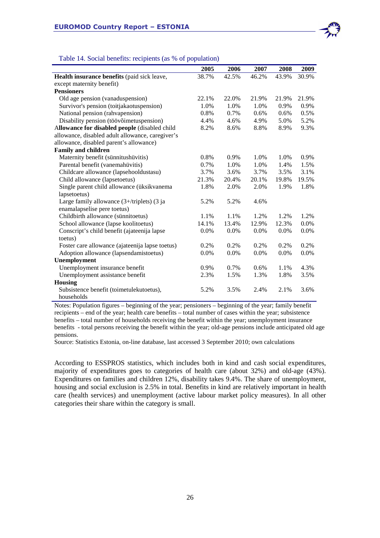

#### Table 14. Social benefits: recipients (as % of population)

|                                                  | 2005  | 2006    | 2007  | 2008  | 2009    |
|--------------------------------------------------|-------|---------|-------|-------|---------|
| Health insurance benefits (paid sick leave,      | 38.7% | 42.5%   | 46.2% | 43.9% | 30.9%   |
| except maternity benefit)                        |       |         |       |       |         |
| <b>Pensioners</b>                                |       |         |       |       |         |
| Old age pension (vanaduspension)                 | 22.1% | 22.0%   | 21.9% | 21.9% | 21.9%   |
| Survivor's pension (toitjakaotuspension)         | 1.0%  | 1.0%    | 1.0%  | 0.9%  | 0.9%    |
| National pension (rahvapension)                  | 0.8%  | 0.7%    | 0.6%  | 0.6%  | 0.5%    |
| Disability pension (töövõimetuspension)          | 4.4%  | 4.6%    | 4.9%  | 5.0%  | 5.2%    |
| Allowance for disabled people (disabled child    | 8.2%  | 8.6%    | 8.8%  | 8.9%  | 9.3%    |
| allowance, disabled adult allowance, caregiver's |       |         |       |       |         |
| allowance, disabled parent's allowance)          |       |         |       |       |         |
| <b>Family and children</b>                       |       |         |       |       |         |
| Maternity benefit (sünnitushüvitis)              | 0.8%  | 0.9%    | 1.0%  | 1.0%  | 0.9%    |
| Parental benefit (vanemahüvitis)                 | 0.7%  | 1.0%    | 1.0%  | 1.4%  | 1.5%    |
| Childcare allowance (lapsehooldustasu)           | 3.7%  | 3.6%    | 3.7%  | 3.5%  | 3.1%    |
| Child allowance (lapsetoetus)                    | 21.3% | 20.4%   | 20.1% | 19.8% | 19.5%   |
| Single parent child allowance (üksikvanema       | 1.8%  | 2.0%    | 2.0%  | 1.9%  | 1.8%    |
| lapsetoetus)                                     |       |         |       |       |         |
| Large family allowance $(3+$ /triplets) $(3)$ ja | 5.2%  | 5.2%    | 4.6%  |       |         |
| enamalapselise pere toetus)                      |       |         |       |       |         |
| Childbirth allowance (sünnitoetus)               | 1.1%  | 1.1%    | 1.2%  | 1.2%  | 1.2%    |
| School allowance (lapse koolitoetus)             | 14.1% | 13.4%   | 12.9% | 12.3% | $0.0\%$ |
| Conscript's child benefit (ajateenija lapse      | 0.0%  | $0.0\%$ | 0.0%  | 0.0%  | 0.0%    |
| toetus)                                          |       |         |       |       |         |
| Foster care allowance (ajateenija lapse toetus)  | 0.2%  | 0.2%    | 0.2%  | 0.2%  | 0.2%    |
| Adoption allowance (lapsendamistoetus)           | 0.0%  | 0.0%    | 0.0%  | 0.0%  | 0.0%    |
| Unemployment                                     |       |         |       |       |         |
| Unemployment insurance benefit                   | 0.9%  | 0.7%    | 0.6%  | 1.1%  | 4.3%    |
| Unemployment assistance benefit                  | 2.3%  | 1.5%    | 1.3%  | 1.8%  | 3.5%    |
| <b>Housing</b>                                   |       |         |       |       |         |
| Subsistence benefit (toimetulekutoetus),         | 5.2%  | 3.5%    | 2.4%  | 2.1%  | 3.6%    |
| households                                       |       |         |       |       |         |

Notes: Population figures – beginning of the year; pensioners – beginning of the year; family benefit recipients – end of the year; health care benefits – total number of cases within the year; subsistence benefits – total number of households receiving the benefit within the year; unemployment insurance benefits - total persons receiving the benefit within the year; old-age pensions include anticipated old age pensions.

Source: Statistics Estonia, on-line database, last accessed 3 September 2010; own calculations

According to ESSPROS statistics, which includes both in kind and cash social expenditures, majority of expenditures goes to categories of health care (about 32%) and old-age (43%). Expenditures on families and children 12%, disability takes 9.4%. The share of unemployment, housing and social exclusion is 2.5% in total. Benefits in kind are relatively important in health care (health services) and unemployment (active labour market policy measures). In all other categories their share within the category is small.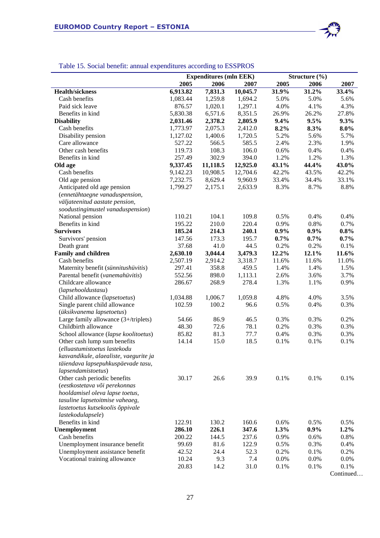

## Table 15. Social benefit: annual expenditures according to ESSPROS

|                                        |          | <b>Expenditures (mln EEK)</b> |          | Structure (%) |         |         |
|----------------------------------------|----------|-------------------------------|----------|---------------|---------|---------|
|                                        | 2005     | 2006                          | 2007     | 2005          | 2006    | 2007    |
| <b>Health/sickness</b>                 | 6,913.82 | 7,831.3                       | 10,045.7 | 31.9%         | 31.2%   | 33.4%   |
| Cash benefits                          | 1,083.44 | 1,259.8                       | 1,694.2  | 5.0%          | 5.0%    | 5.6%    |
| Paid sick leave                        | 876.57   | 1,020.1                       | 1,297.1  | 4.0%          | 4.1%    | 4.3%    |
| Benefits in kind                       | 5,830.38 | 6,571.6                       | 8,351.5  | 26.9%         | 26.2%   | 27.8%   |
| <b>Disability</b>                      | 2,031.46 | 2,378.2                       | 2,805.9  | 9.4%          | 9.5%    | 9.3%    |
| Cash benefits                          | 1,773.97 | 2,075.3                       | 2,412.0  | 8.2%          | 8.3%    | $8.0\%$ |
| Disability pension                     | 1,127.02 | 1,400.6                       | 1,720.5  | 5.2%          | 5.6%    | 5.7%    |
| Care allowance                         | 527.22   | 566.5                         | 585.5    | 2.4%          | 2.3%    | 1.9%    |
| Other cash benefits                    | 119.73   | 108.3                         | 106.0    | 0.6%          | 0.4%    | 0.4%    |
| Benefits in kind                       | 257.49   | 302.9                         | 394.0    | 1.2%          | 1.2%    | 1.3%    |
| Old age                                | 9,337.45 | 11,118.5                      | 12,925.0 | 43.1%         | 44.4%   | 43.0%   |
| Cash benefits                          | 9,142.23 | 10,908.5                      | 12,704.6 | 42.2%         | 43.5%   | 42.2%   |
| Old age pension                        | 7,232.75 | 8,629.4                       | 9,960.9  | 33.4%         | 34.4%   | 33.1%   |
| Anticipated old age pension            | 1,799.27 | 2,175.1                       | 2,633.9  | 8.3%          | 8.7%    | 8.8%    |
| (ennetähtaegne vanaduspension,         |          |                               |          |               |         |         |
| väljateenitud aastate pension,         |          |                               |          |               |         |         |
| soodustingimustel vanaduspension)      |          |                               |          |               |         |         |
| National pension                       | 110.21   | 104.1                         | 109.8    | 0.5%          | 0.4%    | 0.4%    |
| Benefits in kind                       | 195.22   | 210.0                         | 220.4    | 0.9%          | 0.8%    | 0.7%    |
| <b>Survivors</b>                       | 185.24   | 214.3                         | 240.1    | 0.9%          | $0.9\%$ | 0.8%    |
| Survivors' pension                     | 147.56   | 173.3                         | 195.7    | $0.7\%$       | 0.7%    | 0.7%    |
| Death grant                            | 37.68    | 41.0                          | 44.5     | 0.2%          | 0.2%    | 0.1%    |
| <b>Family and children</b>             | 2,630.10 | 3,044.4                       | 3,479.3  | 12.2%         | 12.1%   | 11.6%   |
| Cash benefits                          | 2,507.19 | 2,914.2                       | 3,318.7  | 11.6%         | 11.6%   | 11.0%   |
| Maternity benefit (sünnitushüvitis)    | 297.41   | 358.8                         | 459.5    | 1.4%          | 1.4%    | 1.5%    |
| Parental benefit (vanemahiivitis)      | 552.56   | 898.0                         | 1,113.1  | 2.6%          | 3.6%    | 3.7%    |
| Childcare allowance                    | 286.67   | 268.9                         | 278.4    | 1.3%          | 1.1%    | 0.9%    |
| (lapsehooldustasu)                     |          |                               |          |               |         |         |
| Child allowance (lapsetoetus)          | 1,034.88 | 1,006.7                       | 1,059.8  | 4.8%          | 4.0%    | 3.5%    |
| Single parent child allowance          | 102.59   | 100.2                         | 96.6     | 0.5%          | 0.4%    | 0.3%    |
| (üksikvanema lapsetoetus)              |          |                               |          |               |         |         |
| Large family allowance (3+/triplets)   | 54.66    | 86.9                          | 46.5     | 0.3%          | 0.3%    | 0.2%    |
| Childbirth allowance                   | 48.30    | 72.6                          | 78.1     | 0.2%          | 0.3%    | 0.3%    |
| School allowance (lapse koolitoetus)   | 85.82    | 81.3                          | 77.7     | 0.4%          | 0.3%    | 0.3%    |
| Other cash lump sum benefits           | 14.14    | 15.0                          | 18.5     | 0.1%          | 0.1%    | 0.1%    |
| (elluastumistoetus lastekodu           |          |                               |          |               |         |         |
| kasvandikule, alaealiste, vaegurite ja |          |                               |          |               |         |         |
| täiendava lapsepuhkuspäevade tasu,     |          |                               |          |               |         |         |
| lapsendamistoetus)                     |          |                               |          |               |         |         |
| Other cash periodic benefits           | 30.17    | 26.6                          | 39.9     | 0.1%          | 0.1%    | 0.1%    |
| (eestkostetava või perekonnas          |          |                               |          |               |         |         |
| hooldamisel oleva lapse toetus,        |          |                               |          |               |         |         |
| tasuline lapsetoitmise vaheaeg,        |          |                               |          |               |         |         |
| lastetoetus kutsekoolis õppivale       |          |                               |          |               |         |         |
| lastekodulapsele)                      |          |                               |          |               |         |         |
| Benefits in kind                       | 122.91   | 130.2                         | 160.6    | 0.6%          | 0.5%    | 0.5%    |
| Unemployment                           | 286.10   | 226.1                         | 347.6    | 1.3%          | $0.9\%$ | 1.2%    |
| Cash benefits                          | 200.22   | 144.5                         | 237.6    | 0.9%          | 0.6%    | 0.8%    |
| Unemployment insurance benefit         | 99.69    | 81.6                          | 122.9    | 0.5%          | 0.3%    | 0.4%    |
| Unemployment assistance benefit        | 42.52    | 24.4                          | 52.3     | 0.2%          | 0.1%    | 0.2%    |
| Vocational training allowance          | 10.24    | 9.3                           | 7.4      | 0.0%          | 0.0%    | 0.0%    |
|                                        | 20.83    | 14.2                          | 31.0     | 0.1%          | 0.1%    | 0.1%    |

Continued…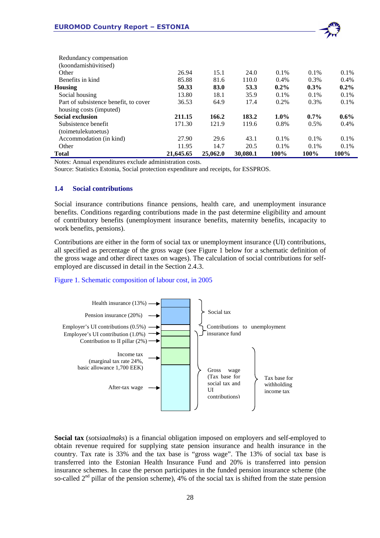

| <b>Total</b>                          | 21,645.65 | 25,062.0 | 30,080.1 | 100%    | 100%    | 100%    |
|---------------------------------------|-----------|----------|----------|---------|---------|---------|
| Other                                 | 11.95     | 14.7     | 20.5     | $0.1\%$ | $0.1\%$ | $0.1\%$ |
| Accommodation (in kind)               | 27.90     | 29.6     | 43.1     | $0.1\%$ | $0.1\%$ | $0.1\%$ |
| (toimetulekutoetus)                   |           |          |          |         |         |         |
| Subsistence benefit                   | 171.30    | 121.9    | 119.6    | 0.8%    | 0.5%    | $0.4\%$ |
| <b>Social exclusion</b>               | 211.15    | 166.2    | 183.2    | $1.0\%$ | $0.7\%$ | $0.6\%$ |
| housing costs (imputed)               |           |          |          |         |         |         |
| Part of subsistence benefit, to cover | 36.53     | 64.9     | 17.4     | $0.2\%$ | $0.3\%$ | $0.1\%$ |
| Social housing                        | 13.80     | 18.1     | 35.9     | 0.1%    | 0.1%    | 0.1%    |
| Housing                               | 50.33     | 83.0     | 53.3     | $0.2\%$ | $0.3\%$ | $0.2\%$ |
| Benefits in kind                      | 85.88     | 81.6     | 110.0    | $0.4\%$ | $0.3\%$ | $0.4\%$ |
| Other                                 | 26.94     | 15.1     | 24.0     | $0.1\%$ | $0.1\%$ | $0.1\%$ |
| (koondamishüvitised)                  |           |          |          |         |         |         |
| Redundancy compensation               |           |          |          |         |         |         |

Notes: Annual expenditures exclude administration costs.

Source: Statistics Estonia, Social protection expenditure and receipts, for ESSPROS.

#### **1.4 Social contributions**

Social insurance contributions finance pensions, health care, and unemployment insurance benefits. Conditions regarding contributions made in the past determine eligibility and amount of contributory benefits (unemployment insurance benefits, maternity benefits, incapacity to work benefits, pensions).

Contributions are either in the form of social tax or unemployment insurance (UI) contributions, all specified as percentage of the gross wage (see Figure 1 below for a schematic definition of the gross wage and other direct taxes on wages). The calculation of social contributions for selfemployed are discussed in detail in the Section 2.4.3.

#### Figure 1. Schematic composition of labour cost, in 2005



**Social tax** (*sotsiaalmaks*) is a financial obligation imposed on employers and self-employed to obtain revenue required for supplying state pension insurance and health insurance in the country. Tax rate is 33% and the tax base is "gross wage". The 13% of social tax base is transferred into the Estonian Health Insurance Fund and 20% is transferred into pension insurance schemes. In case the person participates in the funded pension insurance scheme (the so-called  $2<sup>nd</sup>$  pillar of the pension scheme), 4% of the social tax is shifted from the state pension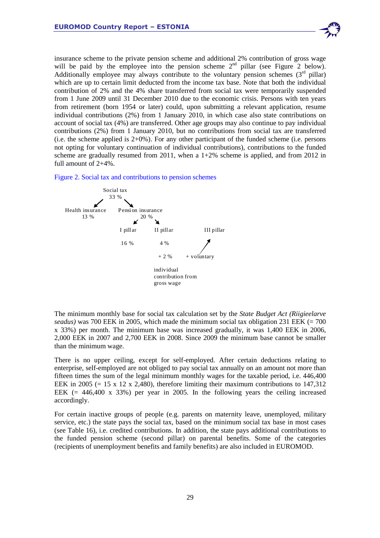insurance scheme to the private pension scheme and additional 2% contribution of gross wage will be paid by the employee into the pension scheme  $2<sup>nd</sup>$  pillar (see Figure 2 below). Additionally employee may always contribute to the voluntary pension schemes  $(3<sup>rd</sup> pillar)$ which are up to certain limit deducted from the income tax base. Note that both the individual contribution of 2% and the 4% share transferred from social tax were temporarily suspended from 1 June 2009 until 31 December 2010 due to the economic crisis. Persons with ten years from retirement (born 1954 or later) could, upon submitting a relevant application, resume individual contributions (2%) from 1 January 2010, in which case also state contributions on account of social tax (4%) are transferred. Other age groups may also continue to pay individual contributions (2%) from 1 January 2010, but no contributions from social tax are transferred (i.e. the scheme applied is  $2+0\%$ ). For any other participant of the funded scheme (i.e. persons not opting for voluntary continuation of individual contributions), contributions to the funded scheme are gradually resumed from 2011, when a  $1+2\%$  scheme is applied, and from 2012 in full amount of 2+4%.

#### Figure 2. Social tax and contributions to pension schemes



The minimum monthly base for social tax calculation set by the *State Budget Act (Riigieelarve seadus)* was 700 EEK in 2005, which made the minimum social tax obligation 231 EEK (= 700 x 33%) per month. The minimum base was increased gradually, it was 1,400 EEK in 2006, 2,000 EEK in 2007 and 2,700 EEK in 2008. Since 2009 the minimum base cannot be smaller than the minimum wage.

There is no upper ceiling, except for self-employed. After certain deductions relating to enterprise, self-employed are not obliged to pay social tax annually on an amount not more than fifteen times the sum of the legal minimum monthly wages for the taxable period, i.e. 446,400 EEK in 2005 (= 15 x 12 x 2,480), therefore limiting their maximum contributions to  $147,312$ EEK  $(= 446,400 \times 33\%)$  per year in 2005. In the following years the ceiling increased accordingly.

For certain inactive groups of people (e.g. parents on maternity leave, unemployed, military service, etc.) the state pays the social tax, based on the minimum social tax base in most cases (see Table 16), i.e. credited contributions. In addition, the state pays additional contributions to the funded pension scheme (second pillar) on parental benefits. Some of the categories (recipients of unemployment benefits and family benefits) are also included in EUROMOD.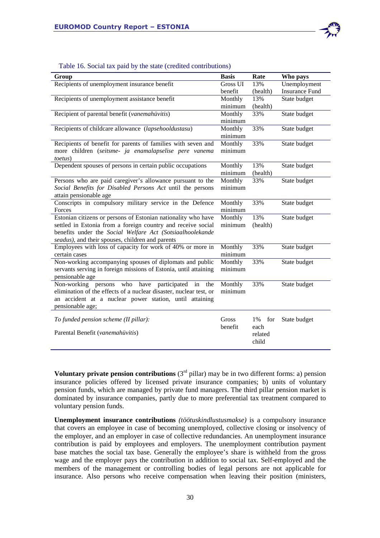

| Group                                                              | <b>Basis</b> | Rate      | Who pays              |
|--------------------------------------------------------------------|--------------|-----------|-----------------------|
| Recipients of unemployment insurance benefit                       | Gross UI     | 13%       | Unemployment          |
|                                                                    | benefit      | (health)  | <b>Insurance Fund</b> |
| Recipients of unemployment assistance benefit                      | Monthly      | 13%       | State budget          |
|                                                                    | minimum      | (health)  |                       |
| Recipient of parental benefit (vanemahüvitis)                      | Monthly      | 33%       | State budget          |
|                                                                    | minimum      |           |                       |
| Recipients of childcare allowance (lapsehooldustasu)               | Monthly      | 33%       | State budget          |
|                                                                    | minimum      |           |                       |
| Recipients of benefit for parents of families with seven and       | Monthly      | 33%       | State budget          |
| more children (seitsme- ja enamalapselise pere vanema<br>toetus)   | minimum      |           |                       |
| Dependent spouses of persons in certain public occupations         | Monthly      | 13%       | State budget          |
|                                                                    | minimum      | (health)  |                       |
| Persons who are paid caregiver's allowance pursuant to the         | Monthly      | 33%       | State budget          |
| Social Benefits for Disabled Persons Act until the persons         | minimum      |           |                       |
| attain pensionable age                                             |              |           |                       |
| Conscripts in compulsory military service in the Defence           | Monthly      | 33%       | State budget          |
| Forces                                                             | minimum      |           |                       |
| Estonian citizens or persons of Estonian nationality who have      | Monthly      | 13%       | State budget          |
| settled in Estonia from a foreign country and receive social       | minimum      | (health)  |                       |
| benefits under the Social Welfare Act (Sotsiaalhoolekande          |              |           |                       |
| seadus), and their spouses, children and parents                   |              |           |                       |
| Employees with loss of capacity for work of 40% or more in         | Monthly      | 33%       | State budget          |
| certain cases                                                      | minimum      |           |                       |
| Non-working accompanying spouses of diplomats and public           | Monthly      | 33%       | State budget          |
| servants serving in foreign missions of Estonia, until attaining   | minimum      |           |                       |
| pensionable age                                                    |              |           |                       |
| who have<br>Non-working persons<br>participated<br>in<br>the       | Monthly      | 33%       | State budget          |
| elimination of the effects of a nuclear disaster, nuclear test, or | minimum      |           |                       |
| an accident at a nuclear power station, until attaining            |              |           |                       |
| pensionable age;                                                   |              |           |                       |
|                                                                    |              |           |                       |
| To funded pension scheme (II pillar):                              | Gross        | 1%<br>for | State budget          |
| Parental Benefit (vanemahüvitis)                                   | benefit      | each      |                       |
|                                                                    |              | related   |                       |
|                                                                    |              | child     |                       |

#### Table 16. Social tax paid by the state (credited contributions)

**Voluntary private pension contributions**  $(3<sup>rd</sup> pillar)$  may be in two different forms: a) pension insurance policies offered by licensed private insurance companies; b) units of voluntary pension funds, which are managed by private fund managers. The third pillar pension market is dominated by insurance companies, partly due to more preferential tax treatment compared to voluntary pension funds.

**Unemployment insurance contributions** *(töötuskindlustusmakse)* is a compulsory insurance that covers an employee in case of becoming unemployed, collective closing or insolvency of the employer, and an employer in case of collective redundancies. An unemployment insurance contribution is paid by employees and employers. The unemployment contribution payment base matches the social tax base. Generally the employee's share is withheld from the gross wage and the employer pays the contribution in addition to social tax. Self-employed and the members of the management or controlling bodies of legal persons are not applicable for insurance. Also persons who receive compensation when leaving their position (ministers,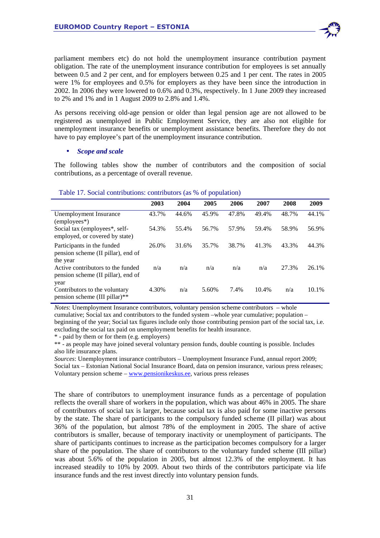parliament members etc) do not hold the unemployment insurance contribution payment obligation. The rate of the unemployment insurance contribution for employees is set annually between 0.5 and 2 per cent, and for employers between 0.25 and 1 per cent. The rates in 2005 were 1% for employees and 0.5% for employers as they have been since the introduction in 2002. In 2006 they were lowered to 0.6% and 0.3%, respectively. In 1 June 2009 they increased to 2% and 1% and in 1 August 2009 to 2.8% and 1.4%.

As persons receiving old-age pension or older than legal pension age are not allowed to be registered as unemployed in Public Employment Service, they are also not eligible for unemployment insurance benefits or unemployment assistance benefits. Therefore they do not have to pay employee's part of the unemployment insurance contribution.

#### • *Scope and scale*

The following tables show the number of contributors and the composition of social contributions, as a percentage of overall revenue.

|                                                                              | 2003  | 2004  | 2005  | 2006  | 2007  | 2008  | 2009  |  |
|------------------------------------------------------------------------------|-------|-------|-------|-------|-------|-------|-------|--|
| Unemployment Insurance<br>$(emploves*)$                                      | 43.7% | 44.6% | 45.9% | 47.8% | 49.4% | 48.7% | 44.1% |  |
| Social tax (employees*, self-<br>employed, or covered by state)              | 54.3% | 55.4% | 56.7% | 57.9% | 59.4% | 58.9% | 56.9% |  |
| Participants in the funded<br>pension scheme (II pillar), end of<br>the year | 26.0% | 31.6% | 35.7% | 38.7% | 41.3% | 43.3% | 44.3% |  |
| Active contributors to the funded<br>pension scheme (II pillar), end of      | n/a   | n/a   | n/a   | n/a   | n/a   | 27.3% | 26.1% |  |
| year<br>Contributors to the voluntary<br>pension scheme (III pillar)**       | 4.30% | n/a   | 5.60% | 7.4%  | 10.4% | n/a   | 10.1% |  |

#### Table 17. Social contributions: contributors (as % of population)

*Notes*: Unemployment Insurance contributors, voluntary pension scheme contributors – whole cumulative; Social tax and contributors to the funded system –whole year cumulative; population – beginning of the year; Social tax figures include only those contributing pension part of the social tax, i.e. excluding the social tax paid on unemployment benefits for health insurance.

\* - paid by them or for them (e.g. employers)

\*\* - as people may have joined several voluntary pension funds, double counting is possible. Includes also life insurance plans.

*Sources*: Unemployment insurance contributors – Unemployment Insurance Fund, annual report 2009; Social tax – Estonian National Social Insurance Board, data on pension insurance, various press releases; Voluntary pension scheme – www.pensionikeskus.ee, various press releases

The share of contributors to unemployment insurance funds as a percentage of population reflects the overall share of workers in the population, which was about 46% in 2005. The share of contributors of social tax is larger, because social tax is also paid for some inactive persons by the state. The share of participants to the compulsory funded scheme (II pillar) was about 36% of the population, but almost 78% of the employment in 2005. The share of active contributors is smaller, because of temporary inactivity or unemployment of participants. The share of participants continues to increase as the participation becomes compulsory for a larger share of the population. The share of contributors to the voluntary funded scheme (III pillar) was about 5.6% of the population in 2005, but almost 12.3% of the employment. It has increased steadily to 10% by 2009. About two thirds of the contributors participate via life insurance funds and the rest invest directly into voluntary pension funds.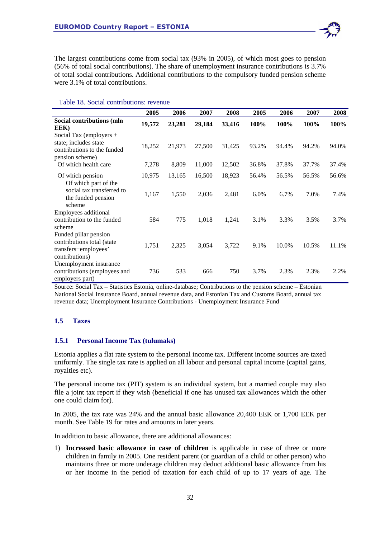

The largest contributions come from social tax (93% in 2005), of which most goes to pension (56% of total social contributions). The share of unemployment insurance contributions is 3.7% of total social contributions. Additional contributions to the compulsory funded pension scheme were 3.1% of total contributions.

|                                                                                                    | 2005   | 2006   | 2007   | 2008   | 2005  | 2006  | 2007  | 2008  |
|----------------------------------------------------------------------------------------------------|--------|--------|--------|--------|-------|-------|-------|-------|
| Social contributions (mln<br>EEK)                                                                  | 19,572 | 23,281 | 29,184 | 33,416 | 100%  | 100%  | 100%  | 100%  |
| Social Tax (employers +<br>state; includes state<br>contributions to the funded<br>pension scheme) | 18,252 | 21,973 | 27,500 | 31,425 | 93.2% | 94.4% | 94.2% | 94.0% |
| Of which health care                                                                               | 7,278  | 8,809  | 11,000 | 12,502 | 36.8% | 37.8% | 37.7% | 37.4% |
| Of which pension                                                                                   | 10,975 | 13,165 | 16,500 | 18,923 | 56.4% | 56.5% | 56.5% | 56.6% |
| Of which part of the<br>social tax transferred to<br>the funded pension<br>scheme                  | 1,167  | 1,550  | 2,036  | 2,481  | 6.0%  | 6.7%  | 7.0%  | 7.4%  |
| Employees additional<br>contribution to the funded<br>scheme                                       | 584    | 775    | 1,018  | 1,241  | 3.1%  | 3.3%  | 3.5%  | 3.7%  |
| Funded pillar pension<br>contributions total (state<br>transfers+employees'<br>contributions)      | 1,751  | 2,325  | 3,054  | 3,722  | 9.1%  | 10.0% | 10.5% | 11.1% |
| Unemployment insurance<br>contributions (employees and<br>employers part)                          | 736    | 533    | 666    | 750    | 3.7%  | 2.3%  | 2.3%  | 2.2%  |

## Table 18. Social contributions: revenue

Source: Social Tax – Statistics Estonia, online-database; Contributions to the pension scheme – Estonian National Social Insurance Board, annual revenue data, and Estonian Tax and Customs Board, annual tax revenue data; Unemployment Insurance Contributions - Unemployment Insurance Fund

## **1.5 Taxes**

#### **1.5.1 Personal Income Tax (tulumaks)**

Estonia applies a flat rate system to the personal income tax. Different income sources are taxed uniformly. The single tax rate is applied on all labour and personal capital income (capital gains, royalties etc).

The personal income tax (PIT) system is an individual system, but a married couple may also file a joint tax report if they wish (beneficial if one has unused tax allowances which the other one could claim for).

In 2005, the tax rate was 24% and the annual basic allowance 20,400 EEK or 1,700 EEK per month. See Table 19 for rates and amounts in later years.

In addition to basic allowance, there are additional allowances:

1) **Increased basic allowance in case of children** is applicable in case of three or more children in family in 2005. One resident parent (or guardian of a child or other person) who maintains three or more underage children may deduct additional basic allowance from his or her income in the period of taxation for each child of up to 17 years of age. The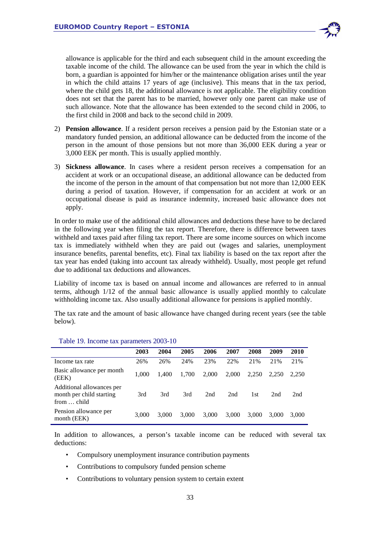

allowance is applicable for the third and each subsequent child in the amount exceeding the taxable income of the child. The allowance can be used from the year in which the child is born, a guardian is appointed for him/her or the maintenance obligation arises until the year in which the child attains 17 years of age (inclusive). This means that in the tax period, where the child gets 18, the additional allowance is not applicable. The eligibility condition does not set that the parent has to be married, however only one parent can make use of such allowance. Note that the allowance has been extended to the second child in 2006, to the first child in 2008 and back to the second child in 2009.

- 2) **Pension allowance**. If a resident person receives a pension paid by the Estonian state or a mandatory funded pension, an additional allowance can be deducted from the income of the person in the amount of those pensions but not more than 36,000 EEK during a year or 3,000 EEK per month. This is usually applied monthly.
- 3) **Sickness allowance**. In cases where a resident person receives a compensation for an accident at work or an occupational disease, an additional allowance can be deducted from the income of the person in the amount of that compensation but not more than 12,000 EEK during a period of taxation. However, if compensation for an accident at work or an occupational disease is paid as insurance indemnity, increased basic allowance does not apply.

In order to make use of the additional child allowances and deductions these have to be declared in the following year when filing the tax report. Therefore, there is difference between taxes withheld and taxes paid after filing tax report. There are some income sources on which income tax is immediately withheld when they are paid out (wages and salaries, unemployment insurance benefits, parental benefits, etc). Final tax liability is based on the tax report after the tax year has ended (taking into account tax already withheld). Usually, most people get refund due to additional tax deductions and allowances.

Liability of income tax is based on annual income and allowances are referred to in annual terms, although 1/12 of the annual basic allowance is usually applied monthly to calculate withholding income tax. Also usually additional allowance for pensions is applied monthly.

The tax rate and the amount of basic allowance have changed during recent years (see the table below).

|                                                                      | 2003  | 2004  | 2005  | 2006  | 2007  | 2008  | 2009  | 2010  |
|----------------------------------------------------------------------|-------|-------|-------|-------|-------|-------|-------|-------|
| Income tax rate                                                      | 26%   | 26%   | 24%   | 23%   | 22%   | 21%   | 21%   | 21%   |
| Basic allowance per month<br>(EEK)                                   | 1.000 | 1.400 | 1.700 | 2,000 | 2,000 | 2,250 | 2.250 | 2.250 |
| Additional allowances per<br>month per child starting<br>from  child | 3rd   | 3rd   | 3rd   | 2nd   | 2nd   | 1st   | 2nd   | 2nd   |
| Pension allowance per<br>month (EEK)                                 | 3,000 | 3.000 | 3,000 | 3,000 | 3,000 | 3,000 | 3.000 | 3.000 |

#### Table 19. Income tax parameters 2003-10

In addition to allowances, a person's taxable income can be reduced with several tax deductions:

- Compulsory unemployment insurance contribution payments
- Contributions to compulsory funded pension scheme
- Contributions to voluntary pension system to certain extent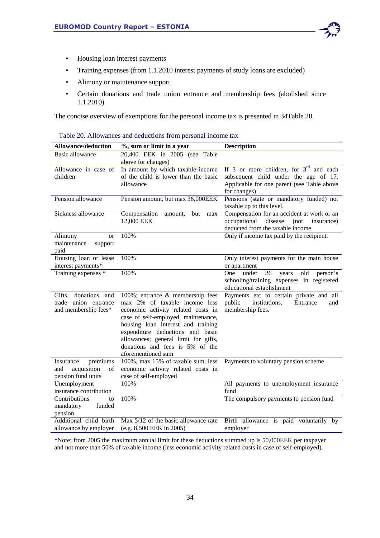

- Housing loan interest payments
- Training expenses (from 1.1.2010 interest payments of study loans are excluded)
- Alimony or maintenance support
- Certain donations and trade union entrance and membership fees (abolished since 1.1.2010)

The concise overview of exemptions for the personal income tax is presented in 34Table 20.

| <b>Allowance/deduction</b>                                              | %, sum or limit in a year                                                                                                                                                                                                                                                                                                 | <b>Description</b>                                                                                                                               |
|-------------------------------------------------------------------------|---------------------------------------------------------------------------------------------------------------------------------------------------------------------------------------------------------------------------------------------------------------------------------------------------------------------------|--------------------------------------------------------------------------------------------------------------------------------------------------|
| Basic allowance                                                         | 20,400 EEK in 2005 (see Table<br>above for changes)                                                                                                                                                                                                                                                                       |                                                                                                                                                  |
| Allowance in case of<br>children                                        | In amount by which taxable income<br>of the child is lower than the basic<br>allowance                                                                                                                                                                                                                                    | If 3 or more children, for $3rd$ and each<br>subsequent child under the age of 17.<br>Applicable for one parent (see Table above<br>for changes) |
| Pension allowance                                                       | Pension amount, but max 36,000EEK                                                                                                                                                                                                                                                                                         | Pensions (state or mandatory funded) not<br>taxable up to this level.                                                                            |
| Sickness allowance                                                      | Compensation<br>amount,<br>but<br>max<br>12,000 EEK                                                                                                                                                                                                                                                                       | Compensation for an accident at work or an<br>occupational disease<br>(not)<br>insurance)<br>deducted from the taxable income                    |
| Alimony<br><sub>or</sub><br>maintenance<br>support<br>paid              | 100%                                                                                                                                                                                                                                                                                                                      | Only if income tax paid by the recipient.                                                                                                        |
| Housing loan or lease<br>interest payments*                             | 100%                                                                                                                                                                                                                                                                                                                      | Only interest payments for the main house<br>or apartment                                                                                        |
| Training expenses *                                                     | 100%                                                                                                                                                                                                                                                                                                                      | under<br>26<br>old<br>One<br>years<br>person's<br>schooling/training expenses in registered<br>educational establishment                         |
| Gifts, donations and<br>trade union entrance<br>and membership fees*    | 100%; entrance & membership fees<br>max 2% of taxable income less<br>economic activity related costs in<br>case of self-employed, maintenance,<br>housing loan interest and training<br>expenditure deductions and basic<br>allowances; general limit for gifts,<br>donations and fees is 5% of the<br>aforementioned sum | Payments etc to certain private and all<br>public<br>institutions.<br>Entrance<br>and<br>membership fees.                                        |
| premiums<br>Insurance<br>acquisition<br>of<br>and<br>pension fund units | 100%, max 15% of taxable sum, less<br>economic activity related costs in<br>case of self-employed                                                                                                                                                                                                                         | Payments to voluntary pension scheme                                                                                                             |
| Unemployment<br>insurance contribution                                  | 100%                                                                                                                                                                                                                                                                                                                      | All payments to unemployment insurance<br>fund                                                                                                   |
| Contributions<br>to<br>mandatory<br>funded<br>pension                   | 100%                                                                                                                                                                                                                                                                                                                      | The compulsory payments to pension fund                                                                                                          |
| Additional child birth<br>allowance by employer                         | Max 5/12 of the basic allowance rate<br>(e.g. 8,500 EEK in 2005)                                                                                                                                                                                                                                                          | Birth allowance is paid voluntarily by<br>employer                                                                                               |

| Table 20. Allowances and deductions from personal income tax |
|--------------------------------------------------------------|
|--------------------------------------------------------------|

\*Note: from 2005 the maximum annual limit for these deductions summed up is 50,000EEK per taxpayer and not more than 50% of taxable income (less economic activity related costs in case of self-employed).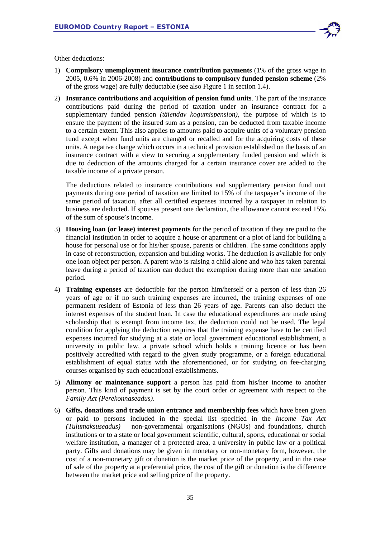

Other deductions:

- 1) **Compulsory unemployment insurance contribution payments** (1% of the gross wage in 2005, 0.6% in 2006-2008) and **contributions to compulsory funded pension scheme** (2% of the gross wage) are fully deductable (see also Figure 1 in section 1.4).
- 2) **Insurance contributions and acquisition of pension fund units**. The part of the insurance contributions paid during the period of taxation under an insurance contract for a supplementary funded pension *(täiendav kogumispension)*, the purpose of which is to ensure the payment of the insured sum as a pension, can be deducted from taxable income to a certain extent. This also applies to amounts paid to acquire units of a voluntary pension fund except when fund units are changed or recalled and for the acquiring costs of these units. A negative change which occurs in a technical provision established on the basis of an insurance contract with a view to securing a supplementary funded pension and which is due to deduction of the amounts charged for a certain insurance cover are added to the taxable income of a private person.

The deductions related to insurance contributions and supplementary pension fund unit payments during one period of taxation are limited to 15% of the taxpayer's income of the same period of taxation, after all certified expenses incurred by a taxpayer in relation to business are deducted. If spouses present one declaration, the allowance cannot exceed 15% of the sum of spouse's income.

- 3) **Housing loan (or lease) interest payments** for the period of taxation if they are paid to the financial institution in order to acquire a house or apartment or a plot of land for building a house for personal use or for his/her spouse, parents or children. The same conditions apply in case of reconstruction, expansion and building works. The deduction is available for only one loan object per person. A parent who is raising a child alone and who has taken parental leave during a period of taxation can deduct the exemption during more than one taxation period.
- 4) **Training expenses** are deductible for the person him/herself or a person of less than 26 years of age or if no such training expenses are incurred, the training expenses of one permanent resident of Estonia of less than 26 years of age. Parents can also deduct the interest expenses of the student loan. In case the educational expenditures are made using scholarship that is exempt from income tax, the deduction could not be used. The legal condition for applying the deduction requires that the training expense have to be certified expenses incurred for studying at a state or local government educational establishment, a university in public law, a private school which holds a training licence or has been positively accredited with regard to the given study programme, or a foreign educational establishment of equal status with the aforementioned, or for studying on fee-charging courses organised by such educational establishments.
- 5) **Alimony or maintenance support** a person has paid from his/her income to another person. This kind of payment is set by the court order or agreement with respect to the *Family Act (Perekonnaseadus)*.
- 6) **Gifts, donations and trade union entrance and membership fees** which have been given or paid to persons included in the special list specified in the *Income Tax Act (Tulumaksuseadus)* – non-governmental organisations (NGOs) and foundations, church institutions or to a state or local government scientific, cultural, sports, educational or social welfare institution, a manager of a protected area, a university in public law or a political party. Gifts and donations may be given in monetary or non-monetary form, however, the cost of a non-monetary gift or donation is the market price of the property, and in the case of sale of the property at a preferential price, the cost of the gift or donation is the difference between the market price and selling price of the property.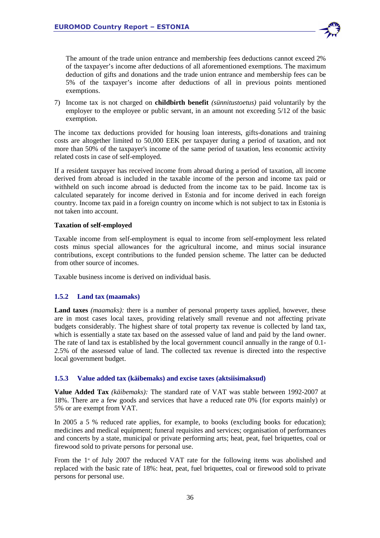

The amount of the trade union entrance and membership fees deductions cannot exceed 2% of the taxpayer's income after deductions of all aforementioned exemptions. The maximum deduction of gifts and donations and the trade union entrance and membership fees can be 5% of the taxpayer's income after deductions of all in previous points mentioned exemptions.

7) Income tax is not charged on **childbirth benefit** *(sünnitustoetus)* paid voluntarily by the employer to the employee or public servant, in an amount not exceeding 5/12 of the basic exemption.

The income tax deductions provided for housing loan interests, gifts-donations and training costs are altogether limited to 50,000 EEK per taxpayer during a period of taxation, and not more than 50% of the taxpayer's income of the same period of taxation, less economic activity related costs in case of self-employed.

If a resident taxpayer has received income from abroad during a period of taxation, all income derived from abroad is included in the taxable income of the person and income tax paid or withheld on such income abroad is deducted from the income tax to be paid. Income tax is calculated separately for income derived in Estonia and for income derived in each foreign country. Income tax paid in a foreign country on income which is not subject to tax in Estonia is not taken into account.

## **Taxation of self-employed**

Taxable income from self-employment is equal to income from self-employment less related costs minus special allowances for the agricultural income, and minus social insurance contributions, except contributions to the funded pension scheme. The latter can be deducted from other source of incomes.

Taxable business income is derived on individual basis.

## **1.5.2 Land tax (maamaks)**

Land taxes *(maamaks)*: there is a number of personal property taxes applied, however, these are in most cases local taxes, providing relatively small revenue and not affecting private budgets considerably. The highest share of total property tax revenue is collected by land tax, which is essentially a state tax based on the assessed value of land and paid by the land owner. The rate of land tax is established by the local government council annually in the range of 0.1- 2.5% of the assessed value of land. The collected tax revenue is directed into the respective local government budget.

## **1.5.3 Value added tax (käibemaks) and excise taxes (aktsiisimaksud)**

**Value Added Tax** *(käibemaks):* The standard rate of VAT was stable between 1992-2007 at 18%. There are a few goods and services that have a reduced rate 0% (for exports mainly) or 5% or are exempt from VAT.

In 2005 a 5 % reduced rate applies, for example, to books (excluding books for education); medicines and medical equipment; funeral requisites and services; organisation of performances and concerts by a state, municipal or private performing arts; heat, peat, fuel briquettes, coal or firewood sold to private persons for personal use.

From the  $1<sup>*</sup>$  of July 2007 the reduced VAT rate for the following items was abolished and replaced with the basic rate of 18%: heat, peat, fuel briquettes, coal or firewood sold to private persons for personal use.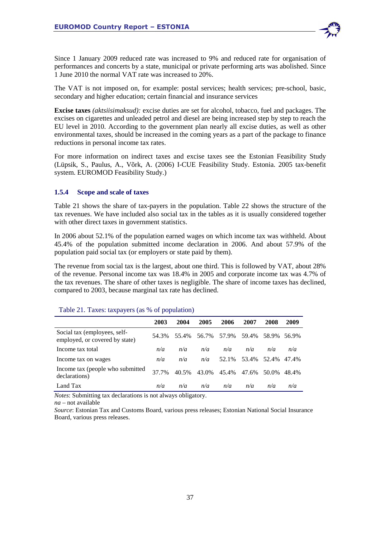

Since 1 January 2009 reduced rate was increased to 9% and reduced rate for organisation of performances and concerts by a state, municipal or private performing arts was abolished. Since 1 June 2010 the normal VAT rate was increased to 20%.

The VAT is not imposed on, for example: postal services; health services; pre-school, basic, secondary and higher education; certain financial and insurance services

**Excise taxes** *(aktsiisimaksud):* excise duties are set for alcohol, tobacco, fuel and packages. The excises on cigarettes and unleaded petrol and diesel are being increased step by step to reach the EU level in 2010. According to the government plan nearly all excise duties, as well as other environmental taxes, should be increased in the coming years as a part of the package to finance reductions in personal income tax rates.

For more information on indirect taxes and excise taxes see the Estonian Feasibility Study (Lüpsik, S., Paulus, A., Võrk, A. (2006) I-CUE Feasibility Study. Estonia. 2005 tax-benefit system. EUROMOD Feasibility Study.)

## **1.5.4 Scope and scale of taxes**

Table 21 shows the share of tax-payers in the population. Table 22 shows the structure of the tax revenues. We have included also social tax in the tables as it is usually considered together with other direct taxes in government statistics.

In 2006 about 52.1% of the population earned wages on which income tax was withheld. About 45.4% of the population submitted income declaration in 2006. And about 57.9% of the population paid social tax (or employers or state paid by them).

The revenue from social tax is the largest, about one third. This is followed by VAT, about 28% of the revenue. Personal income tax was 18.4% in 2005 and corporate income tax was 4.7% of the tax revenues. The share of other taxes is negligible. The share of income taxes has declined, compared to 2003, because marginal tax rate has declined.

|                                                                | 2003  | 2004  | 2005  | 2006  | 2007  | 2008  | 2009  |
|----------------------------------------------------------------|-------|-------|-------|-------|-------|-------|-------|
| Social tax (employees, self-<br>employed, or covered by state) | 54.3% | 55.4% | 56.7% | 57.9% | 59.4% | 58.9% | 56.9% |
| Income tax total                                               | n/a   | n/a   | n/a   | n/a   | n/a   | n/a   | n/a   |
| Income tax on wages                                            | n/a   | n/a   | n/a   | 52.1% | 53.4% | 52.4% | 47.4% |
| Income tax (people who submitted<br>declarations)              | 37.7% | 40.5% | 43.0% | 45.4% | 47.6% | 50.0% | 48.4% |
| Land Tax                                                       | n/a   | n/a   | n/a   | n/a   | n/a   | n/a   | n/a   |

#### Table 21. Taxes: taxpayers (as % of population)

*Notes*: Submitting tax declarations is not always obligatory.

*na* – not available

*Source*: Estonian Tax and Customs Board, various press releases; Estonian National Social Insurance Board, various press releases.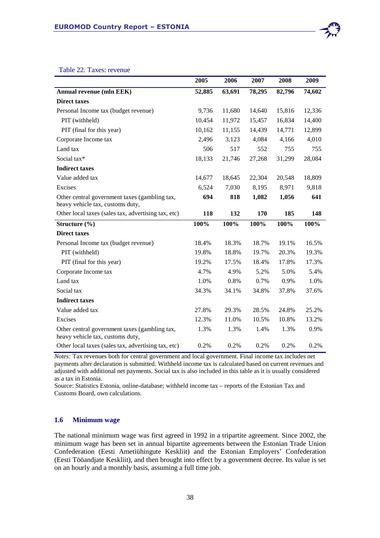

#### Table 22. Taxes: revenue

|                                                                                   | 2005   | 2006   | 2007   | 2008   | 2009   |
|-----------------------------------------------------------------------------------|--------|--------|--------|--------|--------|
| Annual revenue (mln EEK)                                                          | 52,885 | 63,691 | 78,295 | 82,796 | 74,602 |
| <b>Direct taxes</b>                                                               |        |        |        |        |        |
| Personal Income tax (budget revenue)                                              | 9,736  | 11,680 | 14,640 | 15,816 | 12,336 |
| PIT (withheld)                                                                    | 10,454 | 11,972 | 15,457 | 16,834 | 14,400 |
| PIT (final for this year)                                                         | 10,162 | 11,155 | 14,439 | 14,771 | 12,899 |
| Corporate Income tax                                                              | 2,496  | 3,123  | 4,084  | 4,166  | 4,010  |
| Land tax                                                                          | 506    | 517    | 552    | 755    | 755    |
| Social tax*                                                                       | 18,133 | 21,746 | 27,268 | 31,299 | 28,084 |
| <b>Indirect taxes</b>                                                             |        |        |        |        |        |
| Value added tax                                                                   | 14,677 | 18,645 | 22,304 | 20,548 | 18,809 |
| Excises                                                                           | 6,524  | 7,030  | 8,195  | 8,971  | 9,818  |
| Other central government taxes (gambling tax,<br>heavy vehicle tax, customs duty, | 694    | 818    | 1,082  | 1,056  | 641    |
| Other local taxes (sales tax, advertising tax, etc)                               | 118    | 132    | 170    | 185    | 148    |
| Structure $(\% )$                                                                 | 100%   | 100%   | 100%   | 100%   | 100%   |
| <b>Direct taxes</b>                                                               |        |        |        |        |        |
| Personal Income tax (budget revenue)                                              | 18.4%  | 18.3%  | 18.7%  | 19.1%  | 16.5%  |
| PIT (withheld)                                                                    | 19.8%  | 18.8%  | 19.7%  | 20.3%  | 19.3%  |
| PIT (final for this year)                                                         | 19.2%  | 17.5%  | 18.4%  | 17.8%  | 17.3%  |
| Corporate Income tax                                                              | 4.7%   | 4.9%   | 5.2%   | 5.0%   | 5.4%   |
| Land tax                                                                          | 1.0%   | 0.8%   | 0.7%   | 0.9%   | 1.0%   |
| Social tax                                                                        | 34.3%  | 34.1%  | 34.8%  | 37.8%  | 37.6%  |
| <b>Indirect taxes</b>                                                             |        |        |        |        |        |
| Value added tax                                                                   | 27.8%  | 29.3%  | 28.5%  | 24.8%  | 25.2%  |
| Excises                                                                           | 12.3%  | 11.0%  | 10.5%  | 10.8%  | 13.2%  |
| Other central government taxes (gambling tax,<br>heavy vehicle tax, customs duty, | 1.3%   | 1.3%   | 1.4%   | 1.3%   | 0.9%   |
| Other local taxes (sales tax, advertising tax, etc)                               | 0.2%   | 0.2%   | 0.2%   | 0.2%   | 0.2%   |

*Notes:* Tax revenues both for central government and local government. Final income tax includes net payments after declaration is submitted. Withheld income tax is calculated based on current revenues and adjusted with additional net payments. Social tax is also included in this table as it is usually considered as a tax in Estonia.

Source: Statistics Estonia, online-database; withheld income tax – reports of the Estonian Tax and Customs Board, own calculations.

## **1.6 Minimum wage**

The national minimum wage was first agreed in 1992 in a tripartite agreement. Since 2002, the minimum wage has been set in annual bipartite agreements between the Estonian Trade Union Confederation (Eesti Ametiühingute Keskliit) and the Estonian Employers' Confederation (Eesti Tööandjate Keskliit), and then brought into effect by a government decree. Its value is set on an hourly and a monthly basis, assuming a full time job.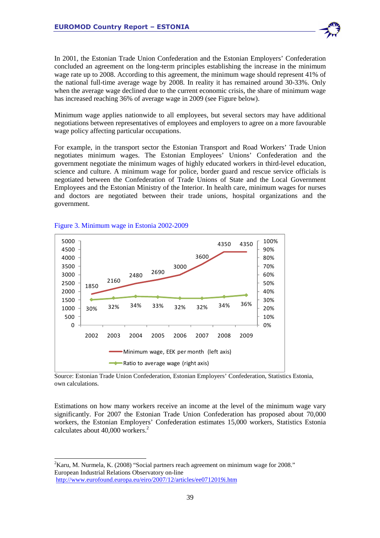In 2001, the Estonian Trade Union Confederation and the Estonian Employers' Confederation concluded an agreement on the long-term principles establishing the increase in the minimum wage rate up to 2008. According to this agreement, the minimum wage should represent 41% of the national full-time average wage by 2008. In reality it has remained around 30-33%. Only when the average wage declined due to the current economic crisis, the share of minimum wage has increased reaching 36% of average wage in 2009 (see Figure below).

Minimum wage applies nationwide to all employees, but several sectors may have additional negotiations between representatives of employees and employers to agree on a more favourable wage policy affecting particular occupations.

For example, in the transport sector the Estonian Transport and Road Workers' Trade Union negotiates minimum wages. The Estonian Employees' Unions' Confederation and the government negotiate the minimum wages of highly educated workers in third-level education, science and culture. A minimum wage for police, border guard and rescue service officials is negotiated between the Confederation of Trade Unions of State and the Local Government Employees and the Estonian Ministry of the Interior. In health care, minimum wages for nurses and doctors are negotiated between their trade unions, hospital organizations and the government.



#### Figure 3. Minimum wage in Estonia 2002-2009

-

Source: Estonian Trade Union Confederation, Estonian Employers' Confederation, Statistics Estonia, own calculations.

Estimations on how many workers receive an income at the level of the minimum wage vary significantly. For 2007 the Estonian Trade Union Confederation has proposed about 70,000 workers, the Estonian Employers' Confederation estimates 15,000 workers, Statistics Estonia calculates about 40,000 workers.<sup>2</sup>

 ${}^{2}$ Karu, M. Nurmela, K. (2008) "Social partners reach agreement on minimum wage for 2008." European Industrial Relations Observatory on-line http://www.eurofound.europa.eu/eiro/2007/12/articles/ee0712019i.htm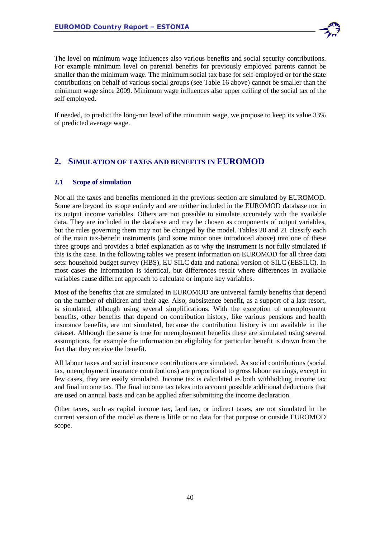

The level on minimum wage influences also various benefits and social security contributions. For example minimum level on parental benefits for previously employed parents cannot be smaller than the minimum wage. The minimum social tax base for self-employed or for the state contributions on behalf of various social groups (see Table 16 above) cannot be smaller than the minimum wage since 2009. Minimum wage influences also upper ceiling of the social tax of the self-employed.

If needed, to predict the long-run level of the minimum wage, we propose to keep its value 33% of predicted average wage.

# **2. SIMULATION OF TAXES AND BENEFITS IN EUROMOD**

## **2.1 Scope of simulation**

Not all the taxes and benefits mentioned in the previous section are simulated by EUROMOD. Some are beyond its scope entirely and are neither included in the EUROMOD database nor in its output income variables. Others are not possible to simulate accurately with the available data. They are included in the database and may be chosen as components of output variables, but the rules governing them may not be changed by the model. Tables 20 and 21 classify each of the main tax-benefit instruments (and some minor ones introduced above) into one of these three groups and provides a brief explanation as to why the instrument is not fully simulated if this is the case. In the following tables we present information on EUROMOD for all three data sets: household budget survey (HBS), EU SILC data and national version of SILC (EESILC). In most cases the information is identical, but differences result where differences in available variables cause different approach to calculate or impute key variables.

Most of the benefits that are simulated in EUROMOD are universal family benefits that depend on the number of children and their age. Also, subsistence benefit, as a support of a last resort, is simulated, although using several simplifications. With the exception of unemployment benefits, other benefits that depend on contribution history, like various pensions and health insurance benefits, are not simulated, because the contribution history is not available in the dataset. Although the same is true for unemployment benefits these are simulated using several assumptions, for example the information on eligibility for particular benefit is drawn from the fact that they receive the benefit.

All labour taxes and social insurance contributions are simulated. As social contributions (social tax, unemployment insurance contributions) are proportional to gross labour earnings, except in few cases, they are easily simulated. Income tax is calculated as both withholding income tax and final income tax. The final income tax takes into account possible additional deductions that are used on annual basis and can be applied after submitting the income declaration.

Other taxes, such as capital income tax, land tax, or indirect taxes, are not simulated in the current version of the model as there is little or no data for that purpose or outside EUROMOD scope.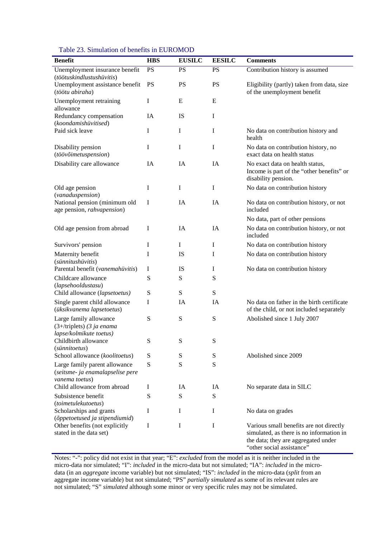| Table 23. Simulation of benefits in EUROMOD |  |
|---------------------------------------------|--|
|---------------------------------------------|--|

| <b>Benefit</b>                                                                      | <b>HBS</b> | <b>EUSILC</b> | <b>EESILC</b> | <b>Comments</b>                                                                                                                                         |
|-------------------------------------------------------------------------------------|------------|---------------|---------------|---------------------------------------------------------------------------------------------------------------------------------------------------------|
| Unemployment insurance benefit<br>(töötuskindlustushüvitis)                         | <b>PS</b>  | PS            | <b>PS</b>     | Contribution history is assumed                                                                                                                         |
| Unemployment assistance benefit<br>(töötu abiraha)                                  | <b>PS</b>  | PS            | <b>PS</b>     | Eligibility (partly) taken from data, size<br>of the unemployment benefit                                                                               |
| Unemployment retraining<br>allowance                                                | Ι          | E             | E             |                                                                                                                                                         |
| Redundancy compensation<br>(koondamishüvitised)                                     | IA         | IS            | I             |                                                                                                                                                         |
| Paid sick leave                                                                     | I          | $\mathbf I$   | I             | No data on contribution history and<br>health                                                                                                           |
| Disability pension<br>(töövõimetuspension)                                          | I          | I             | I             | No data on contribution history, no<br>exact data on health status                                                                                      |
| Disability care allowance                                                           | IA         | IA            | IA            | No exact data on health status,<br>Income is part of the "other benefits" or<br>disability pension.                                                     |
| Old age pension<br>(vanaduspension)                                                 | I          | I             | I             | No data on contribution history                                                                                                                         |
| National pension (minimum old<br>age pension, rahvapension)                         | I          | <b>IA</b>     | IA            | No data on contribution history, or not<br>included                                                                                                     |
|                                                                                     |            |               |               | No data, part of other pensions                                                                                                                         |
| Old age pension from abroad                                                         | Ι          | IA            | IA            | No data on contribution history, or not<br>included                                                                                                     |
| Survivors' pension                                                                  | I          | I             | I             | No data on contribution history                                                                                                                         |
| Maternity benefit<br>(sünnitushüvitis)                                              | I          | IS            | I             | No data on contribution history                                                                                                                         |
| Parental benefit (vanemahüvitis)                                                    | Ι          | IS            | I             | No data on contribution history                                                                                                                         |
| Childcare allowance<br>(lapsehooldustasu)                                           | S          | S             | ${\bf S}$     |                                                                                                                                                         |
| Child allowance (lapsetoetus)                                                       | S          | S             | S             |                                                                                                                                                         |
| Single parent child allowance<br>(üksikvanema lapsetoetus)                          | I          | IA            | IA            | No data on father in the birth certificate<br>of the child, or not included separately                                                                  |
| Large family allowance<br>$(3+$ /triplets) (3 ja enama<br>lapse/kolmikute toetus)   | S          | S             | S             | Abolished since 1 July 2007                                                                                                                             |
| Childbirth allowance<br>(sünnitoetus)                                               | S          | S             | ${\bf S}$     |                                                                                                                                                         |
| School allowance (koolitoetus)                                                      | S          | S             | S             | Abolished since 2009                                                                                                                                    |
| Large family parent allowance<br>(seitsme- ja enamalapselise pere<br>vanema toetus) | S          | S             | ${\bf S}$     |                                                                                                                                                         |
| Child allowance from abroad                                                         | Ι          | IA            | IA            | No separate data in SILC                                                                                                                                |
| Subsistence benefit<br>(toimetulekutoetus)                                          | S          | S             | ${\bf S}$     |                                                                                                                                                         |
| Scholarships and grants<br>(õppetoetused ja stipendiumid)                           | I          | Ι             | I             | No data on grades                                                                                                                                       |
| Other benefits (not explicitly<br>stated in the data set)                           | Ι          | I             | I             | Various small benefits are not directly<br>simulated, as there is no information in<br>the data; they are aggregated under<br>"other social assistance" |

Notes: "-": policy did not exist in that year; "E": *excluded* from the model as it is neither included in the micro-data nor simulated; "I": *included* in the micro-data but not simulated; "IA": *included* in the microdata (in an *aggregate* income variable) but not simulated; "IS": *included* in the micro-data (*split* from an aggregate income variable) but not simulated; "PS" *partially simulated* as some of its relevant rules are not simulated; "S" *simulated* although some minor or very specific rules may not be simulated.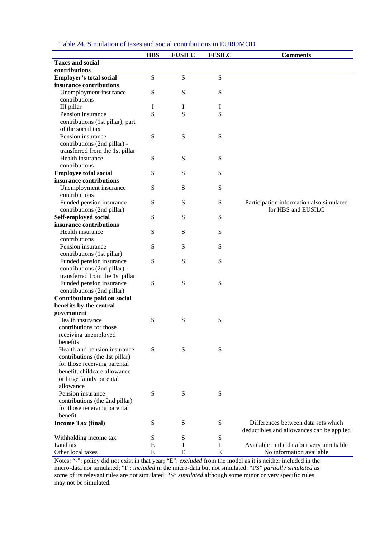|                                  | <b>HBS</b>     | <b>EUSILC</b> | <b>EESILC</b> | <b>Comments</b>                           |
|----------------------------------|----------------|---------------|---------------|-------------------------------------------|
| <b>Taxes and social</b>          |                |               |               |                                           |
| contributions                    |                |               |               |                                           |
| <b>Employer's total social</b>   | $\overline{S}$ | S             | ${\bf S}$     |                                           |
| insurance contributions          |                |               |               |                                           |
| Unemployment insurance           | ${\bf S}$      | S             | ${\bf S}$     |                                           |
| contributions                    |                |               |               |                                           |
| III pillar                       | I              | I             | I             |                                           |
| Pension insurance                | S              | S             | S             |                                           |
| contributions (1st pillar), part |                |               |               |                                           |
| of the social tax                |                |               |               |                                           |
| Pension insurance                | ${\bf S}$      | S             | ${\bf S}$     |                                           |
| contributions (2nd pillar) -     |                |               |               |                                           |
| transferred from the 1st pillar  |                |               |               |                                           |
| Health insurance                 | ${\bf S}$      | S             | ${\bf S}$     |                                           |
| contributions                    |                |               |               |                                           |
| <b>Employee total social</b>     | S              | S             | ${\bf S}$     |                                           |
| insurance contributions          |                |               |               |                                           |
| Unemployment insurance           | ${\bf S}$      | S             | ${\bf S}$     |                                           |
| contributions                    |                |               |               |                                           |
| Funded pension insurance         | ${\bf S}$      | S             | ${\bf S}$     | Participation information also simulated  |
| contributions (2nd pillar)       |                |               |               | for HBS and EUSILC                        |
| Self-employed social             | ${\bf S}$      | S             | ${\bf S}$     |                                           |
| insurance contributions          |                |               |               |                                           |
| Health insurance                 | S              | S             | ${\bf S}$     |                                           |
| contributions                    |                |               |               |                                           |
| Pension insurance                | S              | S             | ${\bf S}$     |                                           |
| contributions (1st pillar)       |                |               |               |                                           |
| Funded pension insurance         | S              | S             | ${\bf S}$     |                                           |
| contributions (2nd pillar) -     |                |               |               |                                           |
| transferred from the 1st pillar  |                |               |               |                                           |
| Funded pension insurance         | ${\bf S}$      | S             | ${\bf S}$     |                                           |
| contributions (2nd pillar)       |                |               |               |                                           |
| Contributions paid on social     |                |               |               |                                           |
| benefits by the central          |                |               |               |                                           |
| government                       |                |               |               |                                           |
| Health insurance                 | S              | S             | ${\bf S}$     |                                           |
| contributions for those          |                |               |               |                                           |
| receiving unemployed             |                |               |               |                                           |
| benefits                         |                |               |               |                                           |
| Health and pension insurance     | S              | S             | S             |                                           |
| contributions (the 1st pillar)   |                |               |               |                                           |
| for those receiving parental     |                |               |               |                                           |
| benefit, childcare allowance     |                |               |               |                                           |
| or large family parental         |                |               |               |                                           |
| allowance                        |                |               |               |                                           |
| Pension insurance                | ${\bf S}$      | ${\bf S}$     | ${\bf S}$     |                                           |
| contributions (the 2nd pillar)   |                |               |               |                                           |
| for those receiving parental     |                |               |               |                                           |
| benefit                          |                |               |               |                                           |
| <b>Income Tax (final)</b>        | S              | S             | S             | Differences between data sets which       |
|                                  |                |               |               | deductibles and allowances can be applied |
| Withholding income tax           | S              | ${\bf S}$     | ${\bf S}$     |                                           |
| Land tax                         | E              | Ι             | I             | Available in the data but very unreliable |
| Other local taxes                | E              | E             | ${\bf E}$     | No information available                  |

#### Table 24. Simulation of taxes and social contributions in EUROMOD

Notes: "-": policy did not exist in that year; "E": *excluded* from the model as it is neither included in the micro-data nor simulated; "I": *included* in the micro-data but not simulated; "PS" *partially simulated* as some of its relevant rules are not simulated; "S" *simulated* although some minor or very specific rules may not be simulated.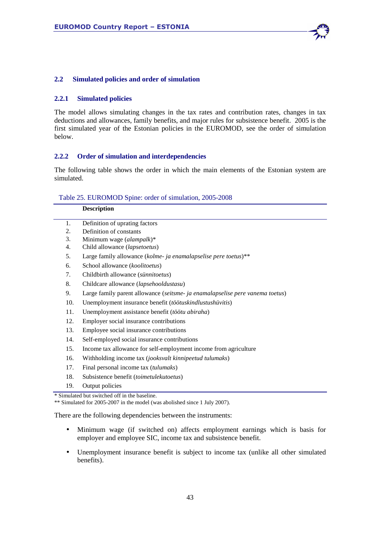

#### **2.2.1 Simulated policies**

The model allows simulating changes in the tax rates and contribution rates, changes in tax deductions and allowances, family benefits, and major rules for subsistence benefit. 2005 is the first simulated year of the Estonian policies in the EUROMOD, see the order of simulation below.

#### **2.2.2 Order of simulation and interdependencies**

The following table shows the order in which the main elements of the Estonian system are simulated.

#### Table 25. EUROMOD Spine: order of simulation, 2005-2008

|     | <b>Description</b>                                                                                                          |
|-----|-----------------------------------------------------------------------------------------------------------------------------|
| 1.  | Definition of uprating factors                                                                                              |
| 2.  | Definition of constants                                                                                                     |
| 3.  | Minimum wage (alampalk)*                                                                                                    |
| 4.  | Child allowance (lapsetoetus)                                                                                               |
| 5.  | Large family allowance (kolme- ja enamalapselise pere toetus)**                                                             |
| 6.  | School allowance (koolitoetus)                                                                                              |
| 7.  | Childbirth allowance (sünnitoetus)                                                                                          |
| 8.  | Childcare allowance (lapsehooldustasu)                                                                                      |
| 9.  | Large family parent allowance (seitsme- ja enamalapselise pere vanema toetus)                                               |
| 10. | Unemployment insurance benefit (töötuskindlustushüvitis)                                                                    |
| 11. | Unemployment assistance benefit (töötu abiraha)                                                                             |
| 12. | Employer social insurance contributions                                                                                     |
| 13. | Employee social insurance contributions                                                                                     |
| 14. | Self-employed social insurance contributions                                                                                |
| 15. | Income tax allowance for self-employment income from agriculture                                                            |
| 16. | Withholding income tax (jooksvalt kinnipeetud tulumaks)                                                                     |
| 17. | Final personal income tax (tulumaks)                                                                                        |
| 18. | Subsistence benefit (toimetulekutoetus)                                                                                     |
| 19. | Output policies                                                                                                             |
|     | * Simulated but switched off in the baseline.<br>** Simulated for 2005-2007 in the model (was abolished since 1 July 2007). |
|     | There are the following dependencies between the instruments:                                                               |

- Minimum wage (if switched on) affects employment earnings which is basis for employer and employee SIC, income tax and subsistence benefit.
- Unemployment insurance benefit is subject to income tax (unlike all other simulated benefits).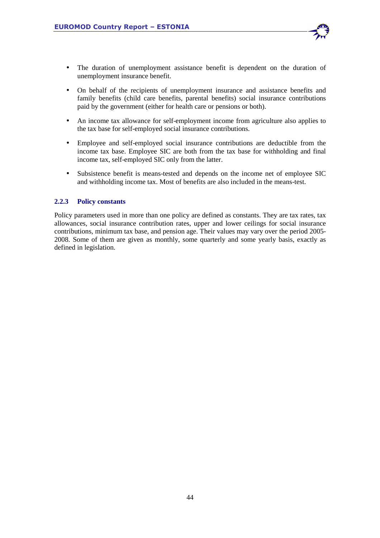- The duration of unemployment assistance benefit is dependent on the duration of unemployment insurance benefit.
- On behalf of the recipients of unemployment insurance and assistance benefits and family benefits (child care benefits, parental benefits) social insurance contributions paid by the government (either for health care or pensions or both).
- An income tax allowance for self-employment income from agriculture also applies to the tax base for self-employed social insurance contributions.
- Employee and self-employed social insurance contributions are deductible from the income tax base. Employee SIC are both from the tax base for withholding and final income tax, self-employed SIC only from the latter.
- Subsistence benefit is means-tested and depends on the income net of employee SIC and withholding income tax. Most of benefits are also included in the means-test.

## **2.2.3 Policy constants**

Policy parameters used in more than one policy are defined as constants. They are tax rates, tax allowances, social insurance contribution rates, upper and lower ceilings for social insurance contributions, minimum tax base, and pension age. Their values may vary over the period 2005- 2008. Some of them are given as monthly, some quarterly and some yearly basis, exactly as defined in legislation.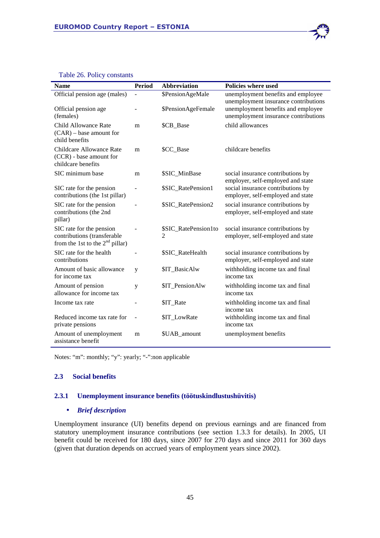| <b>Name</b>                                                                                  | <b>Period</b> | <b>Abbreviation</b>       | <b>Policies where used</b>                                                 |
|----------------------------------------------------------------------------------------------|---------------|---------------------------|----------------------------------------------------------------------------|
| Official pension age (males)                                                                 |               | \$PensionAgeMale          | unemployment benefits and employee<br>unemployment insurance contributions |
| Official pension age<br>(females)                                                            |               | \$PensionAgeFemale        | unemployment benefits and employee<br>unemployment insurance contributions |
| Child Allowance Rate<br>$(CAR)$ – base amount for<br>child benefits                          | m             | \$CB_Base                 | child allowances                                                           |
| Childcare Allowance Rate<br>(CCR) - base amount for<br>childcare benefits                    | m             | \$CC Base                 | childcare benefits                                                         |
| SIC minimum base                                                                             | m             | \$SIC MinBase             | social insurance contributions by<br>employer, self-employed and state     |
| SIC rate for the pension<br>contributions (the 1st pillar)                                   |               | \$SIC_RatePension1        | social insurance contributions by<br>employer, self-employed and state     |
| SIC rate for the pension<br>contributions (the 2nd<br>pillar)                                |               | \$SIC_RatePension2        | social insurance contributions by<br>employer, self-employed and state     |
| SIC rate for the pension<br>contributions (transferable<br>from the 1st to the $2nd$ pillar) |               | \$SIC_RatePension1to<br>2 | social insurance contributions by<br>employer, self-employed and state     |
| SIC rate for the health<br>contributions                                                     |               | \$SIC_RateHealth          | social insurance contributions by<br>employer, self-employed and state     |
| Amount of basic allowance<br>for income tax                                                  | y             | \$IT_BasicAlw             | withholding income tax and final<br>income tax                             |
| Amount of pension<br>allowance for income tax                                                | y             | \$IT_PensionAlw           | withholding income tax and final<br>income tax                             |
| Income tax rate                                                                              |               | \$IT_Rate                 | withholding income tax and final<br>income tax                             |
| Reduced income tax rate for<br>private pensions                                              |               | \$IT_LowRate              | withholding income tax and final<br>income tax                             |
| Amount of unemployment<br>assistance benefit                                                 | m             | \$UAB_amount              | unemployment benefits                                                      |

# Table 26. Policy constants

Notes: "m": monthly; "y": yearly; "-":non applicable

## **2.3 Social benefits**

## **2.3.1 Unemployment insurance benefits (töötuskindlustushüvitis)**

#### • *Brief description*

Unemployment insurance (UI) benefits depend on previous earnings and are financed from statutory unemployment insurance contributions (see section 1.3.3 for details). In 2005, UI benefit could be received for 180 days, since 2007 for 270 days and since 2011 for 360 days (given that duration depends on accrued years of employment years since 2002).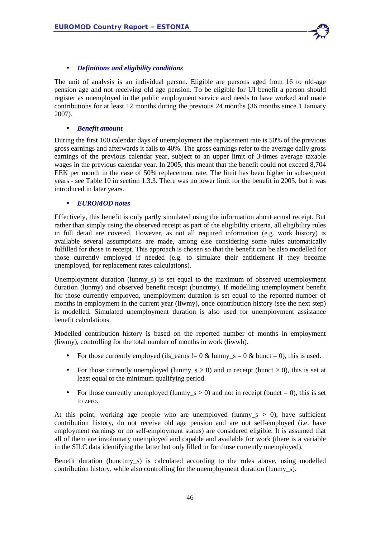

## • *Definitions and eligibility conditions*

The unit of analysis is an individual person. Eligible are persons aged from 16 to old-age pension age and not receiving old age pension. To be eligible for UI benefit a person should register as unemployed in the public employment service and needs to have worked and made contributions for at least 12 months during the previous 24 months (36 months since 1 January 2007).

## • *Benefit amount*

During the first 100 calendar days of unemployment the replacement rate is 50% of the previous gross earnings and afterwards it falls to 40%. The gross earnings refer to the average daily gross earnings of the previous calendar year, subject to an upper limit of 3-times average taxable wages in the previous calendar year. In 2005, this meant that the benefit could not exceed 8,704 EEK per month in the case of 50% replacement rate. The limit has been higher in subsequent years - see Table 10 in section 1.3.3. There was no lower limit for the benefit in 2005, but it was introduced in later years.

## • *EUROMOD notes*

Effectively, this benefit is only partly simulated using the information about actual receipt. But rather than simply using the observed receipt as part of the eligibility criteria, all eligibility rules in full detail are covered. However, as not all required information (e.g. work history) is available several assumptions are made, among else considering some rules automatically fulfilled for those in receipt. This approach is chosen so that the benefit can be also modelled for those currently employed if needed (e.g. to simulate their entitlement if they become unemployed, for replacement rates calculations).

Unemployment duration (lunmy\_s) is set equal to the maximum of observed unemployment duration (lunmy) and observed benefit receipt (bunctmy). If modelling unemployment benefit for those currently employed, unemployment duration is set equal to the reported number of months in employment in the current year (liwmy), once contribution history (see the next step) is modelled. Simulated unemployment duration is also used for unemployment assistance benefit calculations.

Modelled contribution history is based on the reported number of months in employment (liwmy), controlling for the total number of months in work (liwwh).

- For those currently employed (ils\_earns  $!= 0 &$  lunmy\_s = 0  $\&$  bunct = 0), this is used.
- For those currently unemployed (lunmy\_s  $> 0$ ) and in receipt (bunct  $> 0$ ), this is set at least equal to the minimum qualifying period.
- For those currently unemployed (lunmy\_s  $> 0$ ) and not in receipt (bunct = 0), this is set to zero.

At this point, working age people who are unemployed (lunmy\_s  $> 0$ ), have sufficient contribution history, do not receive old age pension and are not self-employed (i.e. have employment earnings or no self-employment status) are considered eligible. It is assumed that all of them are involuntary unemployed and capable and available for work (there is a variable in the SILC data identifying the latter but only filled in for those currently unemployed).

Benefit duration (bunctmy\_s) is calculated according to the rules above, using modelled contribution history, while also controlling for the unemployment duration (lunmy\_s).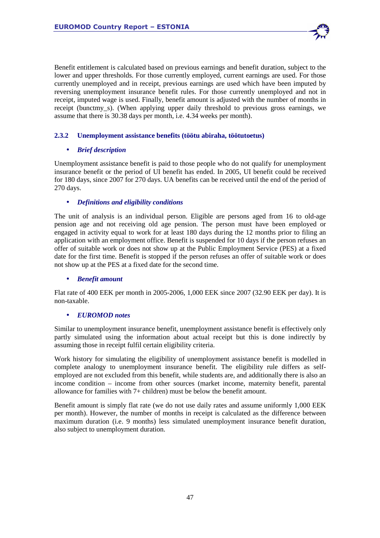Benefit entitlement is calculated based on previous earnings and benefit duration, subject to the lower and upper thresholds. For those currently employed, current earnings are used. For those currently unemployed and in receipt, previous earnings are used which have been imputed by reversing unemployment insurance benefit rules. For those currently unemployed and not in receipt, imputed wage is used. Finally, benefit amount is adjusted with the number of months in receipt (bunctmy\_s). (When applying upper daily threshold to previous gross earnings, we assume that there is 30.38 days per month, i.e. 4.34 weeks per month).

## **2.3.2 Unemployment assistance benefits (töötu abiraha, töötutoetus)**

## • *Brief description*

Unemployment assistance benefit is paid to those people who do not qualify for unemployment insurance benefit or the period of UI benefit has ended. In 2005, UI benefit could be received for 180 days, since 2007 for 270 days. UA benefits can be received until the end of the period of 270 days.

## • *Definitions and eligibility conditions*

The unit of analysis is an individual person. Eligible are persons aged from 16 to old-age pension age and not receiving old age pension. The person must have been employed or engaged in activity equal to work for at least 180 days during the 12 months prior to filing an application with an employment office. Benefit is suspended for 10 days if the person refuses an offer of suitable work or does not show up at the Public Employment Service (PES) at a fixed date for the first time. Benefit is stopped if the person refuses an offer of suitable work or does not show up at the PES at a fixed date for the second time.

## • *Benefit amount*

Flat rate of 400 EEK per month in 2005-2006, 1,000 EEK since 2007 (32.90 EEK per day). It is non-taxable.

## • *EUROMOD notes*

Similar to unemployment insurance benefit, unemployment assistance benefit is effectively only partly simulated using the information about actual receipt but this is done indirectly by assuming those in receipt fulfil certain eligibility criteria.

Work history for simulating the eligibility of unemployment assistance benefit is modelled in complete analogy to unemployment insurance benefit. The eligibility rule differs as selfemployed are not excluded from this benefit, while students are, and additionally there is also an income condition – income from other sources (market income, maternity benefit, parental allowance for families with 7+ children) must be below the benefit amount.

Benefit amount is simply flat rate (we do not use daily rates and assume uniformly 1,000 EEK per month). However, the number of months in receipt is calculated as the difference between maximum duration (i.e. 9 months) less simulated unemployment insurance benefit duration, also subject to unemployment duration.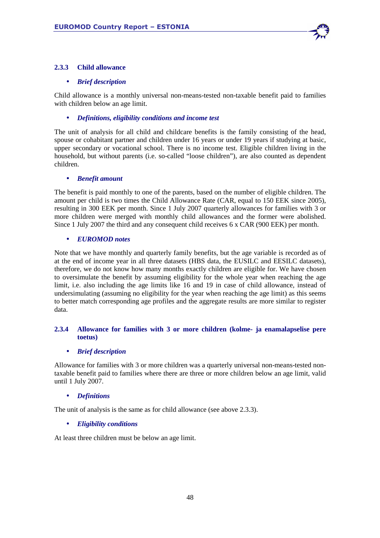

## **2.3.3 Child allowance**

## • *Brief description*

Child allowance is a monthly universal non-means-tested non-taxable benefit paid to families with children below an age limit.

## • *Definitions, eligibility conditions and income test*

The unit of analysis for all child and childcare benefits is the family consisting of the head, spouse or cohabitant partner and children under 16 years or under 19 years if studying at basic, upper secondary or vocational school. There is no income test. Eligible children living in the household, but without parents (i.e. so-called "loose children"), are also counted as dependent children.

## • *Benefit amount*

The benefit is paid monthly to one of the parents, based on the number of eligible children. The amount per child is two times the Child Allowance Rate (CAR, equal to 150 EEK since 2005), resulting in 300 EEK per month. Since 1 July 2007 quarterly allowances for families with 3 or more children were merged with monthly child allowances and the former were abolished. Since 1 July 2007 the third and any consequent child receives 6 x CAR (900 EEK) per month.

## • *EUROMOD notes*

Note that we have monthly and quarterly family benefits, but the age variable is recorded as of at the end of income year in all three datasets (HBS data, the EUSILC and EESILC datasets), therefore, we do not know how many months exactly children are eligible for. We have chosen to oversimulate the benefit by assuming eligibility for the whole year when reaching the age limit, i.e. also including the age limits like 16 and 19 in case of child allowance, instead of undersimulating (assuming no eligibility for the year when reaching the age limit) as this seems to better match corresponding age profiles and the aggregate results are more similar to register data.

## **2.3.4 Allowance for families with 3 or more children (kolme- ja enamalapselise pere toetus)**

## • *Brief description*

Allowance for families with 3 or more children was a quarterly universal non-means-tested nontaxable benefit paid to families where there are three or more children below an age limit, valid until 1 July 2007.

## • *Definitions*

The unit of analysis is the same as for child allowance (see above 2.3.3).

## • *Eligibility conditions*

At least three children must be below an age limit.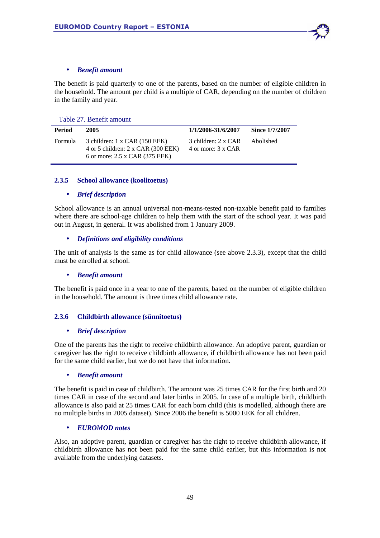

## • *Benefit amount*

The benefit is paid quarterly to one of the parents, based on the number of eligible children in the household. The amount per child is a multiple of CAR, depending on the number of children in the family and year.

#### Table 27. Benefit amount

| Period  | 2005                                                                                                         | 1/1/2006-31/6/2007                        | Since 1/7/2007 |
|---------|--------------------------------------------------------------------------------------------------------------|-------------------------------------------|----------------|
| Formula | 3 children: 1 x CAR (150 EEK)<br>4 or 5 children: $2 \times CAR$ (300 EEK)<br>6 or more: 2.5 x CAR (375 EEK) | 3 children: 2 x CAR<br>4 or more: 3 x CAR | Abolished      |

## **2.3.5 School allowance (koolitoetus)**

## • *Brief description*

School allowance is an annual universal non-means-tested non-taxable benefit paid to families where there are school-age children to help them with the start of the school year. It was paid out in August, in general. It was abolished from 1 January 2009.

## • *Definitions and eligibility conditions*

The unit of analysis is the same as for child allowance (see above 2.3.3), except that the child must be enrolled at school.

## • *Benefit amount*

The benefit is paid once in a year to one of the parents, based on the number of eligible children in the household. The amount is three times child allowance rate.

## **2.3.6 Childbirth allowance (sünnitoetus)**

## • *Brief description*

One of the parents has the right to receive childbirth allowance. An adoptive parent, guardian or caregiver has the right to receive childbirth allowance, if childbirth allowance has not been paid for the same child earlier, but we do not have that information.

## • *Benefit amount*

The benefit is paid in case of childbirth. The amount was 25 times CAR for the first birth and 20 times CAR in case of the second and later births in 2005. In case of a multiple birth, childbirth allowance is also paid at 25 times CAR for each born child (this is modelled, although there are no multiple births in 2005 dataset). Since 2006 the benefit is 5000 EEK for all children.

## • *EUROMOD notes*

Also, an adoptive parent, guardian or caregiver has the right to receive childbirth allowance, if childbirth allowance has not been paid for the same child earlier, but this information is not available from the underlying datasets.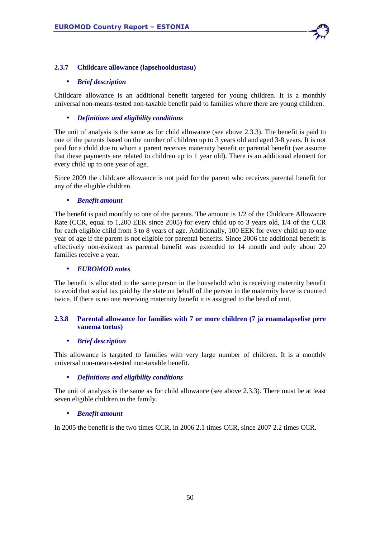

## **2.3.7 Childcare allowance (lapsehooldustasu)**

## • *Brief description*

Childcare allowance is an additional benefit targeted for young children. It is a monthly universal non-means-tested non-taxable benefit paid to families where there are young children.

## • *Definitions and eligibility conditions*

The unit of analysis is the same as for child allowance (see above 2.3.3). The benefit is paid to one of the parents based on the number of children up to 3 years old and aged 3-8 years. It is not paid for a child due to whom a parent receives maternity benefit or parental benefit (we assume that these payments are related to children up to 1 year old). There is an additional element for every child up to one year of age.

Since 2009 the childcare allowance is not paid for the parent who receives parental benefit for any of the eligible children.

## • *Benefit amount*

The benefit is paid monthly to one of the parents. The amount is 1/2 of the Childcare Allowance Rate (CCR, equal to 1,200 EEK since 2005) for every child up to 3 years old, 1/4 of the CCR for each eligible child from 3 to 8 years of age. Additionally, 100 EEK for every child up to one year of age if the parent is not eligible for parental benefits. Since 2006 the additional benefit is effectively non-existent as parental benefit was extended to 14 month and only about 20 families receive a year.

## • *EUROMOD notes*

The benefit is allocated to the same person in the household who is receiving maternity benefit to avoid that social tax paid by the state on behalf of the person in the maternity leave is counted twice. If there is no one receiving maternity benefit it is assigned to the head of unit.

## **2.3.8 Parental allowance for families with 7 or more children (7 ja enamalapselise pere vanema toetus)**

## • *Brief description*

This allowance is targeted to families with very large number of children. It is a monthly universal non-means-tested non-taxable benefit.

## • *Definitions and eligibility conditions*

The unit of analysis is the same as for child allowance (see above 2.3.3). There must be at least seven eligible children in the family.

## • *Benefit amount*

In 2005 the benefit is the two times CCR, in 2006 2.1 times CCR, since 2007 2.2 times CCR.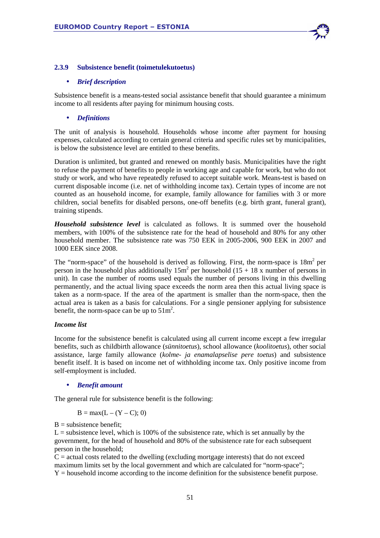

#### **2.3.9 Subsistence benefit (toimetulekutoetus)**

#### • *Brief description*

Subsistence benefit is a means-tested social assistance benefit that should guarantee a minimum income to all residents after paying for minimum housing costs.

#### • *Definitions*

The unit of analysis is household. Households whose income after payment for housing expenses, calculated according to certain general criteria and specific rules set by municipalities, is below the subsistence level are entitled to these benefits.

Duration is unlimited, but granted and renewed on monthly basis. Municipalities have the right to refuse the payment of benefits to people in working age and capable for work, but who do not study or work, and who have repeatedly refused to accept suitable work. Means-test is based on current disposable income (i.e. net of withholding income tax). Certain types of income are not counted as an household income, for example, family allowance for families with 3 or more children, social benefits for disabled persons, one-off benefits (e.g. birth grant, funeral grant), training stipends.

*Household subsistence level* is calculated as follows. It is summed over the household members, with 100% of the subsistence rate for the head of household and 80% for any other household member. The subsistence rate was 750 EEK in 2005-2006, 900 EEK in 2007 and 1000 EEK since 2008.

The "norm-space" of the household is derived as following. First, the norm-space is  $18m^2$  per person in the household plus additionally  $15m^2$  per household (15 + 18 x number of persons in unit). In case the number of rooms used equals the number of persons living in this dwelling permanently, and the actual living space exceeds the norm area then this actual living space is taken as a norm-space. If the area of the apartment is smaller than the norm-space, then the actual area is taken as a basis for calculations. For a single pensioner applying for subsistence benefit, the norm-space can be up to  $51m^2$ .

#### *Income list*

Income for the subsistence benefit is calculated using all current income except a few irregular benefits, such as childbirth allowance (*sünnitoetus*), school allowance (*koolitoetus*), other social assistance, large family allowance (*kolme- ja enamalapselise pere toetus*) and subsistence benefit itself. It is based on income net of withholding income tax. Only positive income from self-employment is included.

#### • *Benefit amount*

The general rule for subsistence benefit is the following:

$$
B = max(L - (Y - C); 0)
$$

 $B =$  subsistence benefit:

 $L =$  subsistence level, which is 100% of the subsistence rate, which is set annually by the government, for the head of household and 80% of the subsistence rate for each subsequent person in the household;

 $C =$  actual costs related to the dwelling (excluding mortgage interests) that do not exceed maximum limits set by the local government and which are calculated for "norm-space";  $Y =$  household income according to the income definition for the subsistence benefit purpose.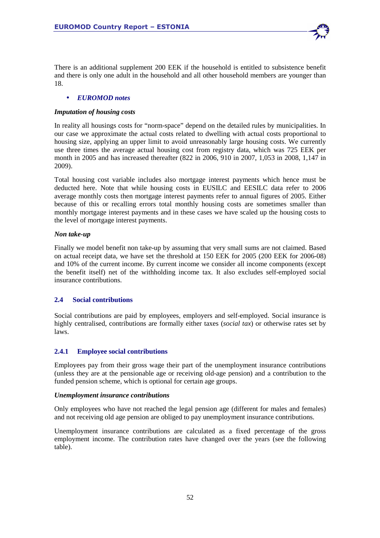

## • *EUROMOD notes*

## *Imputation of housing costs*

In reality all housings costs for "norm-space" depend on the detailed rules by municipalities. In our case we approximate the actual costs related to dwelling with actual costs proportional to housing size, applying an upper limit to avoid unreasonably large housing costs. We currently use three times the average actual housing cost from registry data, which was 725 EEK per month in 2005 and has increased thereafter (822 in 2006, 910 in 2007, 1,053 in 2008, 1,147 in 2009).

Total housing cost variable includes also mortgage interest payments which hence must be deducted here. Note that while housing costs in EUSILC and EESILC data refer to 2006 average monthly costs then mortgage interest payments refer to annual figures of 2005. Either because of this or recalling errors total monthly housing costs are sometimes smaller than monthly mortgage interest payments and in these cases we have scaled up the housing costs to the level of mortgage interest payments.

## *Non take-up*

Finally we model benefit non take-up by assuming that very small sums are not claimed. Based on actual receipt data, we have set the threshold at 150 EEK for 2005 (200 EEK for 2006-08) and 10% of the current income. By current income we consider all income components (except the benefit itself) net of the withholding income tax. It also excludes self-employed social insurance contributions.

# **2.4 Social contributions**

Social contributions are paid by employees, employers and self-employed. Social insurance is highly centralised, contributions are formally either taxes (*social tax*) or otherwise rates set by laws.

# **2.4.1 Employee social contributions**

Employees pay from their gross wage their part of the unemployment insurance contributions (unless they are at the pensionable age or receiving old-age pension) and a contribution to the funded pension scheme, which is optional for certain age groups.

## *Unemployment insurance contributions*

Only employees who have not reached the legal pension age (different for males and females) and not receiving old age pension are obliged to pay unemployment insurance contributions.

Unemployment insurance contributions are calculated as a fixed percentage of the gross employment income. The contribution rates have changed over the years (see the following table).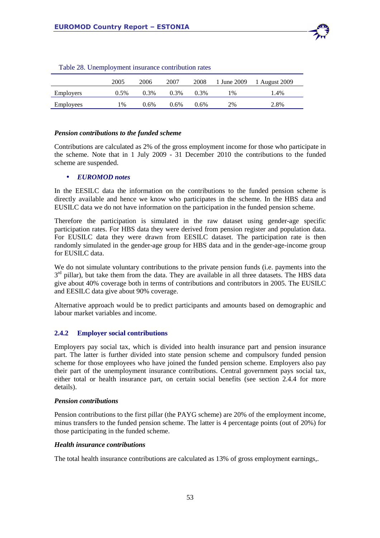

|                  | 2005  | 2006    | 2007    | 2008 | 1 June 2009 | 1 August 2009 |
|------------------|-------|---------|---------|------|-------------|---------------|
| Employers        | 0.5%  | 0.3%    | $0.3\%$ | 0.3% | $1\%$       | 1.4%          |
| <b>Employees</b> | $1\%$ | $0.6\%$ | $0.6\%$ | 0.6% | 2%          | 2.8%          |

Table 28. Unemployment insurance contribution rates

#### *Pension contributions to the funded scheme*

Contributions are calculated as 2% of the gross employment income for those who participate in the scheme. Note that in 1 July 2009 - 31 December 2010 the contributions to the funded scheme are suspended.

## • *EUROMOD notes*

In the EESILC data the information on the contributions to the funded pension scheme is directly available and hence we know who participates in the scheme. In the HBS data and EUSILC data we do not have information on the participation in the funded pension scheme.

Therefore the participation is simulated in the raw dataset using gender-age specific participation rates. For HBS data they were derived from pension register and population data. For EUSILC data they were drawn from EESILC dataset. The participation rate is then randomly simulated in the gender-age group for HBS data and in the gender-age-income group for EUSILC data.

We do not simulate voluntary contributions to the private pension funds (i.e. payments into the 3<sup>rd</sup> pillar), but take them from the data. They are available in all three datasets. The HBS data give about 40% coverage both in terms of contributions and contributors in 2005. The EUSILC and EESILC data give about 90% coverage.

Alternative approach would be to predict participants and amounts based on demographic and labour market variables and income.

## **2.4.2 Employer social contributions**

Employers pay social tax, which is divided into health insurance part and pension insurance part. The latter is further divided into state pension scheme and compulsory funded pension scheme for those employees who have joined the funded pension scheme. Employers also pay their part of the unemployment insurance contributions. Central government pays social tax, either total or health insurance part, on certain social benefits (see section 2.4.4 for more details).

#### *Pension contributions*

Pension contributions to the first pillar (the PAYG scheme) are 20% of the employment income, minus transfers to the funded pension scheme. The latter is 4 percentage points (out of 20%) for those participating in the funded scheme.

## *Health insurance contributions*

The total health insurance contributions are calculated as 13% of gross employment earnings,.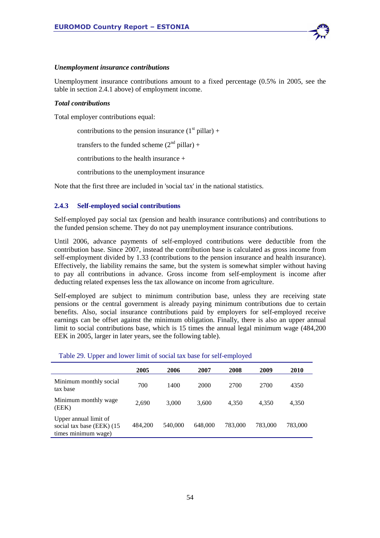

#### *Unemployment insurance contributions*

Unemployment insurance contributions amount to a fixed percentage (0.5% in 2005, see the table in section 2.4.1 above) of employment income.

#### *Total contributions*

Total employer contributions equal:

contributions to the pension insurance  $(1<sup>st</sup> pillar) +$ 

transfers to the funded scheme  $(2<sup>nd</sup> pillar) +$ 

contributions to the health insurance +

contributions to the unemployment insurance

Note that the first three are included in 'social tax' in the national statistics.

## **2.4.3 Self-employed social contributions**

Self-employed pay social tax (pension and health insurance contributions) and contributions to the funded pension scheme. They do not pay unemployment insurance contributions.

Until 2006, advance payments of self-employed contributions were deductible from the contribution base. Since 2007, instead the contribution base is calculated as gross income from self-employment divided by 1.33 (contributions to the pension insurance and health insurance). Effectively, the liability remains the same, but the system is somewhat simpler without having to pay all contributions in advance. Gross income from self-employment is income after deducting related expenses less the tax allowance on income from agriculture.

Self-employed are subject to minimum contribution base, unless they are receiving state pensions or the central government is already paying minimum contributions due to certain benefits. Also, social insurance contributions paid by employers for self-employed receive earnings can be offset against the minimum obligation. Finally, there is also an upper annual limit to social contributions base, which is 15 times the annual legal minimum wage (484,200 EEK in 2005, larger in later years, see the following table).

#### Table 29. Upper and lower limit of social tax base for self-employed

|                                                                            | 2005    | 2006    | 2007    | 2008    | 2009    | 2010    |
|----------------------------------------------------------------------------|---------|---------|---------|---------|---------|---------|
| Minimum monthly social<br>tax base                                         | 700     | 1400    | 2000    | 2700    | 2700    | 4350    |
| Minimum monthly wage<br>(EEK)                                              | 2.690   | 3.000   | 3.600   | 4.350   | 4.350   | 4,350   |
| Upper annual limit of<br>social tax base (EEK) (15)<br>times minimum wage) | 484,200 | 540,000 | 648,000 | 783.000 | 783.000 | 783,000 |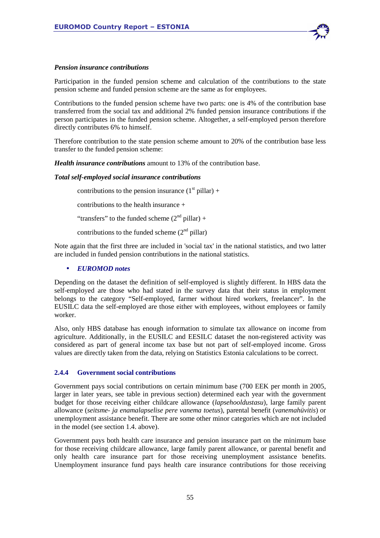

#### *Pension insurance contributions*

Participation in the funded pension scheme and calculation of the contributions to the state pension scheme and funded pension scheme are the same as for employees.

Contributions to the funded pension scheme have two parts: one is 4% of the contribution base transferred from the social tax and additional 2% funded pension insurance contributions if the person participates in the funded pension scheme. Altogether, a self-employed person therefore directly contributes 6% to himself.

Therefore contribution to the state pension scheme amount to 20% of the contribution base less transfer to the funded pension scheme:

*Health insurance contributions* amount to 13% of the contribution base.

#### *Total self-employed social insurance contributions*

contributions to the pension insurance  $(1<sup>st</sup> pillar) +$ 

contributions to the health insurance +

"transfers" to the funded scheme  $(2<sup>nd</sup> pillar) +$ 

contributions to the funded scheme  $(2<sup>nd</sup>$  pillar)

Note again that the first three are included in 'social tax' in the national statistics, and two latter are included in funded pension contributions in the national statistics.

#### • *EUROMOD notes*

Depending on the dataset the definition of self-employed is slightly different. In HBS data the self-employed are those who had stated in the survey data that their status in employment belongs to the category "Self-employed, farmer without hired workers, freelancer". In the EUSILC data the self-employed are those either with employees, without employees or family worker.

Also, only HBS database has enough information to simulate tax allowance on income from agriculture. Additionally, in the EUSILC and EESILC dataset the non-registered activity was considered as part of general income tax base but not part of self-employed income. Gross values are directly taken from the data, relying on Statistics Estonia calculations to be correct.

#### **2.4.4 Government social contributions**

Government pays social contributions on certain minimum base (700 EEK per month in 2005, larger in later years, see table in previous section) determined each year with the government budget for those receiving either childcare allowance (*lapsehooldustasu*), large family parent allowance (*seitsme- ja enamalapselise pere vanema toetus*), parental benefit (*vanemahüvitis*) or unemployment assistance benefit. There are some other minor categories which are not included in the model (see section 1.4. above).

Government pays both health care insurance and pension insurance part on the minimum base for those receiving childcare allowance, large family parent allowance, or parental benefit and only health care insurance part for those receiving unemployment assistance benefits. Unemployment insurance fund pays health care insurance contributions for those receiving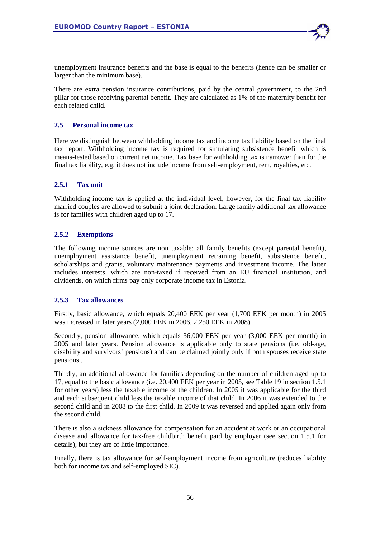

unemployment insurance benefits and the base is equal to the benefits (hence can be smaller or larger than the minimum base).

There are extra pension insurance contributions, paid by the central government, to the 2nd pillar for those receiving parental benefit. They are calculated as 1% of the maternity benefit for each related child.

## **2.5 Personal income tax**

Here we distinguish between withholding income tax and income tax liability based on the final tax report. Withholding income tax is required for simulating subsistence benefit which is means-tested based on current net income. Tax base for withholding tax is narrower than for the final tax liability, e.g. it does not include income from self-employment, rent, royalties, etc.

## **2.5.1 Tax unit**

Withholding income tax is applied at the individual level, however, for the final tax liability married couples are allowed to submit a joint declaration. Large family additional tax allowance is for families with children aged up to 17.

## **2.5.2 Exemptions**

The following income sources are non taxable: all family benefits (except parental benefit), unemployment assistance benefit, unemployment retraining benefit, subsistence benefit, scholarships and grants, voluntary maintenance payments and investment income. The latter includes interests, which are non-taxed if received from an EU financial institution, and dividends, on which firms pay only corporate income tax in Estonia.

## **2.5.3 Tax allowances**

Firstly, basic allowance, which equals 20,400 EEK per year (1,700 EEK per month) in 2005 was increased in later years (2,000 EEK in 2006, 2,250 EEK in 2008).

Secondly, pension allowance, which equals 36,000 EEK per year (3,000 EEK per month) in 2005 and later years. Pension allowance is applicable only to state pensions (i.e. old-age, disability and survivors' pensions) and can be claimed jointly only if both spouses receive state pensions..

Thirdly, an additional allowance for families depending on the number of children aged up to 17, equal to the basic allowance (i.e. 20,400 EEK per year in 2005, see Table 19 in section 1.5.1 for other years) less the taxable income of the children. In 2005 it was applicable for the third and each subsequent child less the taxable income of that child. In 2006 it was extended to the second child and in 2008 to the first child. In 2009 it was reversed and applied again only from the second child.

There is also a sickness allowance for compensation for an accident at work or an occupational disease and allowance for tax-free childbirth benefit paid by employer (see section 1.5.1 for details), but they are of little importance.

Finally, there is tax allowance for self-employment income from agriculture (reduces liability both for income tax and self-employed SIC).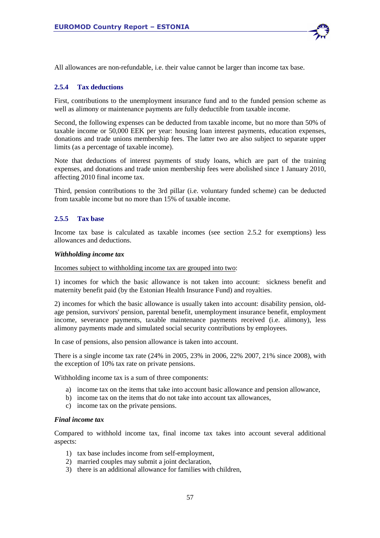

#### **2.5.4 Tax deductions**

First, contributions to the unemployment insurance fund and to the funded pension scheme as well as alimony or maintenance payments are fully deductible from taxable income.

Second, the following expenses can be deducted from taxable income, but no more than 50% of taxable income or 50,000 EEK per year: housing loan interest payments, education expenses, donations and trade unions membership fees. The latter two are also subject to separate upper limits (as a percentage of taxable income).

Note that deductions of interest payments of study loans, which are part of the training expenses, and donations and trade union membership fees were abolished since 1 January 2010, affecting 2010 final income tax.

Third, pension contributions to the 3rd pillar (i.e. voluntary funded scheme) can be deducted from taxable income but no more than 15% of taxable income.

#### **2.5.5 Tax base**

Income tax base is calculated as taxable incomes (see section 2.5.2 for exemptions) less allowances and deductions.

#### *Withholding income tax*

Incomes subject to withholding income tax are grouped into two:

1) incomes for which the basic allowance is not taken into account: sickness benefit and maternity benefit paid (by the Estonian Health Insurance Fund) and royalties.

2) incomes for which the basic allowance is usually taken into account: disability pension, oldage pension, survivors' pension, parental benefit, unemployment insurance benefit, employment income, severance payments, taxable maintenance payments received (i.e. alimony), less alimony payments made and simulated social security contributions by employees.

In case of pensions, also pension allowance is taken into account.

There is a single income tax rate (24% in 2005, 23% in 2006, 22% 2007, 21% since 2008), with the exception of 10% tax rate on private pensions.

Withholding income tax is a sum of three components:

- a) income tax on the items that take into account basic allowance and pension allowance,
- b) income tax on the items that do not take into account tax allowances,
- c) income tax on the private pensions.

#### *Final income tax*

Compared to withhold income tax, final income tax takes into account several additional aspects:

- 1) tax base includes income from self-employment,
- 2) married couples may submit a joint declaration,
- 3) there is an additional allowance for families with children,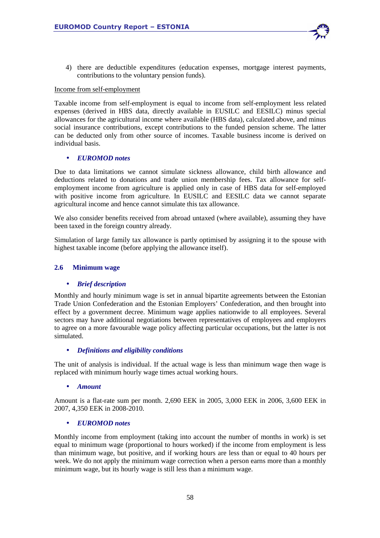4) there are deductible expenditures (education expenses, mortgage interest payments, contributions to the voluntary pension funds).

#### Income from self-employment

Taxable income from self-employment is equal to income from self-employment less related expenses (derived in HBS data, directly available in EUSILC and EESILC) minus special allowances for the agricultural income where available (HBS data), calculated above, and minus social insurance contributions, except contributions to the funded pension scheme. The latter can be deducted only from other source of incomes. Taxable business income is derived on individual basis.

## • *EUROMOD notes*

Due to data limitations we cannot simulate sickness allowance, child birth allowance and deductions related to donations and trade union membership fees. Tax allowance for selfemployment income from agriculture is applied only in case of HBS data for self-employed with positive income from agriculture. In EUSILC and EESILC data we cannot separate agricultural income and hence cannot simulate this tax allowance.

We also consider benefits received from abroad untaxed (where available), assuming they have been taxed in the foreign country already.

Simulation of large family tax allowance is partly optimised by assigning it to the spouse with highest taxable income (before applying the allowance itself).

#### **2.6 Minimum wage**

## • *Brief description*

Monthly and hourly minimum wage is set in annual bipartite agreements between the Estonian Trade Union Confederation and the Estonian Employers' Confederation, and then brought into effect by a government decree. Minimum wage applies nationwide to all employees. Several sectors may have additional negotiations between representatives of employees and employers to agree on a more favourable wage policy affecting particular occupations, but the latter is not simulated.

#### • *Definitions and eligibility conditions*

The unit of analysis is individual. If the actual wage is less than minimum wage then wage is replaced with minimum hourly wage times actual working hours.

#### • *Amount*

Amount is a flat-rate sum per month. 2,690 EEK in 2005, 3,000 EEK in 2006, 3,600 EEK in 2007, 4,350 EEK in 2008-2010.

#### • *EUROMOD notes*

Monthly income from employment (taking into account the number of months in work) is set equal to minimum wage (proportional to hours worked) if the income from employment is less than minimum wage, but positive, and if working hours are less than or equal to 40 hours per week. We do not apply the minimum wage correction when a person earns more than a monthly minimum wage, but its hourly wage is still less than a minimum wage.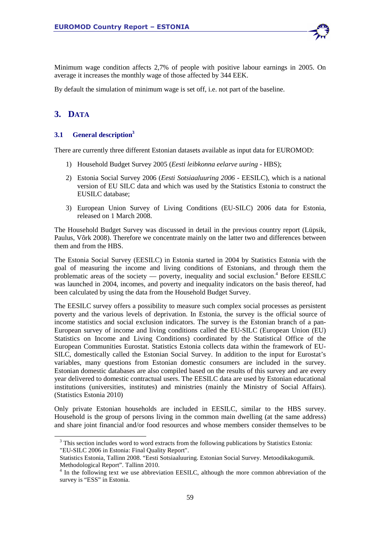Minimum wage condition affects 2,7% of people with positive labour earnings in 2005. On average it increases the monthly wage of those affected by 344 EEK.

By default the simulation of minimum wage is set off, i.e. not part of the baseline.

# **3. DATA**

l

## **3.1 General description<sup>3</sup>**

There are currently three different Estonian datasets available as input data for EUROMOD:

- 1) Household Budget Survey 2005 (*Eesti leibkonna eelarve uuring* HBS);
- 2) Estonia Social Survey 2006 (*Eesti Sotsiaaluuring 2006* EESILC), which is a national version of EU SILC data and which was used by the Statistics Estonia to construct the EUSILC database;
- 3) European Union Survey of Living Conditions (EU-SILC) 2006 data for Estonia, released on 1 March 2008.

The Household Budget Survey was discussed in detail in the previous country report (Lüpsik, Paulus, Võrk 2008). Therefore we concentrate mainly on the latter two and differences between them and from the HBS.

The Estonia Social Survey (EESILC) in Estonia started in 2004 by Statistics Estonia with the goal of measuring the income and living conditions of Estonians, and through them the problematic areas of the society — poverty, inequality and social exclusion.<sup>4</sup> Before EESILC was launched in 2004, incomes, and poverty and inequality indicators on the basis thereof, had been calculated by using the data from the Household Budget Survey.

The EESILC survey offers a possibility to measure such complex social processes as persistent poverty and the various levels of deprivation. In Estonia, the survey is the official source of income statistics and social exclusion indicators. The survey is the Estonian branch of a pan-European survey of income and living conditions called the EU-SILC (European Union (EU) Statistics on Income and Living Conditions) coordinated by the Statistical Office of the European Communities Eurostat. Statistics Estonia collects data within the framework of EU-SILC, domestically called the Estonian Social Survey. In addition to the input for Eurostat's variables, many questions from Estonian domestic consumers are included in the survey. Estonian domestic databases are also compiled based on the results of this survey and are every year delivered to domestic contractual users. The EESILC data are used by Estonian educational institutions (universities, institutes) and ministries (mainly the Ministry of Social Affairs). (Statistics Estonia 2010)

Only private Estonian households are included in EESILC, similar to the HBS survey. Household is the group of persons living in the common main dwelling (at the same address) and share joint financial and/or food resources and whose members consider themselves to be

 $3$  This section includes word to word extracts from the following publications by Statistics Estonia: "EU-SILC 2006 in Estonia: Final Quality Report".

Statistics Estonia, Tallinn 2008. "Eesti Sotsiaaluuring. Estonian Social Survey. Metoodikakogumik. Methodological Report". Tallinn 2010.

<sup>&</sup>lt;sup>4</sup> In the following text we use abbreviation EESILC, although the more common abbreviation of the survey is "ESS" in Estonia.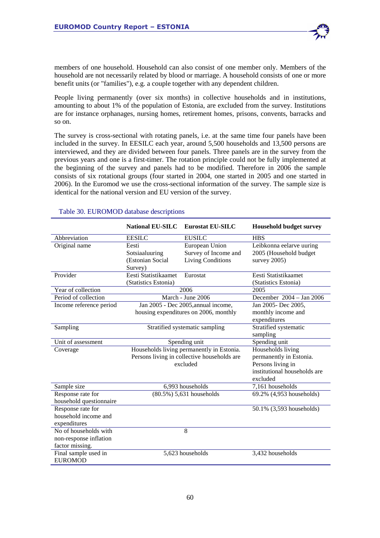

People living permanently (over six months) in collective households and in institutions, amounting to about 1% of the population of Estonia, are excluded from the survey. Institutions are for instance orphanages, nursing homes, retirement homes, prisons, convents, barracks and so on.

The survey is cross-sectional with rotating panels, i.e. at the same time four panels have been included in the survey. In EESILC each year, around 5,500 households and 13,500 persons are interviewed, and they are divided between four panels. Three panels are in the survey from the previous years and one is a first-timer. The rotation principle could not be fully implemented at the beginning of the survey and panels had to be modified. Therefore in 2006 the sample consists of six rotational groups (four started in 2004, one started in 2005 and one started in 2006). In the Euromod we use the cross-sectional information of the survey. The sample size is identical for the national version and EU version of the survey.

|                         | <b>National EU-SILC</b>                   | <b>Eurostat EU-SILC</b>                     | <b>Household budget survey</b> |
|-------------------------|-------------------------------------------|---------------------------------------------|--------------------------------|
| Abbreviation            | <b>EESILC</b>                             | <b>EUSILC</b>                               | <b>HBS</b>                     |
| Original name           | Eesti                                     | European Union                              | Leibkonna eelarve uuring       |
|                         | Sotsiaaluuring                            | Survey of Income and                        | 2005 (Household budget         |
|                         | (Estonian Social                          | <b>Living Conditions</b>                    | survey $2005$ )                |
|                         | Survey)                                   |                                             |                                |
| Provider                | Eesti Statistikaamet                      | Eurostat                                    | Eesti Statistikaamet           |
|                         | (Statistics Estonia)                      |                                             | (Statistics Estonia)           |
| Year of collection      |                                           | 2006                                        | 2005                           |
| Period of collection    |                                           | March - June 2006                           | December 2004 - Jan 2006       |
| Income reference period |                                           | Jan 2005 - Dec 2005, annual income,         | Jan 2005- Dec 2005,            |
|                         |                                           | housing expenditures on 2006, monthly       | monthly income and             |
|                         |                                           |                                             | expenditures                   |
| Sampling                | Stratified systematic sampling            |                                             | Stratified systematic          |
|                         |                                           |                                             | sampling                       |
| Unit of assessment      | Spending unit                             |                                             | Spending unit                  |
| Coverage                | Households living permanently in Estonia. |                                             | Households living              |
|                         |                                           | Persons living in collective households are | permanently in Estonia.        |
|                         | excluded                                  |                                             | Persons living in              |
|                         |                                           |                                             | institutional households are   |
|                         |                                           |                                             | excluded                       |
| Sample size             |                                           | 6,993 households                            | 7,161 households               |
| Response rate for       |                                           | (80.5%) 5,631 households                    | 69.2% (4,953 households)       |
| household questionnaire |                                           |                                             |                                |
| Response rate for       |                                           |                                             | 50.1% (3,593 households)       |
| household income and    |                                           |                                             |                                |
| expenditures            |                                           |                                             |                                |
| No of households with   |                                           | 8                                           |                                |
| non-response inflation  |                                           |                                             |                                |
| factor missing.         |                                           |                                             |                                |
| Final sample used in    |                                           | 5,623 households                            | 3,432 households               |
| <b>EUROMOD</b>          |                                           |                                             |                                |

#### Table 30. EUROMOD database descriptions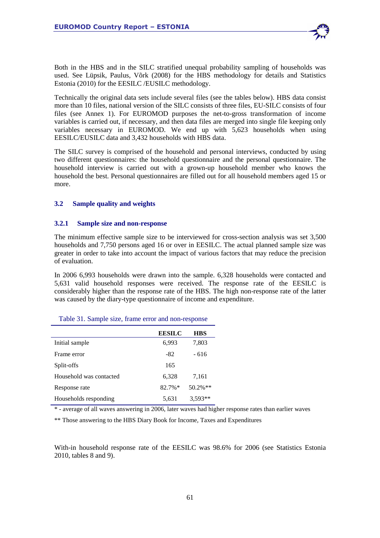Both in the HBS and in the SILC stratified unequal probability sampling of households was used. See Lüpsik, Paulus, Võrk (2008) for the HBS methodology for details and Statistics Estonia (2010) for the EESILC /EUSILC methodology.

Technically the original data sets include several files (see the tables below). HBS data consist more than 10 files, national version of the SILC consists of three files, EU-SILC consists of four files (see Annex 1). For EUROMOD purposes the net-to-gross transformation of income variables is carried out, if necessary, and then data files are merged into single file keeping only variables necessary in EUROMOD. We end up with 5,623 households when using EESILC/EUSILC data and 3,432 households with HBS data.

The SILC survey is comprised of the household and personal interviews, conducted by using two different questionnaires: the household questionnaire and the personal questionnaire. The household interview is carried out with a grown-up household member who knows the household the best. Personal questionnaires are filled out for all household members aged 15 or more.

## **3.2 Sample quality and weights**

## **3.2.1 Sample size and non-response**

The minimum effective sample size to be interviewed for cross-section analysis was set 3,500 households and 7,750 persons aged 16 or over in EESILC. The actual planned sample size was greater in order to take into account the impact of various factors that may reduce the precision of evaluation.

In 2006 6,993 households were drawn into the sample. 6,328 households were contacted and 5,631 valid household responses were received. The response rate of the EESILC is considerably higher than the response rate of the HBS. The high non-response rate of the latter was caused by the diary-type questionnaire of income and expenditure.

|                         | <b>EESILC</b> | <b>HBS</b> |
|-------------------------|---------------|------------|
| Initial sample          | 6,993         | 7,803      |
| Frame error             | $-82$         | - 616      |
| Split-offs              | 165           |            |
| Household was contacted | 6,328         | 7,161      |
| Response rate           | $82.7\%*$     | $50.2\%**$ |
| Households responding   | 5,631         | $3,593**$  |

\* - average of all waves answering in 2006, later waves had higher response rates than earlier waves

\*\* Those answering to the HBS Diary Book for Income, Taxes and Expenditures

With-in household response rate of the EESILC was 98.6% for 2006 (see Statistics Estonia 2010, tables 8 and 9).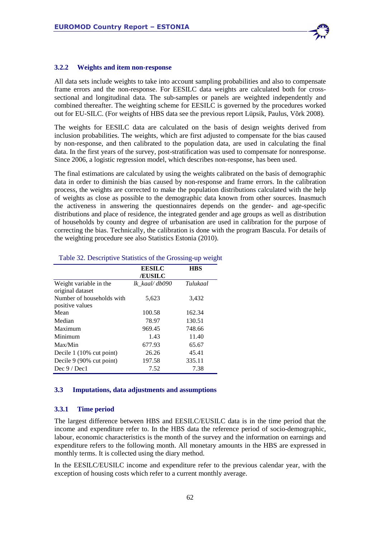

#### **3.2.2 Weights and item non-response**

All data sets include weights to take into account sampling probabilities and also to compensate frame errors and the non-response. For EESILC data weights are calculated both for crosssectional and longitudinal data. The sub-samples or panels are weighted independently and combined thereafter. The weighting scheme for EESILC is governed by the procedures worked out for EU-SILC. (For weights of HBS data see the previous report Lüpsik, Paulus, Võrk 2008).

The weights for EESILC data are calculated on the basis of design weights derived from inclusion probabilities. The weights, which are first adjusted to compensate for the bias caused by non-response, and then calibrated to the population data, are used in calculating the final data. In the first years of the survey, post-stratification was used to compensate for nonresponse. Since 2006, a logistic regression model, which describes non-response, has been used.

The final estimations are calculated by using the weights calibrated on the basis of demographic data in order to diminish the bias caused by non-response and frame errors. In the calibration process, the weights are corrected to make the population distributions calculated with the help of weights as close as possible to the demographic data known from other sources. Inasmuch the activeness in answering the questionnaires depends on the gender- and age-specific distributions and place of residence, the integrated gender and age groups as well as distribution of households by county and degree of urbanisation are used in calibration for the purpose of correcting the bias. Technically, the calibration is done with the program Bascula. For details of the weighting procedure see also Statistics Estonia (2010).

|                           | <b>EESILC</b>  | <b>HBS</b> |
|---------------------------|----------------|------------|
|                           | <b>EUSILC</b>  |            |
| Weight variable in the    | lk kaal/ db090 | Tulukaal   |
| original dataset          |                |            |
| Number of households with | 5,623          | 3,432      |
| positive values           |                |            |
| Mean                      | 100.58         | 162.34     |
| Median                    | 78.97          | 130.51     |
| Maximum                   | 969.45         | 748.66     |
| Minimum                   | 1.43           | 11.40      |
| Max/Min                   | 677.93         | 65.67      |
| Decile 1 (10% cut point)  | 26.26          | 45.41      |
| Decile 9 (90% cut point)  | 197.58         | 335.11     |
| Dec $9/$ Dec 1            | 7.52           | 7.38       |

#### Table 32. Descriptive Statistics of the Grossing-up weight

#### **3.3 Imputations, data adjustments and assumptions**

#### **3.3.1 Time period**

The largest difference between HBS and EESILC/EUSILC data is in the time period that the income and expenditure refer to. In the HBS data the reference period of socio-demographic, labour, economic characteristics is the month of the survey and the information on earnings and expenditure refers to the following month. All monetary amounts in the HBS are expressed in monthly terms. It is collected using the diary method.

In the EESILC/EUSILC income and expenditure refer to the previous calendar year, with the exception of housing costs which refer to a current monthly average.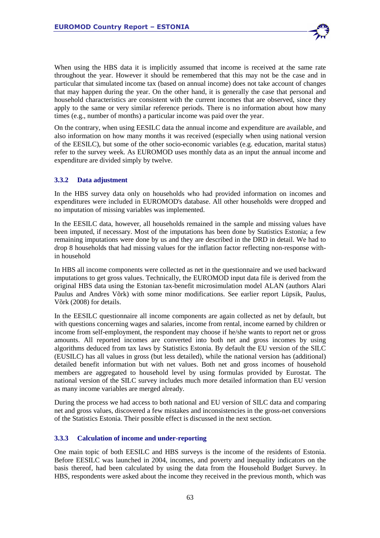When using the HBS data it is implicitly assumed that income is received at the same rate throughout the year. However it should be remembered that this may not be the case and in particular that simulated income tax (based on annual income) does not take account of changes that may happen during the year. On the other hand, it is generally the case that personal and household characteristics are consistent with the current incomes that are observed, since they apply to the same or very similar reference periods. There is no information about how many times (e.g., number of months) a particular income was paid over the year.

On the contrary, when using EESILC data the annual income and expenditure are available, and also information on how many months it was received (especially when using national version of the EESILC), but some of the other socio-economic variables (e.g. education, marital status) refer to the survey week. As EUROMOD uses monthly data as an input the annual income and expenditure are divided simply by twelve.

## **3.3.2 Data adjustment**

In the HBS survey data only on households who had provided information on incomes and expenditures were included in EUROMOD's database. All other households were dropped and no imputation of missing variables was implemented.

In the EESILC data, however, all households remained in the sample and missing values have been imputed, if necessary. Most of the imputations has been done by Statistics Estonia; a few remaining imputations were done by us and they are described in the DRD in detail. We had to drop 8 households that had missing values for the inflation factor reflecting non-response within household

In HBS all income components were collected as net in the questionnaire and we used backward imputations to get gross values. Technically, the EUROMOD input data file is derived from the original HBS data using the Estonian tax-benefit microsimulation model ALAN (authors Alari Paulus and Andres Võrk) with some minor modifications. See earlier report Lüpsik, Paulus, Võrk (2008) for details.

In the EESILC questionnaire all income components are again collected as net by default, but with questions concerning wages and salaries, income from rental, income earned by children or income from self-employment, the respondent may choose if he/she wants to report net or gross amounts. All reported incomes are converted into both net and gross incomes by using algorithms deduced from tax laws by Statistics Estonia. By default the EU version of the SILC (EUSILC) has all values in gross (but less detailed), while the national version has (additional) detailed benefit information but with net values. Both net and gross incomes of household members are aggregated to household level by using formulas provided by Eurostat. The national version of the SILC survey includes much more detailed information than EU version as many income variables are merged already.

During the process we had access to both national and EU version of SILC data and comparing net and gross values, discovered a few mistakes and inconsistencies in the gross-net conversions of the Statistics Estonia. Their possible effect is discussed in the next section.

## **3.3.3 Calculation of income and under-reporting**

One main topic of both EESILC and HBS surveys is the income of the residents of Estonia. Before EESILC was launched in 2004, incomes, and poverty and inequality indicators on the basis thereof, had been calculated by using the data from the Household Budget Survey. In HBS, respondents were asked about the income they received in the previous month, which was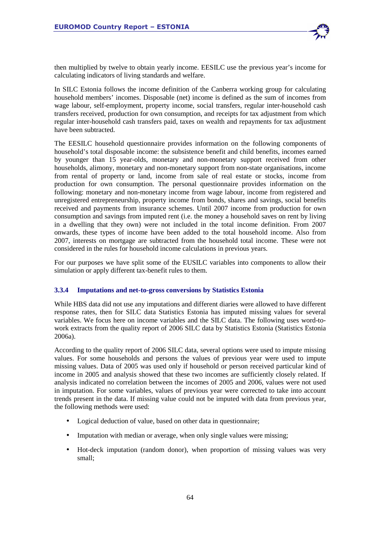

then multiplied by twelve to obtain yearly income. EESILC use the previous year's income for calculating indicators of living standards and welfare.

In SILC Estonia follows the income definition of the Canberra working group for calculating household members' incomes. Disposable (net) income is defined as the sum of incomes from wage labour, self-employment, property income, social transfers, regular inter-household cash transfers received, production for own consumption, and receipts for tax adjustment from which regular inter-household cash transfers paid, taxes on wealth and repayments for tax adjustment have been subtracted.

The EESILC household questionnaire provides information on the following components of household's total disposable income: the subsistence benefit and child benefits, incomes earned by younger than 15 year-olds, monetary and non-monetary support received from other households, alimony, monetary and non-monetary support from non-state organisations, income from rental of property or land, income from sale of real estate or stocks, income from production for own consumption. The personal questionnaire provides information on the following: monetary and non-monetary income from wage labour, income from registered and unregistered entrepreneurship, property income from bonds, shares and savings, social benefits received and payments from insurance schemes. Until 2007 income from production for own consumption and savings from imputed rent (i.e. the money a household saves on rent by living in a dwelling that they own) were not included in the total income definition. From 2007 onwards, these types of income have been added to the total household income. Also from 2007, interests on mortgage are subtracted from the household total income. These were not considered in the rules for household income calculations in previous years.

For our purposes we have split some of the EUSILC variables into components to allow their simulation or apply different tax-benefit rules to them.

## **3.3.4 Imputations and net-to-gross conversions by Statistics Estonia**

While HBS data did not use any imputations and different diaries were allowed to have different response rates, then for SILC data Statistics Estonia has imputed missing values for several variables. We focus here on income variables and the SILC data. The following uses word-towork extracts from the quality report of 2006 SILC data by Statistics Estonia (Statistics Estonia 2006a).

According to the quality report of 2006 SILC data, several options were used to impute missing values. For some households and persons the values of previous year were used to impute missing values. Data of 2005 was used only if household or person received particular kind of income in 2005 and analysis showed that these two incomes are sufficiently closely related. If analysis indicated no correlation between the incomes of 2005 and 2006, values were not used in imputation. For some variables, values of previous year were corrected to take into account trends present in the data. If missing value could not be imputed with data from previous year, the following methods were used:

- Logical deduction of value, based on other data in questionnaire;
- Imputation with median or average, when only single values were missing;
- Hot-deck imputation (random donor), when proportion of missing values was very small;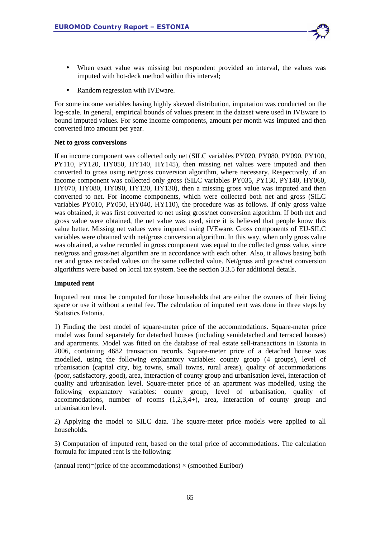

• Random regression with IVEware.

For some income variables having highly skewed distribution, imputation was conducted on the log-scale. In general, empirical bounds of values present in the dataset were used in IVEware to bound imputed values. For some income components, amount per month was imputed and then converted into amount per year.

#### **Net to gross conversions**

If an income component was collected only net (SILC variables PY020, PY080, PY090, PY100, PY110, PY120, HY050, HY140, HY145), then missing net values were imputed and then converted to gross using net/gross conversion algorithm, where necessary. Respectively, if an income component was collected only gross (SILC variables PY035, PY130, PY140, HY060, HY070, HY080, HY090, HY120, HY130), then a missing gross value was imputed and then converted to net. For income components, which were collected both net and gross (SILC variables PY010, PY050, HY040, HY110), the procedure was as follows. If only gross value was obtained, it was first converted to net using gross/net conversion algorithm. If both net and gross value were obtained, the net value was used, since it is believed that people know this value better. Missing net values were imputed using IVEware. Gross components of EU-SILC variables were obtained with net/gross conversion algorithm. In this way, when only gross value was obtained, a value recorded in gross component was equal to the collected gross value, since net/gross and gross/net algorithm are in accordance with each other. Also, it allows basing both net and gross recorded values on the same collected value. Net/gross and gross/net conversion algorithms were based on local tax system. See the section 3.3.5 for additional details.

#### **Imputed rent**

Imputed rent must be computed for those households that are either the owners of their living space or use it without a rental fee. The calculation of imputed rent was done in three steps by Statistics Estonia.

1) Finding the best model of square-meter price of the accommodations. Square-meter price model was found separately for detached houses (including semidetached and terraced houses) and apartments. Model was fitted on the database of real estate sell-transactions in Estonia in 2006, containing 4682 transaction records. Square-meter price of a detached house was modelled, using the following explanatory variables: county group (4 groups), level of urbanisation (capital city, big towns, small towns, rural areas), quality of accommodations (poor, satisfactory, good), area, interaction of county group and urbanisation level, interaction of quality and urbanisation level. Square-meter price of an apartment was modelled, using the following explanatory variables: county group, level of urbanisation, quality of accommodations, number of rooms  $(1,2,3,4+)$ , area, interaction of county group and urbanisation level.

2) Applying the model to SILC data. The square-meter price models were applied to all households.

3) Computation of imputed rent, based on the total price of accommodations. The calculation formula for imputed rent is the following:

(annual rent)=(price of the accommodations)  $\times$  (smoothed Euribor)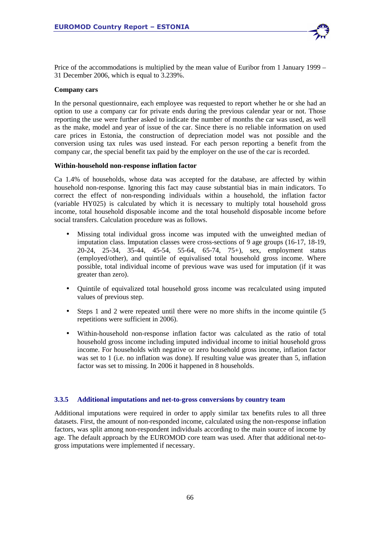Price of the accommodations is multiplied by the mean value of Euribor from 1 January 1999 – 31 December 2006, which is equal to 3.239%.

#### **Company cars**

In the personal questionnaire, each employee was requested to report whether he or she had an option to use a company car for private ends during the previous calendar year or not. Those reporting the use were further asked to indicate the number of months the car was used, as well as the make, model and year of issue of the car. Since there is no reliable information on used care prices in Estonia, the construction of depreciation model was not possible and the conversion using tax rules was used instead. For each person reporting a benefit from the company car, the special benefit tax paid by the employer on the use of the car is recorded.

#### **Within-household non-response inflation factor**

Ca 1.4% of households, whose data was accepted for the database, are affected by within household non-response. Ignoring this fact may cause substantial bias in main indicators. To correct the effect of non-responding individuals within a household, the inflation factor (variable HY025) is calculated by which it is necessary to multiply total household gross income, total household disposable income and the total household disposable income before social transfers. Calculation procedure was as follows.

- Missing total individual gross income was imputed with the unweighted median of imputation class. Imputation classes were cross-sections of 9 age groups (16-17, 18-19, 20-24, 25-34, 35-44, 45-54, 55-64, 65-74, 75+), sex, employment status (employed/other), and quintile of equivalised total household gross income. Where possible, total individual income of previous wave was used for imputation (if it was greater than zero).
- Quintile of equivalized total household gross income was recalculated using imputed values of previous step.
- Steps 1 and 2 were repeated until there were no more shifts in the income quintile (5 repetitions were sufficient in 2006).
- Within-household non-response inflation factor was calculated as the ratio of total household gross income including imputed individual income to initial household gross income. For households with negative or zero household gross income, inflation factor was set to 1 (i.e. no inflation was done). If resulting value was greater than 5, inflation factor was set to missing. In 2006 it happened in 8 households.

## **3.3.5 Additional imputations and net-to-gross conversions by country team**

Additional imputations were required in order to apply similar tax benefits rules to all three datasets. First, the amount of non-responded income, calculated using the non-response inflation factors, was split among non-respondent individuals according to the main source of income by age. The default approach by the EUROMOD core team was used. After that additional net-togross imputations were implemented if necessary.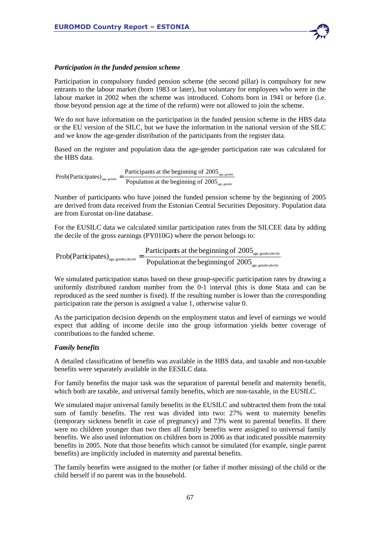

Participation in compulsory funded pension scheme (the second pillar) is compulsory for new entrants to the labour market (born 1983 or later), but voluntary for employees who were in the labour market in 2002 when the scheme was introduced. Cohorts born in 1941 or before (i.e. those beyond pension age at the time of the reform) were not allowed to join the scheme.

We do not have information on the participation in the funded pension scheme in the HBS data or the EU version of the SILC, but we have the information in the national version of the SILC and we know the age-gender distribution of the participants from the register data.

Based on the register and population data the age-gender participation rate was calculated for the HBS data.

age, gender  $\frac{1}{\text{age, gender}} = \frac{1}{\text{Application at the beginning of } 2005}_{\text{age, gender}}$ Prob(Participates)<sub>age sender</sub>  $=$  Participants at the beginning of 2005

Number of participants who have joined the funded pension scheme by the beginning of 2005 are derived from data received from the Estonian Central Securities Depository. Population data are from Eurostat on-line database.

For the EUSILC data we calculated similar participation rates from the SILCEE data by adding the decile of the gross earnings (PY010G) where the person belongs to:

age, gender,decile age, gender,decile age, gender, decile Population at the beginning of 2005 Participants at the beginning of 2005  $Prob(Participates)_{\text{age, gender-decile}} =$ 

We simulated participation status based on these group-specific participation rates by drawing a uniformly distributed random number from the 0-1 interval (this is done Stata and can be reproduced as the seed number is fixed). If the resulting number is lower than the corresponding participation rate the person is assigned a value 1, otherwise value 0.

As the participation decision depends on the employment status and level of earnings we would expect that adding of income decile into the group information yields better coverage of contributions to the funded scheme.

## *Family benefits*

A detailed classification of benefits was available in the HBS data, and taxable and non-taxable benefits were separately available in the EESILC data.

For family benefits the major task was the separation of parental benefit and maternity benefit, which both are taxable, and universal family benefits, which are non-taxable, in the EUSILC.

We simulated major universal family benefits in the EUSILC and subtracted them from the total sum of family benefits. The rest was divided into two: 27% went to maternity benefits (temporary sickness benefit in case of pregnancy) and 73% went to parental benefits. If there were no children younger than two then all family benefits were assigned to universal family benefits. We also used information on children born in 2006 as that indicated possible maternity benefits in 2005. Note that those benefits which cannot be simulated (for example, single parent benefits) are implicitly included in maternity and parental benefits.

The family benefits were assigned to the mother (or father if mother missing) of the child or the child herself if no parent was in the household.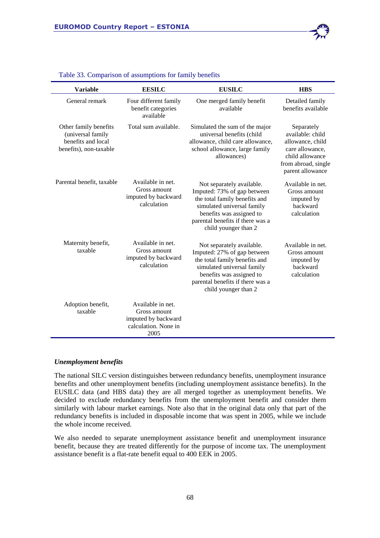

| <b>Variable</b>                                                                            | <b>EESILC</b>                                                                            | <b>EUSILC</b>                                                                                                                                                                                                   | <b>HBS</b>                                                                                                                          |
|--------------------------------------------------------------------------------------------|------------------------------------------------------------------------------------------|-----------------------------------------------------------------------------------------------------------------------------------------------------------------------------------------------------------------|-------------------------------------------------------------------------------------------------------------------------------------|
| General remark                                                                             | Four different family<br>benefit categories<br>available                                 | One merged family benefit<br>available                                                                                                                                                                          | Detailed family<br>benefits available                                                                                               |
| Other family benefits<br>(universal family<br>benefits and local<br>benefits), non-taxable | Total sum available.                                                                     | Simulated the sum of the major<br>universal benefits (child<br>allowance, child care allowance,<br>school allowance, large family<br>allowances)                                                                | Separately<br>available: child<br>allowance, child<br>care allowance,<br>child allowance<br>from abroad, single<br>parent allowance |
| Parental benefit, taxable                                                                  | Available in net.<br>Gross amount<br>imputed by backward<br>calculation                  | Not separately available.<br>Imputed: 73% of gap between<br>the total family benefits and<br>simulated universal family<br>benefits was assigned to<br>parental benefits if there was a<br>child younger than 2 | Available in net.<br>Gross amount<br>imputed by<br>backward<br>calculation                                                          |
| Maternity benefit,<br>taxable                                                              | Available in net.<br>Gross amount<br>imputed by backward<br>calculation                  | Not separately available.<br>Imputed: 27% of gap between<br>the total family benefits and<br>simulated universal family<br>benefits was assigned to<br>parental benefits if there was a<br>child younger than 2 | Available in net.<br>Gross amount<br>imputed by<br>backward<br>calculation                                                          |
| Adoption benefit,<br>taxable                                                               | Available in net.<br>Gross amount<br>imputed by backward<br>calculation. None in<br>2005 |                                                                                                                                                                                                                 |                                                                                                                                     |

#### Table 33. Comparison of assumptions for family benefits

#### *Unemployment benefits*

The national SILC version distinguishes between redundancy benefits, unemployment insurance benefits and other unemployment benefits (including unemployment assistance benefits). In the EUSILC data (and HBS data) they are all merged together as unemployment benefits. We decided to exclude redundancy benefits from the unemployment benefit and consider them similarly with labour market earnings. Note also that in the original data only that part of the redundancy benefits is included in disposable income that was spent in 2005, while we include the whole income received.

We also needed to separate unemployment assistance benefit and unemployment insurance benefit, because they are treated differently for the purpose of income tax. The unemployment assistance benefit is a flat-rate benefit equal to 400 EEK in 2005.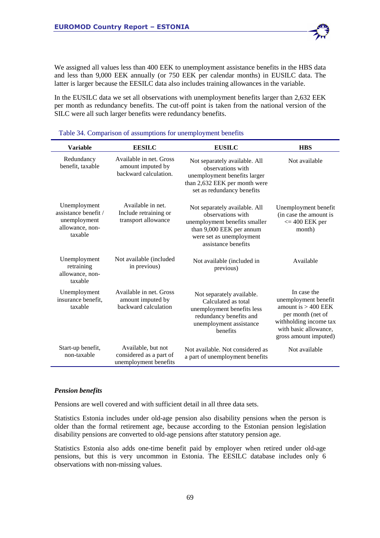We assigned all values less than 400 EEK to unemployment assistance benefits in the HBS data and less than 9,000 EEK annually (or 750 EEK per calendar months) in EUSILC data. The latter is larger because the EESILC data also includes training allowances in the variable.

In the EUSILC data we set all observations with unemployment benefits larger than 2,632 EEK per month as redundancy benefits. The cut-off point is taken from the national version of the SILC were all such larger benefits were redundancy benefits.

| <b>Variable</b>                                                                    | <b>EESILC</b>                                                          | <b>EUSILC</b>                                                                                                                                                      | <b>HBS</b>                                                                                                                                                    |
|------------------------------------------------------------------------------------|------------------------------------------------------------------------|--------------------------------------------------------------------------------------------------------------------------------------------------------------------|---------------------------------------------------------------------------------------------------------------------------------------------------------------|
| Redundancy<br>benefit, taxable                                                     | Available in net. Gross<br>amount imputed by<br>backward calculation.  | Not separately available. All<br>observations with<br>unemployment benefits larger<br>than 2,632 EEK per month were<br>set as redundancy benefits                  | Not available                                                                                                                                                 |
| Unemployment<br>assistance benefit /<br>unemployment<br>allowance, non-<br>taxable | Available in net.<br>Include retraining or<br>transport allowance      | Not separately available. All<br>observations with<br>unemployment benefits smaller<br>than 9,000 EEK per annum<br>were set as unemployment<br>assistance benefits | Unemployment benefit<br>(in case the amount is<br>$<=$ 400 EEK per<br>month)                                                                                  |
| Unemployment<br>retraining<br>allowance, non-<br>taxable                           | Not available (included<br>in previous)                                | Not available (included in<br>previous)                                                                                                                            | Available                                                                                                                                                     |
| Unemployment<br>insurance benefit,<br>taxable                                      | Available in net. Gross<br>amount imputed by<br>backward calculation   | Not separately available.<br>Calculated as total<br>unemployment benefits less<br>redundancy benefits and<br>unemployment assistance<br>benefits                   | In case the<br>unemployment benefit<br>amount is $> 400$ EEK<br>per month (net of<br>withholding income tax<br>with basic allowance,<br>gross amount imputed) |
| Start-up benefit,<br>non-taxable                                                   | Available, but not<br>considered as a part of<br>unemployment benefits | Not available. Not considered as<br>a part of unemployment benefits                                                                                                | Not available                                                                                                                                                 |

|  |  | Table 34. Comparison of assumptions for unemployment benefits |
|--|--|---------------------------------------------------------------|
|--|--|---------------------------------------------------------------|

#### *Pension benefits*

Pensions are well covered and with sufficient detail in all three data sets.

Statistics Estonia includes under old-age pension also disability pensions when the person is older than the formal retirement age, because according to the Estonian pension legislation disability pensions are converted to old-age pensions after statutory pension age.

Statistics Estonia also adds one-time benefit paid by employer when retired under old-age pensions, but this is very uncommon in Estonia. The EESILC database includes only 6 observations with non-missing values.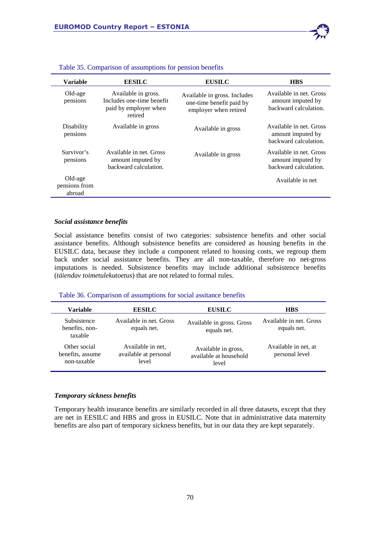| <b>Variable</b>                    | <b>EESILC</b>                                                                        | <b>EUSILC</b>                                                                     | <b>HBS</b>                                                            |
|------------------------------------|--------------------------------------------------------------------------------------|-----------------------------------------------------------------------------------|-----------------------------------------------------------------------|
| Old-age<br>pensions                | Available in gross.<br>Includes one-time benefit<br>paid by employer when<br>retired | Available in gross. Includes<br>one-time benefit paid by<br>employer when retired | Available in net. Gross<br>amount imputed by<br>backward calculation. |
| Disability<br>pensions             | Available in gross                                                                   | Available in gross                                                                | Available in net. Gross<br>amount imputed by<br>backward calculation. |
| Survivor's<br>pensions             | Available in net. Gross<br>amount imputed by<br>backward calculation.                | Available in gross                                                                | Available in net. Gross<br>amount imputed by<br>backward calculation. |
| Old-age<br>pensions from<br>abroad |                                                                                      |                                                                                   | Available in net                                                      |

|  |  | Table 35. Comparison of assumptions for pension benefits |  |  |
|--|--|----------------------------------------------------------|--|--|
|--|--|----------------------------------------------------------|--|--|

#### *Social assistance benefits*

Social assistance benefits consist of two categories: subsistence benefits and other social assistance benefits. Although subsistence benefits are considered as housing benefits in the EUSILC data, because they include a component related to housing costs, we regroup them back under social assistance benefits. They are all non-taxable, therefore no net-gross imputations is needed. Subsistence benefits may include additional subsistence benefits (*täiendav toimetulekutoetus*) that are not related to formal rules.

#### Table 36. Comparison of assumptions for social assitance benefits

| Variable                                        | <b>EESILC</b>                                       | <b>EUSILC</b>                                          | <b>HBS</b>                             |
|-------------------------------------------------|-----------------------------------------------------|--------------------------------------------------------|----------------------------------------|
| Subsistence<br>benefits, non-<br>taxable        | Available in net. Gross<br>equals net.              | Available in gross. Gross<br>equals net.               | Available in net. Gross<br>equals net. |
| Other social<br>benefits, assume<br>non-taxable | Available in net.<br>available at personal<br>level | Available in gross,<br>available at household<br>level | Available in net, at<br>personal level |

## *Temporary sickness benefits*

Temporary health insurance benefits are similarly recorded in all three datasets, except that they are net in EESILC and HBS and gross in EUSILC. Note that in administrative data maternity benefits are also part of temporary sickness benefits, but in our data they are kept separately.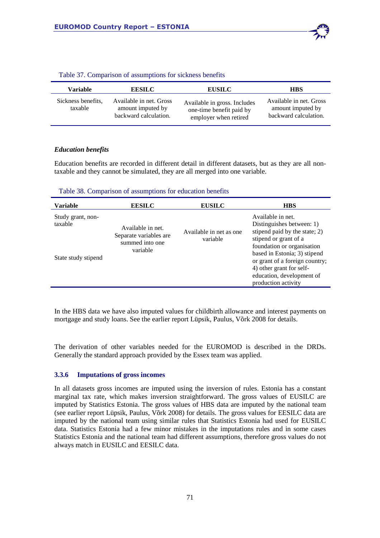

| Variable                      | <b>EESILC</b>                                                         | <b>EUSILC</b>                                                                     | <b>HBS</b>                                                            |
|-------------------------------|-----------------------------------------------------------------------|-----------------------------------------------------------------------------------|-----------------------------------------------------------------------|
| Sickness benefits.<br>taxable | Available in net. Gross<br>amount imputed by<br>backward calculation. | Available in gross. Includes<br>one-time benefit paid by<br>employer when retired | Available in net. Gross<br>amount imputed by<br>backward calculation. |

#### Table 37. Comparison of assumptions for sickness benefits

#### *Education benefits*

Education benefits are recorded in different detail in different datasets, but as they are all nontaxable and they cannot be simulated, they are all merged into one variable.

#### Table 38. Comparison of assumptions for education benefits

| Available in net.<br>Study grant, non-<br>Distinguishes between: 1)<br>taxable<br>Available in net.<br>stipend paid by the state; 2)<br>Available in net as one<br>Separate variables are<br>stipend or grant of a<br>variable<br>summed into one<br>foundation or organisation<br>variable<br>based in Estonia; 3) stipend<br>State study stipend<br>4) other grant for self- | <b>Variable</b> | <b>EESILC</b> | <b>EUSILC</b> | <b>HBS</b>                     |
|--------------------------------------------------------------------------------------------------------------------------------------------------------------------------------------------------------------------------------------------------------------------------------------------------------------------------------------------------------------------------------|-----------------|---------------|---------------|--------------------------------|
| education, development of<br>production activity                                                                                                                                                                                                                                                                                                                               |                 |               |               | or grant of a foreign country; |

In the HBS data we have also imputed values for childbirth allowance and interest payments on mortgage and study loans. See the earlier report Lüpsik, Paulus, Võrk 2008 for details.

The derivation of other variables needed for the EUROMOD is described in the DRDs. Generally the standard approach provided by the Essex team was applied.

#### **3.3.6 Imputations of gross incomes**

In all datasets gross incomes are imputed using the inversion of rules. Estonia has a constant marginal tax rate, which makes inversion straightforward. The gross values of EUSILC are imputed by Statistics Estonia. The gross values of HBS data are imputed by the national team (see earlier report Lüpsik, Paulus, Võrk 2008) for details. The gross values for EESILC data are imputed by the national team using similar rules that Statistics Estonia had used for EUSILC data. Statistics Estonia had a few minor mistakes in the imputations rules and in some cases Statistics Estonia and the national team had different assumptions, therefore gross values do not always match in EUSILC and EESILC data.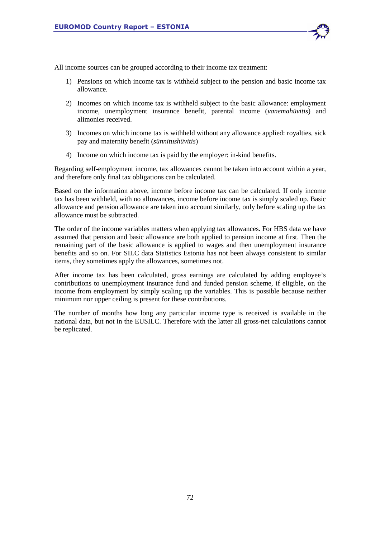

- 1) Pensions on which income tax is withheld subject to the pension and basic income tax allowance.
- 2) Incomes on which income tax is withheld subject to the basic allowance: employment income, unemployment insurance benefit, parental income (*vanemahüvitis*) and alimonies received.
- 3) Incomes on which income tax is withheld without any allowance applied: royalties, sick pay and maternity benefit (*sünnitushüvitis*)
- 4) Income on which income tax is paid by the employer: in-kind benefits.

Regarding self-employment income, tax allowances cannot be taken into account within a year, and therefore only final tax obligations can be calculated.

Based on the information above, income before income tax can be calculated. If only income tax has been withheld, with no allowances, income before income tax is simply scaled up. Basic allowance and pension allowance are taken into account similarly, only before scaling up the tax allowance must be subtracted.

The order of the income variables matters when applying tax allowances. For HBS data we have assumed that pension and basic allowance are both applied to pension income at first. Then the remaining part of the basic allowance is applied to wages and then unemployment insurance benefits and so on. For SILC data Statistics Estonia has not been always consistent to similar items, they sometimes apply the allowances, sometimes not.

After income tax has been calculated, gross earnings are calculated by adding employee's contributions to unemployment insurance fund and funded pension scheme, if eligible, on the income from employment by simply scaling up the variables. This is possible because neither minimum nor upper ceiling is present for these contributions.

The number of months how long any particular income type is received is available in the national data, but not in the EUSILC. Therefore with the latter all gross-net calculations cannot be replicated.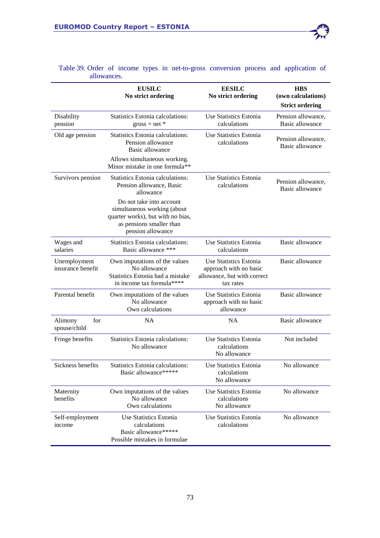|                                   | <b>EUSILC</b><br>No strict ordering                                                                                                           | <b>EESILC</b><br>No strict ordering                                                          | <b>HBS</b><br>(own calculations)<br><b>Strict ordering</b> |
|-----------------------------------|-----------------------------------------------------------------------------------------------------------------------------------------------|----------------------------------------------------------------------------------------------|------------------------------------------------------------|
| Disability<br>pension             | <b>Statistics Estonia calculations:</b><br>$gross = net *$                                                                                    | Use Statistics Estonia<br>calculations                                                       | Pension allowance,<br>Basic allowance                      |
| Old age pension                   | <b>Statistics Estonia calculations:</b><br>Pension allowance<br>Basic allowance                                                               | Use Statistics Estonia<br>calculations                                                       | Pension allowance,<br>Basic allowance                      |
|                                   | Allows simultaneous working.<br>Minor mistake in one formula**                                                                                |                                                                                              |                                                            |
| Survivors pension                 | <b>Statistics Estonia calculations:</b><br>Pension allowance, Basic<br>allowance                                                              | Use Statistics Estonia<br>calculations                                                       | Pension allowance,<br>Basic allowance                      |
|                                   | Do not take into account<br>simultaneous working (about<br>quarter works), but with no bias,<br>as pensions smaller than<br>pension allowance |                                                                                              |                                                            |
| Wages and<br>salaries             | Statistics Estonia calculations:<br>Basic allowance ***                                                                                       | Use Statistics Estonia<br>calculations                                                       | Basic allowance                                            |
| Unemployment<br>insurance benefit | Own imputations of the values<br>No allowance<br>Statistics Estonia had a mistake<br>in income tax formula****                                | Use Statistics Estonia<br>approach with no basic<br>allowance, but with correct<br>tax rates | Basic allowance                                            |
| Parental benefit                  | Own imputations of the values<br>No allowance<br>Own calculations                                                                             | Use Statistics Estonia<br>approach with no basic<br>allowance                                | Basic allowance                                            |
| for<br>Alimony<br>spouse/child    | <b>NA</b>                                                                                                                                     | <b>NA</b>                                                                                    | <b>Basic allowance</b>                                     |
| Fringe benefits                   | <b>Statistics Estonia calculations:</b><br>No allowance                                                                                       | Use Statistics Estonia<br>calculations<br>No allowance                                       | Not included                                               |
| Sickness benefits                 | <b>Statistics Estonia calculations:</b><br>Basic allowance*****                                                                               | Use Statistics Estonia<br>calculations<br>No allowance                                       | No allowance                                               |
| Maternity<br>benefits             | Own imputations of the values<br>No allowance<br>Own calculations                                                                             | Use Statistics Estonia<br>calculations<br>No allowance                                       | No allowance                                               |
| Self-employment<br>income         | Use Statistics Estonia<br>calculations<br>Basic allowance*****<br>Possible mistakes in formulae                                               | Use Statistics Estonia<br>calculations                                                       | No allowance                                               |

Table 39. Order of income types in net-to-gross conversion process and application of allowances.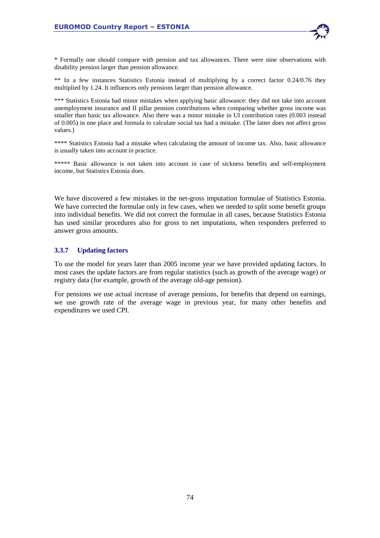

\* Formally one should compare with pension and tax allowances. There were nine observations with disability pension larger than pension allowance.

\*\* In a few instances Statistics Estonia instead of multiplying by a correct factor 0.24/0.76 they multiplied by 1.24. It influences only pensions larger than pension allowance.

\*\*\* Statistics Estonia had minor mistakes when applying basic allowance: they did not take into account unemployment insurance and II pillar pension contributions when comparing whether gross income was smaller than basic tax allowance. Also there was a minor mistake in UI contribution rates (0.003 instead of 0.005) in one place and formula to calculate social tax had a mistake. (The latter does not affect gross values.)

\*\*\*\* Statistics Estonia had a mistake when calculating the amount of income tax. Also, basic allowance is usually taken into account in practice.

\*\*\*\*\* Basic allowance is not taken into account in case of sickness benefits and self-employment income, but Statistics Estonia does.

We have discovered a few mistakes in the net-gross imputation formulae of Statistics Estonia. We have corrected the formulae only in few cases, when we needed to split some benefit groups into individual benefits. We did not correct the formulae in all cases, because Statistics Estonia has used similar procedures also for gross to net imputations, when responders preferred to answer gross amounts.

## **3.3.7 Updating factors**

To use the model for years later than 2005 income year we have provided updating factors. In most cases the update factors are from regular statistics (such as growth of the average wage) or registry data (for example, growth of the average old-age pension).

For pensions we use actual increase of average pensions, for benefits that depend on earnings, we use growth rate of the average wage in previous year, for many other benefits and expenditures we used CPI.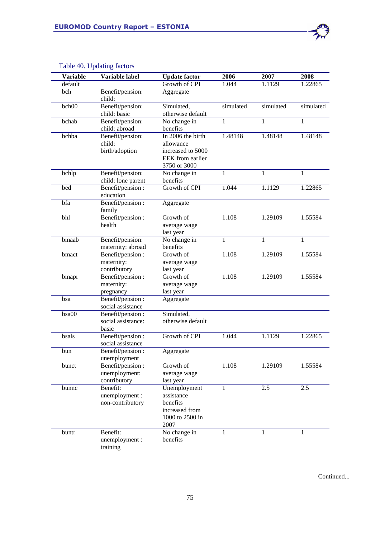| <b>Variable</b> | Variable label                                     | <b>Update factor</b>                                                                    | 2006         | 2007      | 2008         |
|-----------------|----------------------------------------------------|-----------------------------------------------------------------------------------------|--------------|-----------|--------------|
| default         |                                                    | Growth of CPI                                                                           | 1.044        | 1.1129    | 1.22865      |
| bch             | Benefit/pension:<br>child:                         | Aggregate                                                                               |              |           |              |
| bch00           | Benefit/pension:<br>child: basic                   | Simulated,<br>otherwise default                                                         | simulated    | simulated | simulated    |
| bchab           | Benefit/pension:<br>child: abroad                  | No change in<br>benefits                                                                | 1            | 1         | 1            |
| bchba           | Benefit/pension:<br>child:<br>birth/adoption       | In 2006 the birth<br>allowance<br>increased to 5000<br>EEK from earlier<br>3750 or 3000 | 1.48148      | 1.48148   | 1.48148      |
| bchlp           | Benefit/pension:<br>child: lone parent             | No change in<br>benefits                                                                | 1            | 1         | $\mathbf{1}$ |
| bed             | Benefit/pension:<br>education                      | Growth of CPI                                                                           | 1.044        | 1.1129    | 1.22865      |
| bfa             | Benefit/pension:<br>family                         | Aggregate                                                                               |              |           |              |
| bhl             | Benefit/pension:<br>health                         | Growth of<br>average wage<br>last year                                                  | 1.108        | 1.29109   | 1.55584      |
| bmaab           | Benefit/pension:<br>maternity: abroad              | No change in<br>benefits                                                                | $\mathbf{1}$ | 1         | $\mathbf{1}$ |
| bmact           | Benefit/pension:<br>maternity:<br>contributory     | Growth of<br>average wage<br>last year                                                  | 1.108        | 1.29109   | 1.55584      |
| bmapr           | Benefit/pension:<br>maternity:<br>pregnancy        | Growth of<br>average wage<br>last year                                                  | 1.108        | 1.29109   | 1.55584      |
| bsa             | Benefit/pension:<br>social assistance              | Aggregate                                                                               |              |           |              |
| bsa00           | Benefit/pension:<br>social assistance:<br>basic    | Simulated,<br>otherwise default                                                         |              |           |              |
| bsals           | Benefit/pension:<br>social assistance              | Growth of CPI                                                                           | 1.044        | 1.1129    | 1.22865      |
| bun             | Benefit/pension:<br>unemployment                   | Aggregate                                                                               |              |           |              |
| bunct           | Benefit/pension :<br>unemployment:<br>contributory | Growth of<br>average wage<br>last year                                                  | 1.108        | 1.29109   | 1.55584      |
| bunnc           | Benefit:<br>unemployment :<br>non-contributory     | Unemployment<br>assistance<br>benefits<br>increased from<br>1000 to 2500 in<br>2007     | 1            | 2.5       | 2.5          |
| buntr           | Benefit:<br>unemployment :<br>training             | No change in<br>benefits                                                                | 1            |           | 1            |

# Table 40. Updating factors

Continued...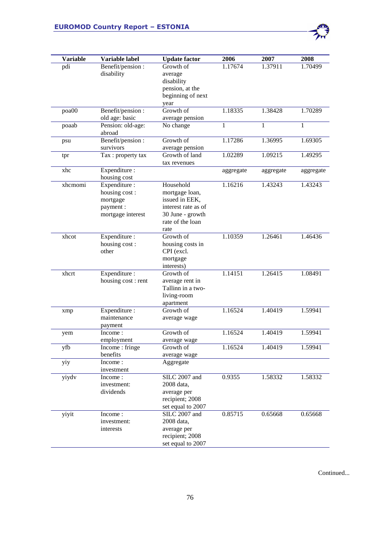| <b>Variable</b><br>pdi | Variable label<br>Benefit/pension: | <b>Update factor</b><br>Growth of                             | 2006<br>1.17674 | 2007<br>1.37911 | 2008<br>1.70499 |
|------------------------|------------------------------------|---------------------------------------------------------------|-----------------|-----------------|-----------------|
|                        | disability                         | average<br>disability<br>pension, at the<br>beginning of next |                 |                 |                 |
|                        |                                    | year                                                          |                 |                 |                 |
| poa00                  | Benefit/pension :                  | Growth of                                                     | 1.18335         | 1.38428         | 1.70289         |
|                        | old age: basic                     | average pension                                               |                 |                 |                 |
| poaab                  | Pension: old-age:<br>abroad        | No change                                                     | 1               | 1               | 1               |
| psu                    | Benefit/pension:                   | Growth of                                                     | 1.17286         | 1.36995         | 1.69305         |
|                        | survivors                          | average pension                                               |                 |                 |                 |
| tpr                    | Tax: property tax                  | Growth of land<br>tax revenues                                | 1.02289         | 1.09215         | 1.49295         |
| xhc                    | Expenditure :<br>housing cost      |                                                               | aggregate       | aggregate       | aggregate       |
| xhcmomi                | Expenditure :                      | Household                                                     | 1.16216         | 1.43243         | 1.43243         |
|                        | housing cost:                      | mortgage loan,<br>issued in EEK,                              |                 |                 |                 |
|                        | mortgage<br>payment:               | interest rate as of                                           |                 |                 |                 |
|                        | mortgage interest                  | 30 June - growth                                              |                 |                 |                 |
|                        |                                    | rate of the loan                                              |                 |                 |                 |
|                        |                                    | rate                                                          |                 |                 |                 |
| xhcot                  | Expenditure :                      | Growth of                                                     | 1.10359         | 1.26461         | 1.46436         |
|                        | housing cost:                      | housing costs in                                              |                 |                 |                 |
|                        | other                              | CPI (excl.                                                    |                 |                 |                 |
|                        |                                    | mortgage<br>interests)                                        |                 |                 |                 |
| xhcrt                  | Expenditure:                       | Growth of                                                     | 1.14151         | 1.26415         | 1.08491         |
|                        | housing cost: rent                 | average rent in                                               |                 |                 |                 |
|                        |                                    | Tallinn in a two-                                             |                 |                 |                 |
|                        |                                    | living-room                                                   |                 |                 |                 |
|                        |                                    | apartment<br>Growth of                                        | 1.16524         | 1.40419         | 1.59941         |
| xmp                    | Expenditure :<br>maintenance       | average wage                                                  |                 |                 |                 |
|                        | payment                            |                                                               |                 |                 |                 |
| yem                    | Income:                            | Growth of                                                     | 1.16524         | 1.40419         | 1.59941         |
|                        | employment                         | average wage                                                  |                 |                 |                 |
| yfb                    | Income: fringe                     | Growth of                                                     | 1.16524         | 1.40419         | 1.59941         |
|                        | benefits                           | average wage                                                  |                 |                 |                 |
| yiy                    | Income:                            | Aggregate                                                     |                 |                 |                 |
| yiydv                  | investment<br>Income:              | SILC 2007 and                                                 | 0.9355          | 1.58332         | 1.58332         |
|                        | investment:                        | 2008 data,                                                    |                 |                 |                 |
|                        | dividends                          | average per                                                   |                 |                 |                 |
|                        |                                    | recipient; 2008                                               |                 |                 |                 |
|                        |                                    | set equal to 2007                                             |                 |                 |                 |
| yiyit                  | Income:                            | SILC 2007 and                                                 | 0.85715         | 0.65668         | 0.65668         |
|                        | investment:                        | 2008 data,                                                    |                 |                 |                 |
|                        | interests                          | average per                                                   |                 |                 |                 |
|                        |                                    | recipient; 2008<br>set equal to 2007                          |                 |                 |                 |
|                        |                                    |                                                               |                 |                 |                 |

Continued...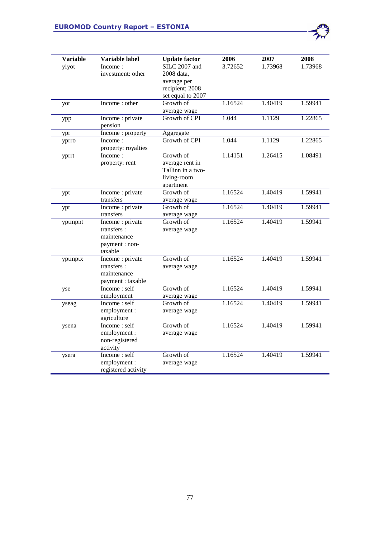| <b>Variable</b> | Variable label              | <b>Update factor</b>      | 2006                 | 2007    | 2008    |
|-----------------|-----------------------------|---------------------------|----------------------|---------|---------|
| yiyot           | Income:                     | SILC 2007 and             | 3.72652              | 1.73968 | 1.73968 |
|                 | investment: other           | 2008 data,                |                      |         |         |
|                 |                             | average per               |                      |         |         |
|                 |                             | recipient; 2008           |                      |         |         |
|                 |                             | set equal to 2007         |                      |         |         |
| yot             | Income: other               | Growth of                 | 1.16524              | 1.40419 | 1.59941 |
|                 |                             | average wage              |                      |         |         |
| ypp             | Income : private            | Growth of CPI             | 1.044                | 1.1129  | 1.22865 |
|                 | pension                     |                           |                      |         |         |
| ypr             | Income: property            | Aggregate                 |                      |         |         |
| yprro           | Income:                     | Growth of CPI             | 1.044                | 1.1129  | 1.22865 |
|                 | property: royalties         |                           |                      |         |         |
| yprrt           | Income:                     | Growth of                 | 1.14151              | 1.26415 | 1.08491 |
|                 | property: rent              | average rent in           |                      |         |         |
|                 |                             | Tallinn in a two-         |                      |         |         |
|                 |                             | living-room               |                      |         |         |
|                 |                             | apartment                 |                      |         |         |
| ypt             | Income : private            | Growth of                 | 1.16524              | 1.40419 | 1.59941 |
|                 | transfers                   | average wage              |                      |         |         |
| ypt             | Income : private            | Growth of                 | 1.16524              | 1.40419 | 1.59941 |
|                 | transfers                   | average wage              |                      |         |         |
| yptmpnt         | Income : private            | Growth of                 | 1.16524              | 1.40419 | 1.59941 |
|                 | transfers:                  | average wage              |                      |         |         |
|                 | maintenance                 |                           |                      |         |         |
|                 | payment : non-              |                           |                      |         |         |
|                 | taxable                     |                           |                      |         |         |
| yptmptx         | Income : private            | Growth of                 | $1.1652\overline{4}$ | 1.40419 | 1.59941 |
|                 | transfers:                  | average wage              |                      |         |         |
|                 | maintenance                 |                           |                      |         |         |
|                 | payment : taxable           |                           |                      |         |         |
| yse             | Income: self                | Growth of                 | 1.16524              | 1.40419 | 1.59941 |
|                 | employment<br>Income: self  | average wage<br>Growth of | 1.16524              |         |         |
| yseag           |                             |                           |                      | 1.40419 | 1.59941 |
|                 | employment:                 | average wage              |                      |         |         |
|                 | agriculture<br>Income: self | Growth of                 | 1.16524              | 1.40419 | 1.59941 |
| ysena           |                             |                           |                      |         |         |
|                 | employment:                 | average wage              |                      |         |         |
|                 | non-registered              |                           |                      |         |         |
|                 | activity<br>Income: self    | Growth of                 | 1.16524              | 1.40419 | 1.59941 |
| ysera           |                             |                           |                      |         |         |
|                 | employment:                 | average wage              |                      |         |         |
|                 | registered activity         |                           |                      |         |         |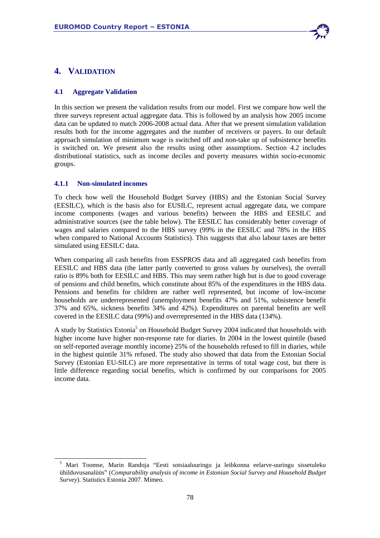

# **4. VALIDATION**

## **4.1 Aggregate Validation**

In this section we present the validation results from our model. First we compare how well the three surveys represent actual aggregate data. This is followed by an analysis how 2005 income data can be updated to match 2006-2008 actual data. After that we present simulation validation results both for the income aggregates and the number of receivers or payers. In our default approach simulation of minimum wage is switched off and non-take up of subsistence benefits is switched on. We present also the results using other assumptions. Section 4.2 includes distributional statistics, such as income deciles and poverty measures within socio-economic groups.

#### **4.1.1 Non-simulated incomes**

-

To check how well the Household Budget Survey (HBS) and the Estonian Social Survey (EESILC), which is the basis also for EUSILC, represent actual aggregate data, we compare income components (wages and various benefits) between the HBS and EESILC and administrative sources (see the table below). The EESILC has considerably better coverage of wages and salaries compared to the HBS survey (99% in the EESILC and 78% in the HBS when compared to National Accounts Statistics). This suggests that also labour taxes are better simulated using EESILC data.

When comparing all cash benefits from ESSPROS data and all aggregated cash benefits from EESILC and HBS data (the latter partly converted to gross values by ourselves), the overall ratio is 89% both for EESILC and HBS. This may seem rather high but is due to good coverage of pensions and child benefits, which constitute about 85% of the expenditures in the HBS data. Pensions and benefits for children are rather well represented, but income of low-income households are underrepresented (unemployment benefits 47% and 51%, subsistence benefit 37% and 65%, sickness benefits 34% and 42%). Expenditures on parental benefits are well covered in the EESILC data (99%) and overrepresented in the HBS data (134%).

A study by Statistics Estonia<sup>5</sup> on Household Budget Survey 2004 indicated that households with higher income have higher non-response rate for diaries. In 2004 in the lowest quintile (based on self-reported average monthly income) 25% of the households refused to fill in diaries, while in the highest quintile 31% refused. The study also showed that data from the Estonian Social Survey (Estonian EU-SILC) are more representative in terms of total wage cost, but there is little difference regarding social benefits, which is confirmed by our comparisons for 2005 income data.

<sup>&</sup>lt;sup>5</sup> Mari Toomse, Marin Randoja "Eesti sotsiaaluuringu ja leibkonna eelarve-uuringu sissetuleku ühilduvusanalüüs" (*Comparability analysis of income in Estonian Social Survey and Household Budget Survey*). Statistics Estonia 2007. Mimeo.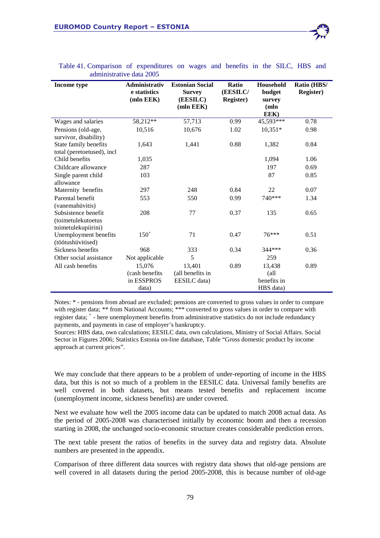| Income type                                                      | Administrativ<br>e statistics<br>(mln EEK)      | <b>Estonian Social</b><br><b>Survey</b><br>(EESILC)<br>(mln EEK) | <b>Ratio</b><br>(EESILC/<br><b>Register)</b> | Household<br>budget<br>survey<br>(mln<br>EEK)      | Ratio (HBS/<br><b>Register</b> ) |
|------------------------------------------------------------------|-------------------------------------------------|------------------------------------------------------------------|----------------------------------------------|----------------------------------------------------|----------------------------------|
| Wages and salaries                                               | 58,212**                                        | 57,713                                                           | 0.99                                         | 45,593***                                          | 0.78                             |
| Pensions (old-age,<br>survivor, disability)                      | 10,516                                          | 10,676                                                           | 1.02                                         | $10,351*$                                          | 0.98                             |
| State family benefits<br>total (peretoetused), incl              | 1,643                                           | 1,441                                                            | 0.88                                         | 1,382                                              | 0.84                             |
| Child benefits                                                   | 1,035                                           |                                                                  |                                              | 1,094                                              | 1.06                             |
| Childcare allowance                                              | 287                                             |                                                                  |                                              | 197                                                | 0.69                             |
| Single parent child<br>allowance                                 | 103                                             |                                                                  |                                              | 87                                                 | 0.85                             |
| Maternity benefits                                               | 297                                             | 248                                                              | 0.84                                         | 22                                                 | 0.07                             |
| Parental benefit<br>(vanemahüvitis)                              | 553                                             | 550                                                              | 0.99                                         | 740***                                             | 1.34                             |
| Subsistence benefit<br>(toimetulekutoetus<br>toimetulekupiirini) | 208                                             | 77                                                               | 0.37                                         | 135                                                | 0.65                             |
| Unemployment benefits<br>(töötushüvitised)                       | $150^{+}$                                       | 71                                                               | 0.47                                         | $76***$                                            | 0.51                             |
| Sickness benefits                                                | 968                                             | 333                                                              | 0.34                                         | 344***                                             | 0.36                             |
| Other social assistance                                          | Not applicable                                  | 5                                                                |                                              | 259                                                |                                  |
| All cash benefits                                                | 15,076<br>(cash benefits<br>in ESSPROS<br>data) | 13,401<br>(all benefits in<br>EESILC data)                       | 0.89                                         | 13,438<br>$\text{all}$<br>benefits in<br>HBS data) | 0.89                             |

#### Table 41. Comparison of expenditures on wages and benefits in the SILC, HBS and administrative data 2005

Notes: \* - pensions from abroad are excluded; pensions are converted to gross values in order to compare with register data; \*\* from National Accounts; \*\*\* converted to gross values in order to compare with register data; <sup>+</sup> - here unemployment benefits from administrative statistics do not include redundancy payments, and payments in case of employer's bankruptcy.

Sources: HBS data, own calculations; EESILC data, own calculations, Ministry of Social Affairs. Social Sector in Figures 2006; Statistics Estonia on-line database, Table "Gross domestic product by income approach at current prices".

We may conclude that there appears to be a problem of under-reporting of income in the HBS data, but this is not so much of a problem in the EESILC data. Universal family benefits are well covered in both datasets, but means tested benefits and replacement income (unemployment income, sickness benefits) are under covered.

Next we evaluate how well the 2005 income data can be updated to match 2008 actual data. As the period of 2005-2008 was characterised initially by economic boom and then a recession starting in 2008, the unchanged socio-economic structure creates considerable prediction errors.

The next table present the ratios of benefits in the survey data and registry data. Absolute numbers are presented in the appendix.

Comparison of three different data sources with registry data shows that old-age pensions are well covered in all datasets during the period 2005-2008, this is because number of old-age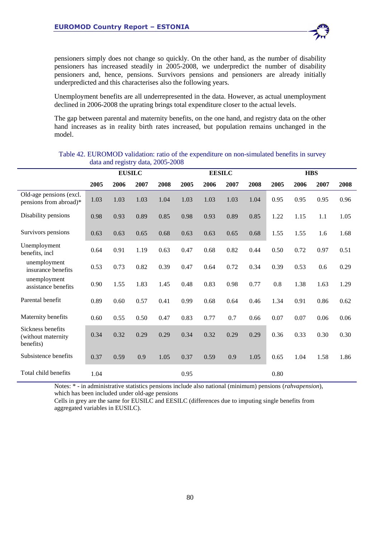

Unemployment benefits are all underrepresented in the data. However, as actual unemployment declined in 2006-2008 the uprating brings total expenditure closer to the actual levels.

The gap between parental and maternity benefits, on the one hand, and registry data on the other hand increases as in reality birth rates increased, but population remains unchanged in the model.

|                                                      |      | <b>EUSILC</b> |      |      |      | <b>EESILC</b> |      |      | <b>HBS</b> |      |      |      |
|------------------------------------------------------|------|---------------|------|------|------|---------------|------|------|------------|------|------|------|
|                                                      | 2005 | 2006          | 2007 | 2008 | 2005 | 2006          | 2007 | 2008 | 2005       | 2006 | 2007 | 2008 |
| Old-age pensions (excl.<br>pensions from abroad)*    | 1.03 | 1.03          | 1.03 | 1.04 | 1.03 | 1.03          | 1.03 | 1.04 | 0.95       | 0.95 | 0.95 | 0.96 |
| Disability pensions                                  | 0.98 | 0.93          | 0.89 | 0.85 | 0.98 | 0.93          | 0.89 | 0.85 | 1.22       | 1.15 | 1.1  | 1.05 |
| Survivors pensions                                   | 0.63 | 0.63          | 0.65 | 0.68 | 0.63 | 0.63          | 0.65 | 0.68 | 1.55       | 1.55 | 1.6  | 1.68 |
| Unemployment<br>benefits, incl                       | 0.64 | 0.91          | 1.19 | 0.63 | 0.47 | 0.68          | 0.82 | 0.44 | 0.50       | 0.72 | 0.97 | 0.51 |
| unemployment<br>insurance benefits                   | 0.53 | 0.73          | 0.82 | 0.39 | 0.47 | 0.64          | 0.72 | 0.34 | 0.39       | 0.53 | 0.6  | 0.29 |
| unemployment<br>assistance benefits                  | 0.90 | 1.55          | 1.83 | 1.45 | 0.48 | 0.83          | 0.98 | 0.77 | 0.8        | 1.38 | 1.63 | 1.29 |
| Parental benefit                                     | 0.89 | 0.60          | 0.57 | 0.41 | 0.99 | 0.68          | 0.64 | 0.46 | 1.34       | 0.91 | 0.86 | 0.62 |
| Maternity benefits                                   | 0.60 | 0.55          | 0.50 | 0.47 | 0.83 | 0.77          | 0.7  | 0.66 | 0.07       | 0.07 | 0.06 | 0.06 |
| Sickness benefits<br>(without maternity<br>benefits) | 0.34 | 0.32          | 0.29 | 0.29 | 0.34 | 0.32          | 0.29 | 0.29 | 0.36       | 0.33 | 0.30 | 0.30 |
| Subsistence benefits                                 | 0.37 | 0.59          | 0.9  | 1.05 | 0.37 | 0.59          | 0.9  | 1.05 | 0.65       | 1.04 | 1.58 | 1.86 |
| Total child benefits                                 | 1.04 |               |      |      | 0.95 |               |      |      | 0.80       |      |      |      |

## Table 42. EUROMOD validation: ratio of the expenditure on non-simulated benefits in survey data and registry data, 2005-2008

Notes: \* - in administrative statistics pensions include also national (minimum) pensions (*rahvapension*), which has been included under old-age pensions

Cells in grey are the same for EUSILC and EESILC (differences due to imputing single benefits from aggregated variables in EUSILC).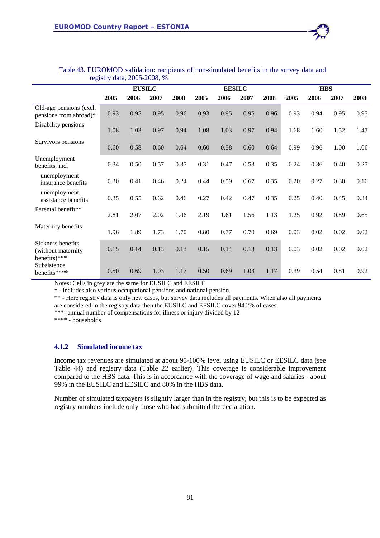|                                                         |      | <b>EUSILC</b> |      |      |      | <b>EESILC</b> |      |      |      | <b>HBS</b> |      |      |
|---------------------------------------------------------|------|---------------|------|------|------|---------------|------|------|------|------------|------|------|
|                                                         | 2005 | 2006          | 2007 | 2008 | 2005 | 2006          | 2007 | 2008 | 2005 | 2006       | 2007 | 2008 |
| Old-age pensions (excl.<br>pensions from abroad)*       | 0.93 | 0.95          | 0.95 | 0.96 | 0.93 | 0.95          | 0.95 | 0.96 | 0.93 | 0.94       | 0.95 | 0.95 |
| Disability pensions                                     | 1.08 | 1.03          | 0.97 | 0.94 | 1.08 | 1.03          | 0.97 | 0.94 | 1.68 | 1.60       | 1.52 | 1.47 |
| Survivors pensions                                      | 0.60 | 0.58          | 0.60 | 0.64 | 0.60 | 0.58          | 0.60 | 0.64 | 0.99 | 0.96       | 1.00 | 1.06 |
| Unemployment<br>benefits, incl                          | 0.34 | 0.50          | 0.57 | 0.37 | 0.31 | 0.47          | 0.53 | 0.35 | 0.24 | 0.36       | 0.40 | 0.27 |
| unemployment<br>insurance benefits                      | 0.30 | 0.41          | 0.46 | 0.24 | 0.44 | 0.59          | 0.67 | 0.35 | 0.20 | 0.27       | 0.30 | 0.16 |
| unemployment<br>assistance benefits                     | 0.35 | 0.55          | 0.62 | 0.46 | 0.27 | 0.42          | 0.47 | 0.35 | 0.25 | 0.40       | 0.45 | 0.34 |
| Parental benefit**                                      | 2.81 | 2.07          | 2.02 | 1.46 | 2.19 | 1.61          | 1.56 | 1.13 | 1.25 | 0.92       | 0.89 | 0.65 |
| Maternity benefits                                      | 1.96 | 1.89          | 1.73 | 1.70 | 0.80 | 0.77          | 0.70 | 0.69 | 0.03 | 0.02       | 0.02 | 0.02 |
| Sickness benefits<br>(without maternity<br>benefits)*** | 0.15 | 0.14          | 0.13 | 0.13 | 0.15 | 0.14          | 0.13 | 0.13 | 0.03 | 0.02       | 0.02 | 0.02 |
| Subsistence<br>benefits****                             | 0.50 | 0.69          | 1.03 | 1.17 | 0.50 | 0.69          | 1.03 | 1.17 | 0.39 | 0.54       | 0.81 | 0.92 |

#### Table 43. EUROMOD validation: recipients of non-simulated benefits in the survey data and registry data, 2005-2008, %

Notes: Cells in grey are the same for EUSILC and EESILC

\* - includes also various occupational pensions and national pension.

\*\* - Here registry data is only new cases, but survey data includes all payments. When also all payments

are considered in the registry data then the EUSILC and EESILC cover 94.2% of cases.

\*\*\*- annual number of compensations for illness or injury divided by 12

\*\*\*\* - households

## **4.1.2 Simulated income tax**

Income tax revenues are simulated at about 95-100% level using EUSILC or EESILC data (see Table 44) and registry data (Table 22 earlier). This coverage is considerable improvement compared to the HBS data. This is in accordance with the coverage of wage and salaries - about 99% in the EUSILC and EESILC and 80% in the HBS data.

Number of simulated taxpayers is slightly larger than in the registry, but this is to be expected as registry numbers include only those who had submitted the declaration.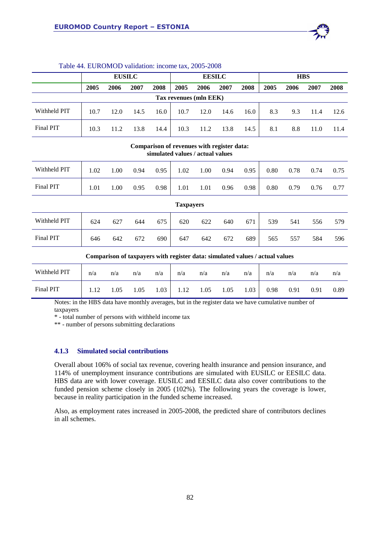

| Table 44. EUROMOD validation: income tax, 2005-2008 |  |
|-----------------------------------------------------|--|
|-----------------------------------------------------|--|

|                        | <b>EUSILC</b> |      |      |      | <b>EESILC</b> |      |      |      | <b>HBS</b> |      |      |      |
|------------------------|---------------|------|------|------|---------------|------|------|------|------------|------|------|------|
|                        | 2005          | 2006 | 2007 | 2008 | 2005          | 2006 | 2007 | 2008 | 2005       | 2006 | 2007 | 2008 |
| Tax revenues (mln EEK) |               |      |      |      |               |      |      |      |            |      |      |      |
| Withheld PIT           | 10.7          | 12.0 | 14.5 | 16.0 | 10.7          | 12.0 | 14.6 | 16.0 | 8.3        | 9.3  | 11.4 | 12.6 |
| Final PIT              | 10.3          | 11.2 | 13.8 | 14.4 | 10.3          | 11.2 | 13.8 | 14.5 | 8.1        | 8.8  | 11.0 | 11.4 |

#### **Comparison of revenues with register data: simulated values / actual values**

| Withheld PIT     | 1.02 | 1.00 | 0.94 | 0.95 | 1.02 | 1.00 | 0.94 | 0.95 | 0.80 | 0.78 | 0.74 | 0.75 |
|------------------|------|------|------|------|------|------|------|------|------|------|------|------|
| Final PIT        | 1.01 | 1.00 | 0.95 | 0.98 | 1.01 | 1.01 | 0.96 | 0.98 | 0.80 | 0.79 | 0.76 | 0.77 |
| <b>Taxpayers</b> |      |      |      |      |      |      |      |      |      |      |      |      |
| Withheld PIT     | 624  | 627  | 644  | 675  | 620  | 622  | 640  | 671  | 539  | 541  | 556  | 579  |
| Final PIT        | 646  | 642  | 672  | 690  | 647  | 642  | 672  | 689  | 565  | 557  | 584  | 596  |

**Comparison of taxpayers with register data: simulated values / actual values** 

| Withheld PIT | n/a  | n/a  | n/a  | n/a  | n/a  | n/a  | n/a  | n/a  | n/a  | n/a  | n/a  | n/a  |
|--------------|------|------|------|------|------|------|------|------|------|------|------|------|
| Final PIT    | 1.12 | 1.05 | 1.05 | 1.03 | 1.12 | 1.05 | 1.05 | 1.03 | 0.98 | 0.91 | 0.91 | 0.89 |

Notes: in the HBS data have monthly averages, but in the register data we have cumulative number of taxpayers

\* - total number of persons with withheld income tax

\*\* - number of persons submitting declarations

## **4.1.3 Simulated social contributions**

Overall about 106% of social tax revenue, covering health insurance and pension insurance, and 114% of unemployment insurance contributions are simulated with EUSILC or EESILC data. HBS data are with lower coverage. EUSILC and EESILC data also cover contributions to the funded pension scheme closely in 2005 (102%). The following years the coverage is lower, because in reality participation in the funded scheme increased.

Also, as employment rates increased in 2005-2008, the predicted share of contributors declines in all schemes.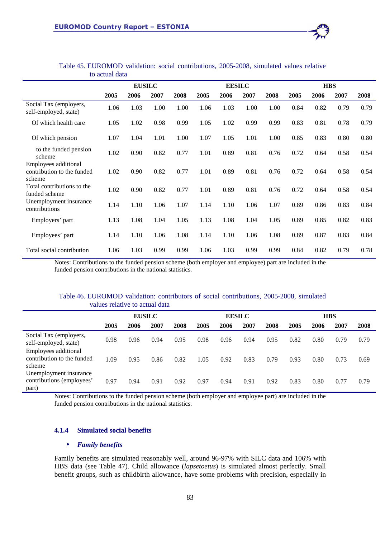

Table 45. EUROMOD validation: social contributions, 2005-2008, simulated values relative to actual data

Notes: Contributions to the funded pension scheme (both employer and employee) part are included in the funded pension contributions in the national statistics.

#### Table 46. EUROMOD validation: contributors of social contributions, 2005-2008, simulated values relative to actual data

|                                                              | <b>EUSILC</b> |      |      |      | <b>EESILC</b> |      |      |      | <b>HBS</b> |      |      |      |
|--------------------------------------------------------------|---------------|------|------|------|---------------|------|------|------|------------|------|------|------|
|                                                              | 2005          | 2006 | 2007 | 2008 | 2005          | 2006 | 2007 | 2008 | 2005       | 2006 | 2007 | 2008 |
| Social Tax (employers,<br>self-employed, state)              | 0.98          | 0.96 | 0.94 | 0.95 | 0.98          | 0.96 | 0.94 | 0.95 | 0.82       | 0.80 | 0.79 | 0.79 |
| Employees additional<br>contribution to the funded<br>scheme | 1.09          | 0.95 | 0.86 | 0.82 | 1.05          | 0.92 | 0.83 | 0.79 | 0.93       | 0.80 | 0.73 | 0.69 |
| Unemployment insurance<br>contributions (employees'<br>part) | 0.97          | 0.94 | 0.91 | 0.92 | 0.97          | 0.94 | 0.91 | 0.92 | 0.83       | 0.80 | 0.77 | 0.79 |

Notes: Contributions to the funded pension scheme (both employer and employee part) are included in the funded pension contributions in the national statistics.

#### **4.1.4 Simulated social benefits**

#### • *Family benefits*

Family benefits are simulated reasonably well, around 96-97% with SILC data and 106% with HBS data (see Table 47). Child allowance (*lapsetoetus*) is simulated almost perfectly. Small benefit groups, such as childbirth allowance, have some problems with precision, especially in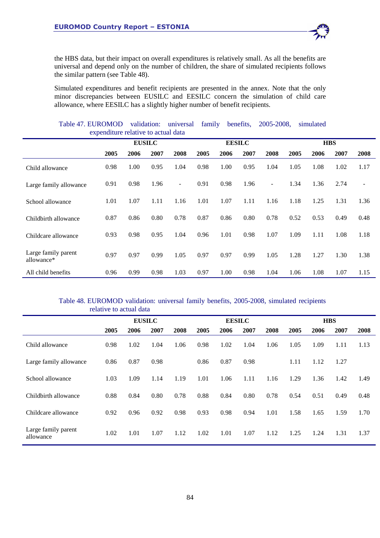the HBS data, but their impact on overall expenditures is relatively small. As all the benefits are universal and depend only on the number of children, the share of simulated recipients follows the similar pattern (see Table 48).

Simulated expenditures and benefit recipients are presented in the annex. Note that the only minor discrepancies between EUSILC and EESILC concern the simulation of child care allowance, where EESILC has a slightly higher number of benefit recipients.

|                                   | Table 47. EUROMOD<br>family<br>validation:<br>2005-2008,<br>benefits,<br>universal<br>simulated<br>expenditure relative to actual data |               |      |                |      |               |      |        |      |            |      |                          |
|-----------------------------------|----------------------------------------------------------------------------------------------------------------------------------------|---------------|------|----------------|------|---------------|------|--------|------|------------|------|--------------------------|
|                                   |                                                                                                                                        | <b>EUSILC</b> |      |                |      | <b>EESILC</b> |      |        |      | <b>HBS</b> |      |                          |
|                                   |                                                                                                                                        |               |      |                |      |               |      |        |      |            |      |                          |
|                                   | 2005                                                                                                                                   | 2006          | 2007 | 2008           | 2005 | 2006          | 2007 | 2008   | 2005 | 2006       | 2007 | 2008                     |
| Child allowance                   | 0.98                                                                                                                                   | 1.00          | 0.95 | 1.04           | 0.98 | 1.00          | 0.95 | 1.04   | 1.05 | 1.08       | 1.02 | 1.17                     |
| Large family allowance            | 0.91                                                                                                                                   | 0.98          | 1.96 | $\blacksquare$ | 0.91 | 0.98          | 1.96 | $\sim$ | 1.34 | 1.36       | 2.74 | $\overline{\phantom{a}}$ |
| School allowance                  | 1.01                                                                                                                                   | 1.07          | 1.11 | 1.16           | 1.01 | 1.07          | 1.11 | 1.16   | 1.18 | 1.25       | 1.31 | 1.36                     |
| Childbirth allowance              | 0.87                                                                                                                                   | 0.86          | 0.80 | 0.78           | 0.87 | 0.86          | 0.80 | 0.78   | 0.52 | 0.53       | 0.49 | 0.48                     |
| Childcare allowance               | 0.93                                                                                                                                   | 0.98          | 0.95 | 1.04           | 0.96 | 1.01          | 0.98 | 1.07   | 1.09 | 1.11       | 1.08 | 1.18                     |
| Large family parent<br>allowance* | 0.97                                                                                                                                   | 0.97          | 0.99 | 1.05           | 0.97 | 0.97          | 0.99 | 1.05   | 1.28 | 1.27       | 1.30 | 1.38                     |
| All child benefits                | 0.96                                                                                                                                   | 0.99          | 0.98 | 1.03           | 0.97 | 1.00          | 0.98 | 1.04   | 1.06 | 1.08       | 1.07 | 1.15                     |

## Table 48. EUROMOD validation: universal family benefits, 2005-2008, simulated recipients relative to actual data

|                                  |      | <b>EUSILC</b> |      |      |      | <b>EESILC</b> |      |      |      | <b>HBS</b> |      |      |
|----------------------------------|------|---------------|------|------|------|---------------|------|------|------|------------|------|------|
|                                  | 2005 | 2006          | 2007 | 2008 | 2005 | 2006          | 2007 | 2008 | 2005 | 2006       | 2007 | 2008 |
| Child allowance                  | 0.98 | 1.02          | 1.04 | 1.06 | 0.98 | 1.02          | 1.04 | 1.06 | 1.05 | 1.09       | 1.11 | 1.13 |
| Large family allowance           | 0.86 | 0.87          | 0.98 |      | 0.86 | 0.87          | 0.98 |      | 1.11 | 1.12       | 1.27 |      |
| School allowance                 | 1.03 | 1.09          | 1.14 | 1.19 | 1.01 | 1.06          | 1.11 | 1.16 | 1.29 | 1.36       | 1.42 | 1.49 |
| Childbirth allowance             | 0.88 | 0.84          | 0.80 | 0.78 | 0.88 | 0.84          | 0.80 | 0.78 | 0.54 | 0.51       | 0.49 | 0.48 |
| Childcare allowance              | 0.92 | 0.96          | 0.92 | 0.98 | 0.93 | 0.98          | 0.94 | 1.01 | 1.58 | 1.65       | 1.59 | 1.70 |
| Large family parent<br>allowance | 1.02 | 1.01          | 1.07 | 1.12 | 1.02 | 1.01          | 1.07 | 1.12 | 1.25 | 1.24       | 1.31 | 1.37 |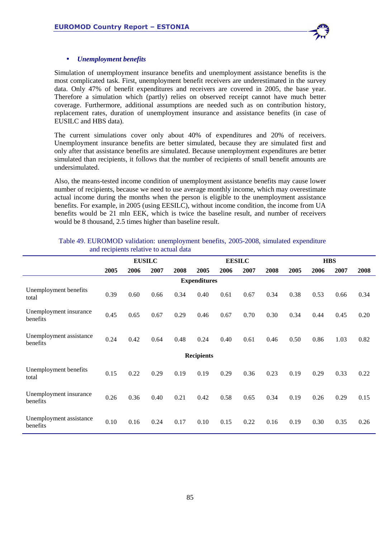

## • *Unemployment benefits*

Simulation of unemployment insurance benefits and unemployment assistance benefits is the most complicated task. First, unemployment benefit receivers are underestimated in the survey data. Only 47% of benefit expenditures and receivers are covered in 2005, the base year. Therefore a simulation which (partly) relies on observed receipt cannot have much better coverage. Furthermore, additional assumptions are needed such as on contribution history, replacement rates, duration of unemployment insurance and assistance benefits (in case of EUSILC and HBS data).

The current simulations cover only about 40% of expenditures and 20% of receivers. Unemployment insurance benefits are better simulated, because they are simulated first and only after that assistance benefits are simulated. Because unemployment expenditures are better simulated than recipients, it follows that the number of recipients of small benefit amounts are undersimulated.

Also, the means-tested income condition of unemployment assistance benefits may cause lower number of recipients, because we need to use average monthly income, which may overestimate actual income during the months when the person is eligible to the unemployment assistance benefits. For example, in 2005 (using EESILC), without income condition, the income from UA benefits would be 21 mln EEK, which is twice the baseline result, and number of receivers would be 8 thousand, 2.5 times higher than baseline result.

|                                     | <b>EUSILC</b> |      |      |      | <b>EESILC</b>       |      |      | <b>HBS</b> |      |      |      |      |
|-------------------------------------|---------------|------|------|------|---------------------|------|------|------------|------|------|------|------|
|                                     | 2005          | 2006 | 2007 | 2008 | 2005                | 2006 | 2007 | 2008       | 2005 | 2006 | 2007 | 2008 |
|                                     |               |      |      |      | <b>Expenditures</b> |      |      |            |      |      |      |      |
| Unemployment benefits<br>total      | 0.39          | 0.60 | 0.66 | 0.34 | 0.40                | 0.61 | 0.67 | 0.34       | 0.38 | 0.53 | 0.66 | 0.34 |
| Unemployment insurance<br>benefits  | 0.45          | 0.65 | 0.67 | 0.29 | 0.46                | 0.67 | 0.70 | 0.30       | 0.34 | 0.44 | 0.45 | 0.20 |
| Unemployment assistance<br>benefits | 0.24          | 0.42 | 0.64 | 0.48 | 0.24                | 0.40 | 0.61 | 0.46       | 0.50 | 0.86 | 1.03 | 0.82 |
|                                     |               |      |      |      | <b>Recipients</b>   |      |      |            |      |      |      |      |
| Unemployment benefits<br>total      | 0.15          | 0.22 | 0.29 | 0.19 | 0.19                | 0.29 | 0.36 | 0.23       | 0.19 | 0.29 | 0.33 | 0.22 |
| Unemployment insurance<br>benefits  | 0.26          | 0.36 | 0.40 | 0.21 | 0.42                | 0.58 | 0.65 | 0.34       | 0.19 | 0.26 | 0.29 | 0.15 |
| Unemployment assistance<br>benefits | 0.10          | 0.16 | 0.24 | 0.17 | 0.10                | 0.15 | 0.22 | 0.16       | 0.19 | 0.30 | 0.35 | 0.26 |

#### Table 49. EUROMOD validation: unemployment benefits, 2005-2008, simulated expenditure and recipients relative to actual data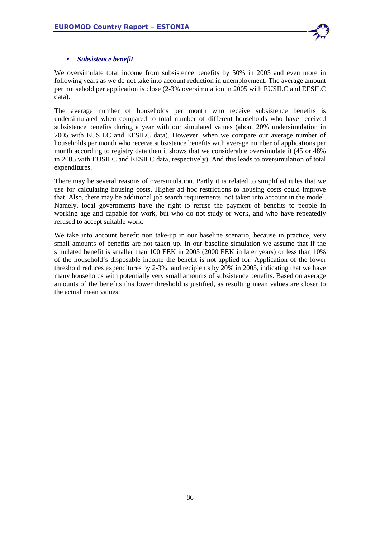

## • *Subsistence benefit*

We oversimulate total income from subsistence benefits by 50% in 2005 and even more in following years as we do not take into account reduction in unemployment. The average amount per household per application is close (2-3% oversimulation in 2005 with EUSILC and EESILC data).

The average number of households per month who receive subsistence benefits is undersimulated when compared to total number of different households who have received subsistence benefits during a year with our simulated values (about 20% undersimulation in 2005 with EUSILC and EESILC data). However, when we compare our average number of households per month who receive subsistence benefits with average number of applications per month according to registry data then it shows that we considerable oversimulate it (45 or 48% in 2005 with EUSILC and EESILC data, respectively). And this leads to oversimulation of total expenditures.

There may be several reasons of oversimulation. Partly it is related to simplified rules that we use for calculating housing costs. Higher ad hoc restrictions to housing costs could improve that. Also, there may be additional job search requirements, not taken into account in the model. Namely, local governments have the right to refuse the payment of benefits to people in working age and capable for work, but who do not study or work, and who have repeatedly refused to accept suitable work.

We take into account benefit non take-up in our baseline scenario, because in practice, very small amounts of benefits are not taken up. In our baseline simulation we assume that if the simulated benefit is smaller than 100 EEK in 2005 (2000 EEK in later years) or less than 10% of the household's disposable income the benefit is not applied for. Application of the lower threshold reduces expenditures by 2-3%, and recipients by 20% in 2005, indicating that we have many households with potentially very small amounts of subsistence benefits. Based on average amounts of the benefits this lower threshold is justified, as resulting mean values are closer to the actual mean values.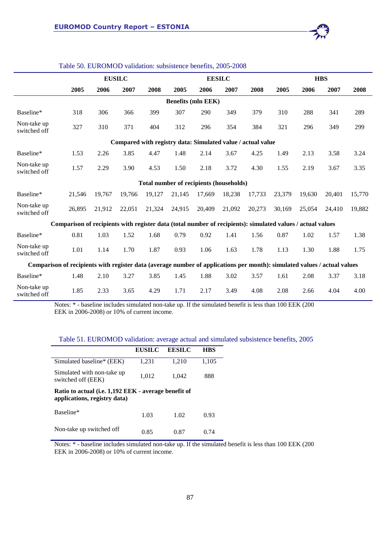

|                                                                                                                          |                                                                                                            |        | <b>EUSILC</b> |        |                           | <b>EESILC</b> |        |        |        |        | <b>HBS</b> |        |
|--------------------------------------------------------------------------------------------------------------------------|------------------------------------------------------------------------------------------------------------|--------|---------------|--------|---------------------------|---------------|--------|--------|--------|--------|------------|--------|
|                                                                                                                          | 2005                                                                                                       | 2006   | 2007          | 2008   | 2005                      | 2006          | 2007   | 2008   | 2005   | 2006   | 2007       | 2008   |
|                                                                                                                          |                                                                                                            |        |               |        | <b>Benefits (mln EEK)</b> |               |        |        |        |        |            |        |
| Baseline*                                                                                                                | 318                                                                                                        | 306    | 366           | 399    | 307                       | 290           | 349    | 379    | 310    | 288    | 341        | 289    |
| Non-take up<br>switched off                                                                                              | 327                                                                                                        | 310    | 371           | 404    | 312                       | 296           | 354    | 384    | 321    | 296    | 349        | 299    |
| Compared with registry data: Simulated value / actual value                                                              |                                                                                                            |        |               |        |                           |               |        |        |        |        |            |        |
| Baseline*                                                                                                                | 1.53                                                                                                       | 2.26   | 3.85          | 4.47   | 1.48                      | 2.14          | 3.67   | 4.25   | 1.49   | 2.13   | 3.58       | 3.24   |
| Non-take up<br>switched off                                                                                              | 1.57                                                                                                       | 2.29   | 3.90          | 4.53   | 1.50                      | 2.18          | 3.72   | 4.30   | 1.55   | 2.19   | 3.67       | 3.35   |
| Total number of recipients (households)                                                                                  |                                                                                                            |        |               |        |                           |               |        |        |        |        |            |        |
| Baseline*                                                                                                                | 21,546                                                                                                     | 19,767 | 19,766        | 19,127 | 21,145                    | 17,669        | 18,238 | 17,733 | 23,379 | 19,630 | 20,401     | 15,770 |
| Non-take up<br>switched off                                                                                              | 26,895                                                                                                     | 21,912 | 22,051        | 21,324 | 24,915                    | 20,409        | 21,092 | 20,273 | 30,169 | 25,054 | 24,410     | 19,882 |
|                                                                                                                          | Comparison of recipients with register data (total number of recipients): simulated values / actual values |        |               |        |                           |               |        |        |        |        |            |        |
| Baseline*                                                                                                                | 0.81                                                                                                       | 1.03   | 1.52          | 1.68   | 0.79                      | 0.92          | 1.41   | 1.56   | 0.87   | 1.02   | 1.57       | 1.38   |
| Non-take up<br>switched off                                                                                              | 1.01                                                                                                       | 1.14   | 1.70          | 1.87   | 0.93                      | 1.06          | 1.63   | 1.78   | 1.13   | 1.30   | 1.88       | 1.75   |
| Comparison of recipients with register data (average number of applications per month): simulated values / actual values |                                                                                                            |        |               |        |                           |               |        |        |        |        |            |        |
| Baseline*                                                                                                                | 1.48                                                                                                       | 2.10   | 3.27          | 3.85   | 1.45                      | 1.88          | 3.02   | 3.57   | 1.61   | 2.08   | 3.37       | 3.18   |
| Non-take up<br>switched off                                                                                              | 1.85                                                                                                       | 2.33   | 3.65          | 4.29   | 1.71                      | 2.17          | 3.49   | 4.08   | 2.08   | 2.66   | 4.04       | 4.00   |

#### Table 50. EUROMOD validation: subsistence benefits, 2005-2008

Notes: \* - baseline includes simulated non-take up. If the simulated benefit is less than 100 EEK (200 EEK in 2006-2008) or 10% of current income.

## Table 51. EUROMOD validation: average actual and simulated subsistence benefits, 2005

|                                                                                      | <b>EUSILC</b> | <b>EESILC</b> | <b>HBS</b> |
|--------------------------------------------------------------------------------------|---------------|---------------|------------|
| Simulated baseline* (EEK)                                                            | 1,231         | 1,210         | 1,105      |
| Simulated with non-take up<br>switched off (EEK)                                     | 1,012         | 1,042         | 888        |
| Ratio to actual (i.e. 1,192 EEK - average benefit of<br>applications, registry data) |               |               |            |
| Baseline*                                                                            | 1.03          | 1.02          | 0.93       |
| Non-take up switched off                                                             | 0.85          | 0.87          | () 74      |

Notes: \* - baseline includes simulated non-take up. If the simulated benefit is less than 100 EEK (200 EEK in 2006-2008) or 10% of current income.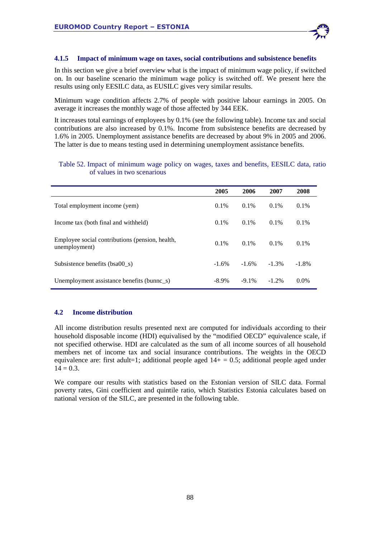

#### **4.1.5 Impact of minimum wage on taxes, social contributions and subsistence benefits**

In this section we give a brief overview what is the impact of minimum wage policy, if switched on. In our baseline scenario the minimum wage policy is switched off. We present here the results using only EESILC data, as EUSILC gives very similar results.

Minimum wage condition affects 2.7% of people with positive labour earnings in 2005. On average it increases the monthly wage of those affected by 344 EEK.

It increases total earnings of employees by 0.1% (see the following table). Income tax and social contributions are also increased by 0.1%. Income from subsistence benefits are decreased by 1.6% in 2005. Unemployment assistance benefits are decreased by about 9% in 2005 and 2006. The latter is due to means testing used in determining unemployment assistance benefits.

## Table 52. Impact of minimum wage policy on wages, taxes and benefits, EESILC data, ratio of values in two scenarious

|                                                                  | 2005     | 2006     | 2007     | 2008     |
|------------------------------------------------------------------|----------|----------|----------|----------|
| Total employment income (yem)                                    | $0.1\%$  | $0.1\%$  | $0.1\%$  | $0.1\%$  |
| Income tax (both final and withheld)                             | $0.1\%$  | $0.1\%$  | $0.1\%$  | $0.1\%$  |
| Employee social contributions (pension, health,<br>unemployment) | $0.1\%$  | $0.1\%$  | $0.1\%$  | $0.1\%$  |
| Subsistence benefits (bsa00 s)                                   | $-1.6\%$ | $-1.6%$  | $-1.3\%$ | $-1.8\%$ |
| Unemployment assistance benefits (bunnc_s)                       | $-8.9\%$ | $-9.1\%$ | $-1.2%$  | $0.0\%$  |

## **4.2 Income distribution**

All income distribution results presented next are computed for individuals according to their household disposable income (HDI) equivalised by the "modified OECD" equivalence scale, if not specified otherwise. HDI are calculated as the sum of all income sources of all household members net of income tax and social insurance contributions. The weights in the OECD equivalence are: first adult=1; additional people aged  $14+ = 0.5$ ; additional people aged under  $14 = 0.3$ .

We compare our results with statistics based on the Estonian version of SILC data. Formal poverty rates, Gini coefficient and quintile ratio, which Statistics Estonia calculates based on national version of the SILC, are presented in the following table.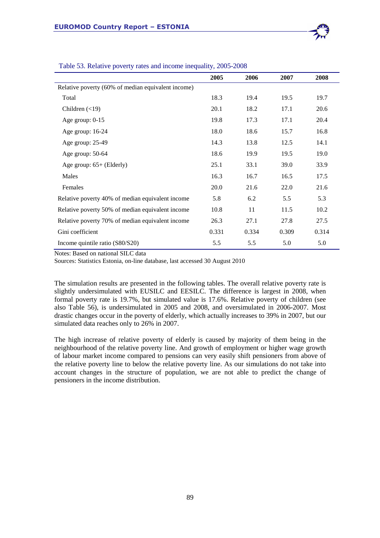|                                                    | 2005  | 2006  | 2007  | 2008  |
|----------------------------------------------------|-------|-------|-------|-------|
| Relative poverty (60% of median equivalent income) |       |       |       |       |
| Total                                              | 18.3  | 19.4  | 19.5  | 19.7  |
| Children $(\leq 19)$                               | 20.1  | 18.2  | 17.1  | 20.6  |
| Age group: $0-15$                                  | 19.8  | 17.3  | 17.1  | 20.4  |
| Age group: 16-24                                   | 18.0  | 18.6  | 15.7  | 16.8  |
| Age group: 25-49                                   | 14.3  | 13.8  | 12.5  | 14.1  |
| Age group: 50-64                                   | 18.6  | 19.9  | 19.5  | 19.0  |
| Age group: $65+$ (Elderly)                         | 25.1  | 33.1  | 39.0  | 33.9  |
| Males                                              | 16.3  | 16.7  | 16.5  | 17.5  |
| Females                                            | 20.0  | 21.6  | 22.0  | 21.6  |
| Relative poverty 40% of median equivalent income   | 5.8   | 6.2   | 5.5   | 5.3   |
| Relative poverty 50% of median equivalent income   | 10.8  | 11    | 11.5  | 10.2  |
| Relative poverty 70% of median equivalent income   | 26.3  | 27.1  | 27.8  | 27.5  |
| Gini coefficient                                   | 0.331 | 0.334 | 0.309 | 0.314 |
| Income quintile ratio (S80/S20)                    | 5.5   | 5.5   | 5.0   | 5.0   |

Table 53. Relative poverty rates and income inequality, 2005-2008

Notes: Based on national SILC data

Sources: Statistics Estonia, on-line database, last accessed 30 August 2010

The simulation results are presented in the following tables. The overall relative poverty rate is slightly undersimulated with EUSILC and EESILC. The difference is largest in 2008, when formal poverty rate is 19.7%, but simulated value is 17.6%. Relative poverty of children (see also Table 56), is undersimulated in 2005 and 2008, and oversimulated in 2006-2007. Most drastic changes occur in the poverty of elderly, which actually increases to 39% in 2007, but our simulated data reaches only to 26% in 2007.

The high increase of relative poverty of elderly is caused by majority of them being in the neighbourhood of the relative poverty line. And growth of employment or higher wage growth of labour market income compared to pensions can very easily shift pensioners from above of the relative poverty line to below the relative poverty line. As our simulations do not take into account changes in the structure of population, we are not able to predict the change of pensioners in the income distribution.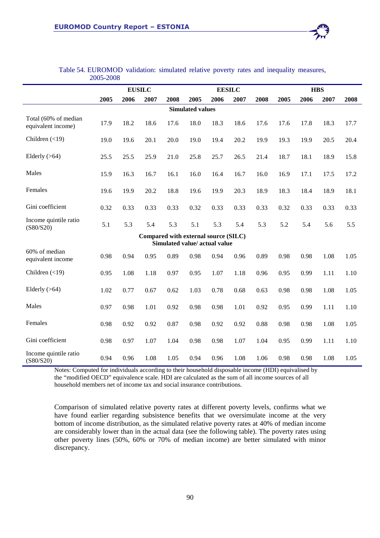

|                                            |      |      | <b>EUSILC</b> |                                                                       |                         |      | <b>EESILC</b> |      | <b>HBS</b> |      |      |      |
|--------------------------------------------|------|------|---------------|-----------------------------------------------------------------------|-------------------------|------|---------------|------|------------|------|------|------|
|                                            | 2005 | 2006 | 2007          | 2008                                                                  | 2005                    | 2006 | 2007          | 2008 | 2005       | 2006 | 2007 | 2008 |
|                                            |      |      |               |                                                                       | <b>Simulated values</b> |      |               |      |            |      |      |      |
| Total (60% of median<br>equivalent income) | 17.9 | 18.2 | 18.6          | 17.6                                                                  | 18.0                    | 18.3 | 18.6          | 17.6 | 17.6       | 17.8 | 18.3 | 17.7 |
| Children $(\leq 19)$                       | 19.0 | 19.6 | 20.1          | 20.0                                                                  | 19.0                    | 19.4 | 20.2          | 19.9 | 19.3       | 19.9 | 20.5 | 20.4 |
| Elderly $(>64)$                            | 25.5 | 25.5 | 25.9          | 21.0                                                                  | 25.8                    | 25.7 | 26.5          | 21.4 | 18.7       | 18.1 | 18.9 | 15.8 |
| Males                                      | 15.9 | 16.3 | 16.7          | 16.1                                                                  | 16.0                    | 16.4 | 16.7          | 16.0 | 16.9       | 17.1 | 17.5 | 17.2 |
| Females                                    | 19.6 | 19.9 | 20.2          | 18.8                                                                  | 19.6                    | 19.9 | 20.3          | 18.9 | 18.3       | 18.4 | 18.9 | 18.1 |
| Gini coefficient                           | 0.32 | 0.33 | 0.33          | 0.33                                                                  | 0.32                    | 0.33 | 0.33          | 0.33 | 0.32       | 0.33 | 0.33 | 0.33 |
| Income quintile ratio<br>(S80/S20)         | 5.1  | 5.3  | 5.4           | 5.3                                                                   | 5.1                     | 5.3  | 5.4           | 5.3  | 5.2        | 5.4  | 5.6  | 5.5  |
|                                            |      |      |               | Compared with external source (SILC)<br>Simulated value/ actual value |                         |      |               |      |            |      |      |      |
| 60% of median<br>equivalent income         | 0.98 | 0.94 | 0.95          | 0.89                                                                  | 0.98                    | 0.94 | 0.96          | 0.89 | 0.98       | 0.98 | 1.08 | 1.05 |
| Children $(\leq 19)$                       | 0.95 | 1.08 | 1.18          | 0.97                                                                  | 0.95                    | 1.07 | 1.18          | 0.96 | 0.95       | 0.99 | 1.11 | 1.10 |
| Elderly $(>64)$                            | 1.02 | 0.77 | 0.67          | 0.62                                                                  | 1.03                    | 0.78 | 0.68          | 0.63 | 0.98       | 0.98 | 1.08 | 1.05 |
| Males                                      | 0.97 | 0.98 | 1.01          | 0.92                                                                  | 0.98                    | 0.98 | 1.01          | 0.92 | 0.95       | 0.99 | 1.11 | 1.10 |
| Females                                    | 0.98 | 0.92 | 0.92          | 0.87                                                                  | 0.98                    | 0.92 | 0.92          | 0.88 | 0.98       | 0.98 | 1.08 | 1.05 |
| Gini coefficient                           | 0.98 | 0.97 | 1.07          | 1.04                                                                  | 0.98                    | 0.98 | 1.07          | 1.04 | 0.95       | 0.99 | 1.11 | 1.10 |
| Income quintile ratio<br>(S80/S20)         | 0.94 | 0.96 | 1.08          | 1.05                                                                  | 0.94                    | 0.96 | 1.08          | 1.06 | 0.98       | 0.98 | 1.08 | 1.05 |

## Table 54. EUROMOD validation: simulated relative poverty rates and inequality measures, 2005-2008

Notes: Computed for individuals according to their household disposable income (HDI) equivalised by the "modified OECD" equivalence scale. HDI are calculated as the sum of all income sources of all household members net of income tax and social insurance contributions.

Comparison of simulated relative poverty rates at different poverty levels, confirms what we have found earlier regarding subsistence benefits that we oversimulate income at the very bottom of income distribution, as the simulated relative poverty rates at 40% of median income are considerably lower than in the actual data (see the following table). The poverty rates using other poverty lines (50%, 60% or 70% of median income) are better simulated with minor discrepancy.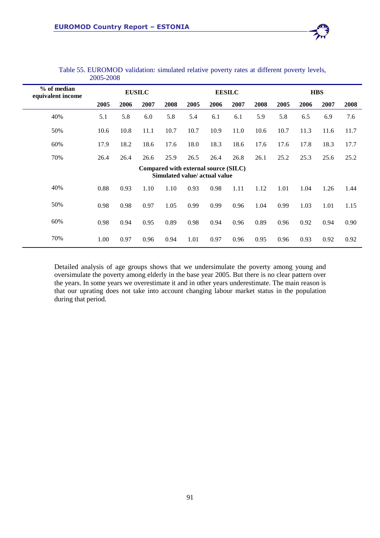

Detailed analysis of age groups shows that we undersimulate the poverty among young and oversimulate the poverty among elderly in the base year 2005. But there is no clear pattern over the years. In some years we overestimate it and in other years underestimate. The main reason is that our uprating does not take into account changing labour market status in the population during that period.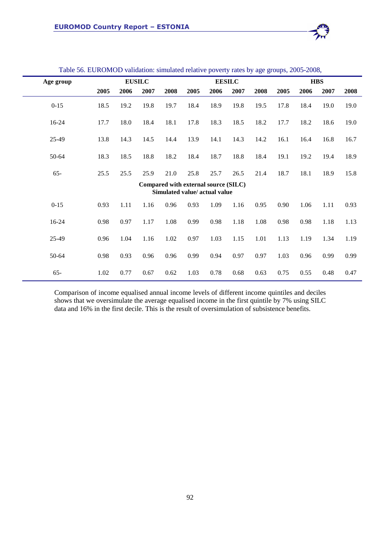

|           |      |      |               |      |                                                                       |      |               | $\sim$ |      |      |            |      |
|-----------|------|------|---------------|------|-----------------------------------------------------------------------|------|---------------|--------|------|------|------------|------|
| Age group |      |      | <b>EUSILC</b> |      |                                                                       |      | <b>EESILC</b> |        |      |      | <b>HBS</b> |      |
|           | 2005 | 2006 | 2007          | 2008 | 2005                                                                  | 2006 | 2007          | 2008   | 2005 | 2006 | 2007       | 2008 |
| $0 - 15$  | 18.5 | 19.2 | 19.8          | 19.7 | 18.4                                                                  | 18.9 | 19.8          | 19.5   | 17.8 | 18.4 | 19.0       | 19.0 |
| 16-24     | 17.7 | 18.0 | 18.4          | 18.1 | 17.8                                                                  | 18.3 | 18.5          | 18.2   | 17.7 | 18.2 | 18.6       | 19.0 |
| 25-49     | 13.8 | 14.3 | 14.5          | 14.4 | 13.9                                                                  | 14.1 | 14.3          | 14.2   | 16.1 | 16.4 | 16.8       | 16.7 |
| 50-64     | 18.3 | 18.5 | 18.8          | 18.2 | 18.4                                                                  | 18.7 | 18.8          | 18.4   | 19.1 | 19.2 | 19.4       | 18.9 |
| $65 -$    | 25.5 | 25.5 | 25.9          | 21.0 | 25.8                                                                  | 25.7 | 26.5          | 21.4   | 18.7 | 18.1 | 18.9       | 15.8 |
|           |      |      |               |      | Compared with external source (SILC)<br>Simulated value/ actual value |      |               |        |      |      |            |      |
| $0 - 15$  | 0.93 | 1.11 | 1.16          | 0.96 | 0.93                                                                  | 1.09 | 1.16          | 0.95   | 0.90 | 1.06 | 1.11       | 0.93 |
| 16-24     | 0.98 | 0.97 | 1.17          | 1.08 | 0.99                                                                  | 0.98 | 1.18          | 1.08   | 0.98 | 0.98 | 1.18       | 1.13 |
| 25-49     | 0.96 | 1.04 | 1.16          | 1.02 | 0.97                                                                  | 1.03 | 1.15          | 1.01   | 1.13 | 1.19 | 1.34       | 1.19 |
| 50-64     | 0.98 | 0.93 | 0.96          | 0.96 | 0.99                                                                  | 0.94 | 0.97          | 0.97   | 1.03 | 0.96 | 0.99       | 0.99 |
| $65 -$    | 1.02 | 0.77 | 0.67          | 0.62 | 1.03                                                                  | 0.78 | 0.68          | 0.63   | 0.75 | 0.55 | 0.48       | 0.47 |

#### Table 56. EUROMOD validation: simulated relative poverty rates by age groups, 2005-2008,

Comparison of income equalised annual income levels of different income quintiles and deciles shows that we oversimulate the average equalised income in the first quintile by 7% using SILC data and 16% in the first decile. This is the result of oversimulation of subsistence benefits.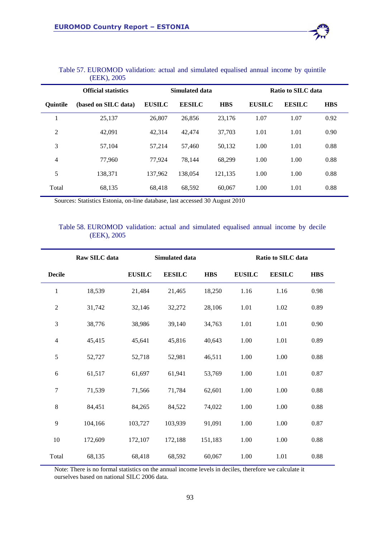|                 | <b>Official statistics</b> |               | Simulated data |            |               | Ratio to SILC data |            |  |  |  |
|-----------------|----------------------------|---------------|----------------|------------|---------------|--------------------|------------|--|--|--|
| <b>Ouintile</b> | (based on SILC data)       | <b>EUSILC</b> | <b>EESILC</b>  | <b>HBS</b> | <b>EUSILC</b> | <b>EESILC</b>      | <b>HBS</b> |  |  |  |
|                 | 25,137                     | 26,807        | 26,856         | 23.176     | 1.07          | 1.07               | 0.92       |  |  |  |
| 2               | 42,091                     | 42.314        | 42,474         | 37,703     | 1.01          | 1.01               | 0.90       |  |  |  |
| 3               | 57,104                     | 57,214        | 57,460         | 50,132     | 1.00          | 1.01               | 0.88       |  |  |  |
| 4               | 77,960                     | 77.924        | 78.144         | 68,299     | 1.00          | 1.00               | 0.88       |  |  |  |
| 5               | 138,371                    | 137.962       | 138,054        | 121.135    | 1.00          | 1.00               | 0.88       |  |  |  |
| Total           | 68,135                     | 68.418        | 68.592         | 60,067     | 1.00          | 1.01               | 0.88       |  |  |  |

## Table 57. EUROMOD validation: actual and simulated equalised annual income by quintile (EEK), 2005

Sources: Statistics Estonia, on-line database, last accessed 30 August 2010

## Table 58. EUROMOD validation: actual and simulated equalised annual income by decile (EEK), 2005

|                             | Raw SILC data |               | Simulated data |            | Ratio to SILC data |               |            |  |  |
|-----------------------------|---------------|---------------|----------------|------------|--------------------|---------------|------------|--|--|
| <b>Decile</b>               |               | <b>EUSILC</b> | <b>EESILC</b>  | <b>HBS</b> | <b>EUSILC</b>      | <b>EESILC</b> | <b>HBS</b> |  |  |
| $\mathbf{1}$                | 18,539        | 21,484        | 21,465         | 18,250     | 1.16               | 1.16          | 0.98       |  |  |
| $\sqrt{2}$                  | 31,742        | 32,146        | 32,272         | 28,106     | 1.01               | 1.02          | 0.89       |  |  |
| $\ensuremath{\mathfrak{Z}}$ | 38,776        | 38,986        | 39,140         | 34,763     | 1.01               | 1.01          | 0.90       |  |  |
| $\overline{4}$              | 45,415        | 45,641        | 45,816         | 40,643     | 1.00               | 1.01          | 0.89       |  |  |
| $\sqrt{5}$                  | 52,727        | 52,718        | 52,981         | 46,511     | 1.00               | 1.00          | 0.88       |  |  |
| $\sqrt{6}$                  | 61,517        | 61,697        | 61,941         | 53,769     | 1.00               | 1.01          | 0.87       |  |  |
| $\tau$                      | 71,539        | 71,566        | 71,784         | 62,601     | 1.00               | 1.00          | 0.88       |  |  |
| $\,8\,$                     | 84,451        | 84,265        | 84,522         | 74,022     | 1.00               | 1.00          | 0.88       |  |  |
| $\overline{9}$              | 104,166       | 103,727       | 103,939        | 91,091     | 1.00               | 1.00          | 0.87       |  |  |
| $10\,$                      | 172,609       | 172,107       | 172,188        | 151,183    | 1.00               | 1.00          | 0.88       |  |  |
| Total                       | 68,135        | 68,418        | 68,592         | 60,067     | 1.00               | 1.01          | 0.88       |  |  |

Note: There is no formal statistics on the annual income levels in deciles, therefore we calculate it ourselves based on national SILC 2006 data.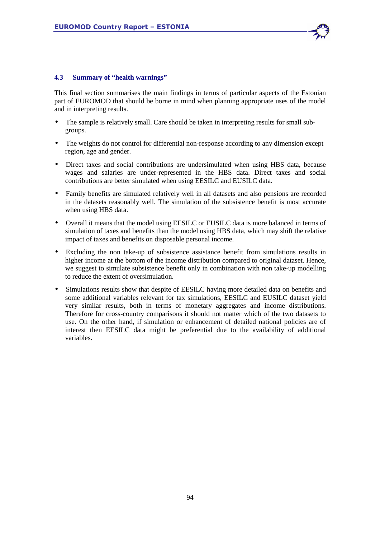

## **4.3 Summary of "health warnings"**

This final section summarises the main findings in terms of particular aspects of the Estonian part of EUROMOD that should be borne in mind when planning appropriate uses of the model and in interpreting results.

- The sample is relatively small. Care should be taken in interpreting results for small subgroups.
- The weights do not control for differential non-response according to any dimension except region, age and gender.
- Direct taxes and social contributions are undersimulated when using HBS data, because wages and salaries are under-represented in the HBS data. Direct taxes and social contributions are better simulated when using EESILC and EUSILC data.
- Family benefits are simulated relatively well in all datasets and also pensions are recorded in the datasets reasonably well. The simulation of the subsistence benefit is most accurate when using HBS data.
- Overall it means that the model using EESILC or EUSILC data is more balanced in terms of simulation of taxes and benefits than the model using HBS data, which may shift the relative impact of taxes and benefits on disposable personal income.
- Excluding the non take-up of subsistence assistance benefit from simulations results in higher income at the bottom of the income distribution compared to original dataset. Hence, we suggest to simulate subsistence benefit only in combination with non take-up modelling to reduce the extent of oversimulation.
- Simulations results show that despite of EESILC having more detailed data on benefits and some additional variables relevant for tax simulations, EESILC and EUSILC dataset yield very similar results, both in terms of monetary aggregates and income distributions. Therefore for cross-country comparisons it should not matter which of the two datasets to use. On the other hand, if simulation or enhancement of detailed national policies are of interest then EESILC data might be preferential due to the availability of additional variables.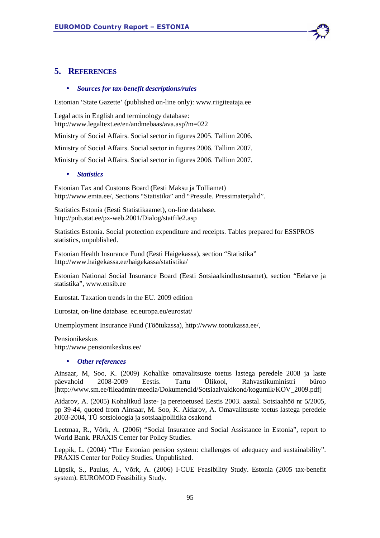# **5. REFERENCES**

#### • *Sources for tax-benefit descriptions/rules*

Estonian 'State Gazette' (published on-line only): www.riigiteataja.ee

Legal acts in English and terminology database: http://www.legaltext.ee/en/andmebaas/ava.asp?m=022

Ministry of Social Affairs. Social sector in figures 2005. Tallinn 2006.

Ministry of Social Affairs. Social sector in figures 2006. Tallinn 2007.

Ministry of Social Affairs. Social sector in figures 2006. Tallinn 2007.

#### • *Statistics*

Estonian Tax and Customs Board (Eesti Maksu ja Tolliamet) http://www.emta.ee/, Sections "Statistika" and "Pressile. Pressimaterjalid".

Statistics Estonia (Eesti Statistikaamet), on-line database. http://pub.stat.ee/px-web.2001/Dialog/statfile2.asp

Statistics Estonia. Social protection expenditure and receipts. Tables prepared for ESSPROS statistics, unpublished.

Estonian Health Insurance Fund (Eesti Haigekassa), section "Statistika" http://www.haigekassa.ee/haigekassa/statistika/

Estonian National Social Insurance Board (Eesti Sotsiaalkindlustusamet), section "Eelarve ja statistika", www.ensib.ee

Eurostat. Taxation trends in the EU. 2009 edition

Eurostat, on-line database. ec.europa.eu/eurostat/

Unemployment Insurance Fund (Töötukassa), http://www.tootukassa.ee/,

Pensionikeskus http://www.pensionikeskus.ee/

#### • *Other references*

Ainsaar, M, Soo, K. (2009) Kohalike omavalitsuste toetus lastega peredele 2008 ja laste päevahoid 2008-2009 Eestis. Tartu Ülikool, Rahvastikuministri büroo [http://www.sm.ee/fileadmin/meedia/Dokumendid/Sotsiaalvaldkond/kogumik/KOV\_2009.pdf]

Aidarov, A. (2005) Kohalikud laste- ja peretoetused Eestis 2003. aastal. Sotsiaaltöö nr 5/2005, pp 39-44, quoted from Ainsaar, M. Soo, K. Aidarov, A. Omavalitsuste toetus lastega peredele 2003-2004, TÜ sotsioloogia ja sotsiaalpoliitika osakond

Leetmaa, R., Võrk, A. (2006) "Social Insurance and Social Assistance in Estonia", report to World Bank. PRAXIS Center for Policy Studies.

Leppik, L. (2004) "The Estonian pension system: challenges of adequacy and sustainability". PRAXIS Center for Policy Studies. Unpublished.

Lüpsik, S., Paulus, A., Võrk, A. (2006) I-CUE Feasibility Study. Estonia (2005 tax-benefit system). EUROMOD Feasibility Study.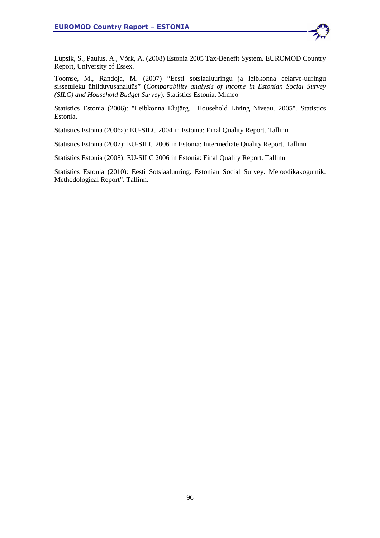

Lüpsik, S., Paulus, A., Võrk, A. (2008) Estonia 2005 Tax-Benefit System. EUROMOD Country Report, University of Essex.

Toomse, M., Randoja, M. (2007) "Eesti sotsiaaluuringu ja leibkonna eelarve-uuringu sissetuleku ühilduvusanalüüs" (*Comparability analysis of income in Estonian Social Survey (SILC) and Household Budget Survey*). Statistics Estonia. Mimeo

Statistics Estonia (2006): "Leibkonna Elujärg. Household Living Niveau. 2005". Statistics Estonia.

Statistics Estonia (2006a): EU-SILC 2004 in Estonia: Final Quality Report. Tallinn

Statistics Estonia (2007): EU-SILC 2006 in Estonia: Intermediate Quality Report. Tallinn

Statistics Estonia (2008): EU-SILC 2006 in Estonia: Final Quality Report. Tallinn

Statistics Estonia (2010): Eesti Sotsiaaluuring. Estonian Social Survey. Metoodikakogumik. Methodological Report". Tallinn.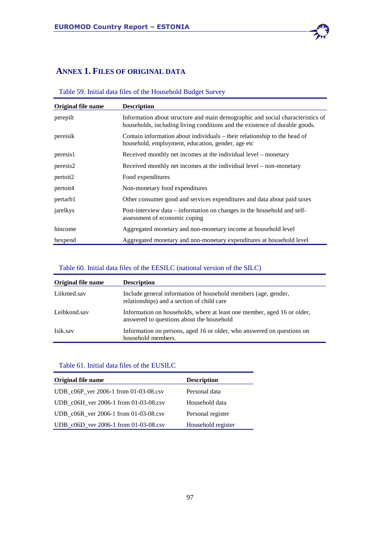# **ANNEX 1. FILES OF ORIGINAL DATA**

# Table 59. Initial data files of the Household Budget Survey

| Original file name | <b>Description</b>                                                                                                                                            |
|--------------------|---------------------------------------------------------------------------------------------------------------------------------------------------------------|
| perepilt           | Information about structure and main demographic and social characteristics of<br>households, including living conditions and the existence of durable goods. |
| pereisik           | Contain information about individuals – their relationship to the head of<br>household, employment, education, gender, age etc.                               |
| peresis1           | Received monthly net incomes at the individual level – monetary                                                                                               |
| peresis2           | Received monthly net incomes at the individual level – non-monetary                                                                                           |
| pertoit2           | Food expenditures                                                                                                                                             |
| pertoit4           | Non-monetary food expenditures                                                                                                                                |
| pertarb1           | Other consumer good and services expenditures and data about paid taxes                                                                                       |
| jarelkys           | Post-interview data – information on changes in the household and self-<br>assessment of economic coping                                                      |
| hincome            | Aggregated monetary and non-monetary income at household level                                                                                                |
| hexpend            | Aggregated monetary and non-monetary expenditures at household level                                                                                          |

## Table 60. Initial data files of the EESILC (national version of the SILC)

| Original file name | <b>Description</b>                                                                                                   |
|--------------------|----------------------------------------------------------------------------------------------------------------------|
| Liikmed.sav        | Include general information of household members (age, gender,<br>relationships) and a section of child care         |
| Leibkond.sav       | Information on households, where at least one member, aged 16 or older,<br>answered to questions about the household |
| Isik.sav           | Information on persons, aged 16 or older, who answered on questions on<br>household members.                         |

## Table 61. Initial data files of the EUSILC

| Original file name                    | <b>Description</b> |
|---------------------------------------|--------------------|
| UDB_c06P_ver 2006-1 from 01-03-08.csv | Personal data      |
| UDB c06H ver 2006-1 from 01-03-08.csv | Household data     |
| UDB c06R ver 2006-1 from 01-03-08.csv | Personal register  |
| UDB_c06D_ver 2006-1 from 01-03-08.csv | Household register |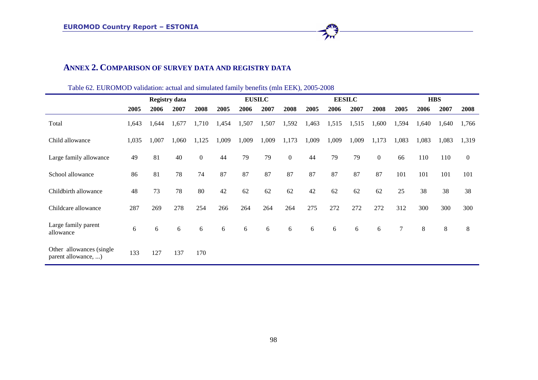## **ANNEX 2. COMPARISON OF SURVEY DATA AND REGISTRY DATA**

|                                                  |       |       | <b>Registry data</b> |                |       |       | <b>EUSILC</b> |              |       | <b>EESILC</b> |       |                | <b>HBS</b> |       |       |                |  |
|--------------------------------------------------|-------|-------|----------------------|----------------|-------|-------|---------------|--------------|-------|---------------|-------|----------------|------------|-------|-------|----------------|--|
|                                                  | 2005  | 2006  | 2007                 | 2008           | 2005  | 2006  | 2007          | 2008         | 2005  | 2006          | 2007  | 2008           | 2005       | 2006  | 2007  | 2008           |  |
| Total                                            | 1,643 | 1,644 | 1,677                | 1,710          | 1,454 | 1,507 | 1,507         | 1,592        | 1,463 | 1,515         | 1,515 | 1,600          | 1,594      | 1,640 | 1,640 | 1,766          |  |
| Child allowance                                  | 1,035 | 1,007 | 1,060                | 1,125          | 1,009 | 1,009 | 1,009         | 1,173        | 1,009 | 1,009         | 1,009 | 1,173          | 1,083      | 1,083 | 1,083 | 1,319          |  |
| Large family allowance                           | 49    | 81    | 40                   | $\overline{0}$ | 44    | 79    | 79            | $\mathbf{0}$ | 44    | 79            | 79    | $\overline{0}$ | 66         | 110   | 110   | $\overline{0}$ |  |
| School allowance                                 | 86    | 81    | 78                   | 74             | 87    | 87    | 87            | 87           | 87    | 87            | 87    | 87             | 101        | 101   | 101   | 101            |  |
| Childbirth allowance                             | 48    | 73    | 78                   | 80             | 42    | 62    | 62            | 62           | 42    | 62            | 62    | 62             | 25         | 38    | 38    | 38             |  |
| Childcare allowance                              | 287   | 269   | 278                  | 254            | 266   | 264   | 264           | 264          | 275   | 272           | 272   | 272            | 312        | 300   | 300   | 300            |  |
| Large family parent<br>allowance                 | 6     | 6     | 6                    | 6              | 6     | 6     | 6             | 6            | 6     | 6             | 6     | 6              | 7          | $8\,$ | $8\,$ | $8\,$          |  |
| Other allowances (single)<br>parent allowance, ) | 133   | 127   | 137                  | 170            |       |       |               |              |       |               |       |                |            |       |       |                |  |

Table 62. EUROMOD validation: actual and simulated family benefits (mln EEK), 2005-2008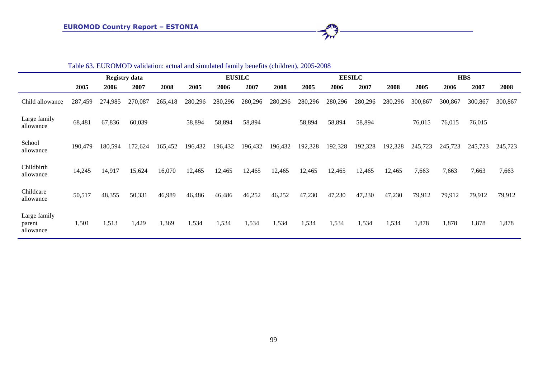|                                     | Table 63. EUROMOD validation: actual and simulated family benefits (children), 2005-2008 |         |                      |         |         |         |               |         |         |         |               |         |            |         |         |         |  |
|-------------------------------------|------------------------------------------------------------------------------------------|---------|----------------------|---------|---------|---------|---------------|---------|---------|---------|---------------|---------|------------|---------|---------|---------|--|
|                                     |                                                                                          |         | <b>Registry data</b> |         |         |         | <b>EUSILC</b> |         |         |         | <b>EESILC</b> |         | <b>HBS</b> |         |         |         |  |
|                                     | 2005                                                                                     | 2006    | 2007                 | 2008    | 2005    | 2006    | 2007          | 2008    | 2005    | 2006    | 2007          | 2008    | 2005       | 2006    | 2007    | 2008    |  |
| Child allowance                     | 287,459                                                                                  | 274,985 | 270,087              | 265,418 | 280,296 | 280,296 | 280,296       | 280,296 | 280,296 | 280,296 | 280,296       | 280,296 | 300,867    | 300,867 | 300,867 | 300,867 |  |
| Large family<br>allowance           | 68,481                                                                                   | 67,836  | 60,039               |         | 58,894  | 58,894  | 58,894        |         | 58,894  | 58,894  | 58,894        |         | 76,015     | 76,015  | 76,015  |         |  |
| School<br>allowance                 | 190,479                                                                                  | 180,594 | 172,624              | 165,452 | 196,432 | 196,432 | 196,432       | 196,432 | 192,328 | 192,328 | 192,328       | 192,328 | 245,723    | 245,723 | 245,723 | 245,723 |  |
| Childbirth<br>allowance             | 14,245                                                                                   | 14,917  | 15,624               | 16,070  | 12,465  | 12,465  | 12,465        | 12,465  | 12,465  | 12,465  | 12,465        | 12,465  | 7,663      | 7,663   | 7,663   | 7,663   |  |
| Childcare<br>allowance              | 50,517                                                                                   | 48,355  | 50,331               | 46,989  | 46,486  | 46,486  | 46,252        | 46,252  | 47,230  | 47,230  | 47,230        | 47,230  | 79,912     | 79,912  | 79,912  | 79,912  |  |
| Large family<br>parent<br>allowance | 1,501                                                                                    | 1,513   | 1,429                | 1,369   | 1,534   | 1,534   | 1,534         | 1,534   | 1,534   | 1,534   | 1,534         | 1,534   | 1,878      | 1,878   | 1,878   | 1,878   |  |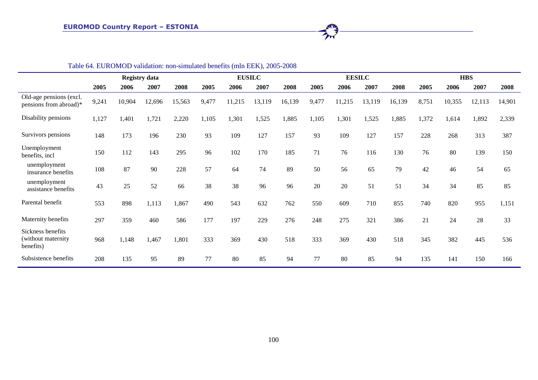|                                                       |       |        |                      | Table 04. EUNOINOD Vandadon. non-simulated benefits (min EEN), 2003-2006 |       |        |               |        |       |        |               |        |       |            |        |        |  |  |
|-------------------------------------------------------|-------|--------|----------------------|--------------------------------------------------------------------------|-------|--------|---------------|--------|-------|--------|---------------|--------|-------|------------|--------|--------|--|--|
|                                                       |       |        | <b>Registry data</b> |                                                                          |       |        | <b>EUSILC</b> |        |       |        | <b>EESILC</b> |        |       | <b>HBS</b> |        |        |  |  |
|                                                       | 2005  | 2006   | 2007                 | 2008                                                                     | 2005  | 2006   | 2007          | 2008   | 2005  | 2006   | 2007          | 2008   | 2005  | 2006       | 2007   | 2008   |  |  |
| Old-age pensions (excl.<br>pensions from abroad)*     | 9,241 | 10,904 | 12,696               | 15,563                                                                   | 9,477 | 11,215 | 13,119        | 16,139 | 9,477 | 11,215 | 13,119        | 16,139 | 8,751 | 10,355     | 12,113 | 14,901 |  |  |
| Disability pensions                                   | 1,127 | 1,401  | 1,721                | 2,220                                                                    | 1,105 | 1,301  | 1,525         | 1,885  | 1,105 | 1,301  | 1,525         | 1,885  | 1,372 | 1,614      | 1,892  | 2,339  |  |  |
| Survivors pensions                                    | 148   | 173    | 196                  | 230                                                                      | 93    | 109    | 127           | 157    | 93    | 109    | 127           | 157    | 228   | 268        | 313    | 387    |  |  |
| Unemployment<br>benefits, incl                        | 150   | 112    | 143                  | 295                                                                      | 96    | 102    | 170           | 185    | 71    | 76     | 116           | 130    | 76    | 80         | 139    | 150    |  |  |
| unemployment<br>insurance benefits                    | 108   | 87     | 90                   | 228                                                                      | 57    | 64     | 74            | 89     | 50    | 56     | 65            | 79     | 42    | 46         | 54     | 65     |  |  |
| unemployment<br>assistance benefits                   | 43    | 25     | 52                   | 66                                                                       | 38    | 38     | 96            | 96     | 20    | 20     | 51            | 51     | 34    | 34         | 85     | 85     |  |  |
| Parental benefit                                      | 553   | 898    | 1,113                | 1,867                                                                    | 490   | 543    | 632           | 762    | 550   | 609    | 710           | 855    | 740   | 820        | 955    | 1,151  |  |  |
| Maternity benefits                                    | 297   | 359    | 460                  | 586                                                                      | 177   | 197    | 229           | 276    | 248   | 275    | 321           | 386    | 21    | 24         | 28     | 33     |  |  |
| Sickness benefits<br>(without maternity)<br>benefits) | 968   | 1,148  | 1,467                | 1,801                                                                    | 333   | 369    | 430           | 518    | 333   | 369    | 430           | 518    | 345   | 382        | 445    | 536    |  |  |
| Subsistence benefits                                  | 208   | 135    | 95                   | 89                                                                       | 77    | 80     | 85            | 94     | 77    | 80     | 85            | 94     | 135   | 141        | 150    | 166    |  |  |

Table 64. EUROMOD validation: non-simulated benefits (mln EEK), 2005-2008